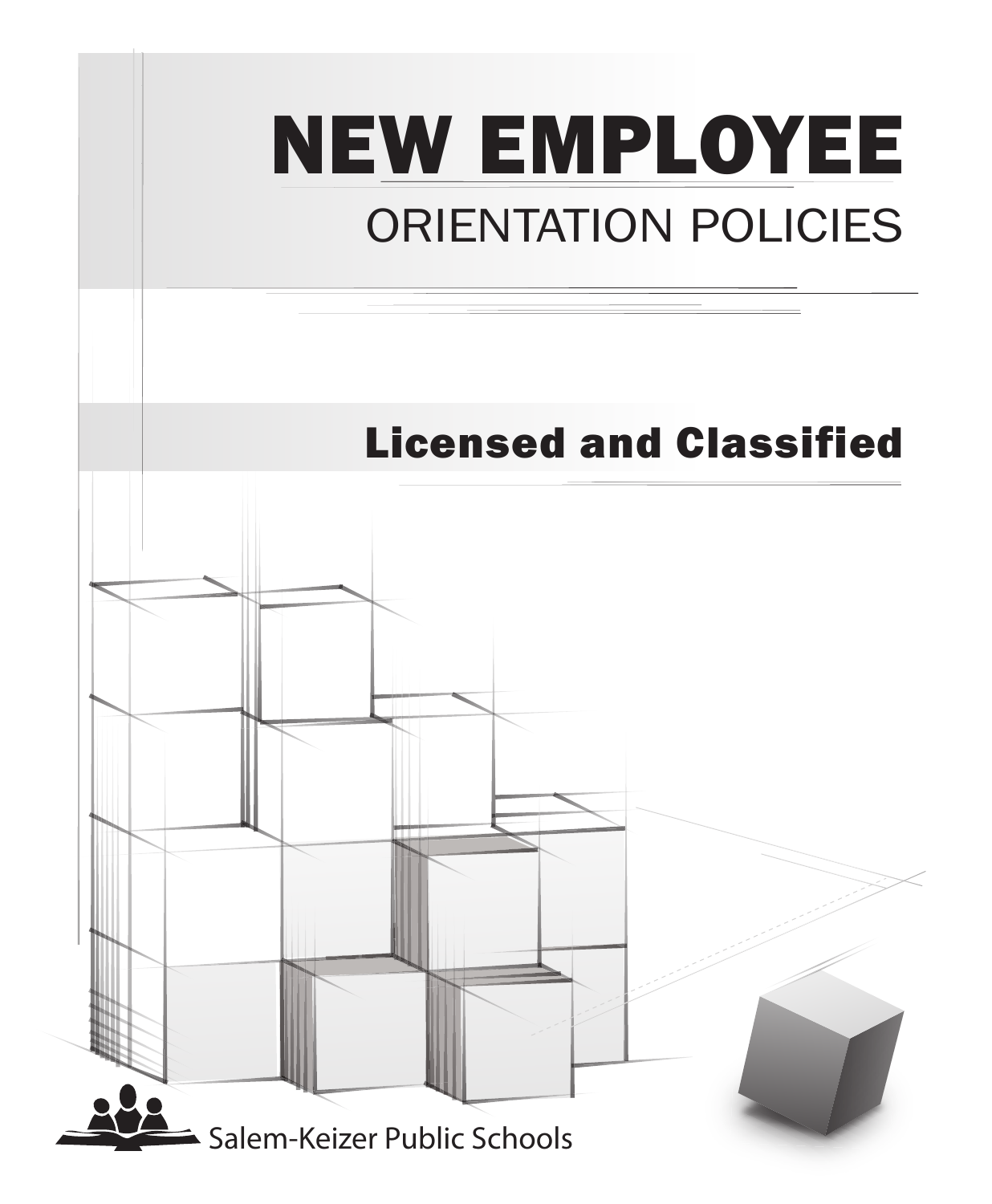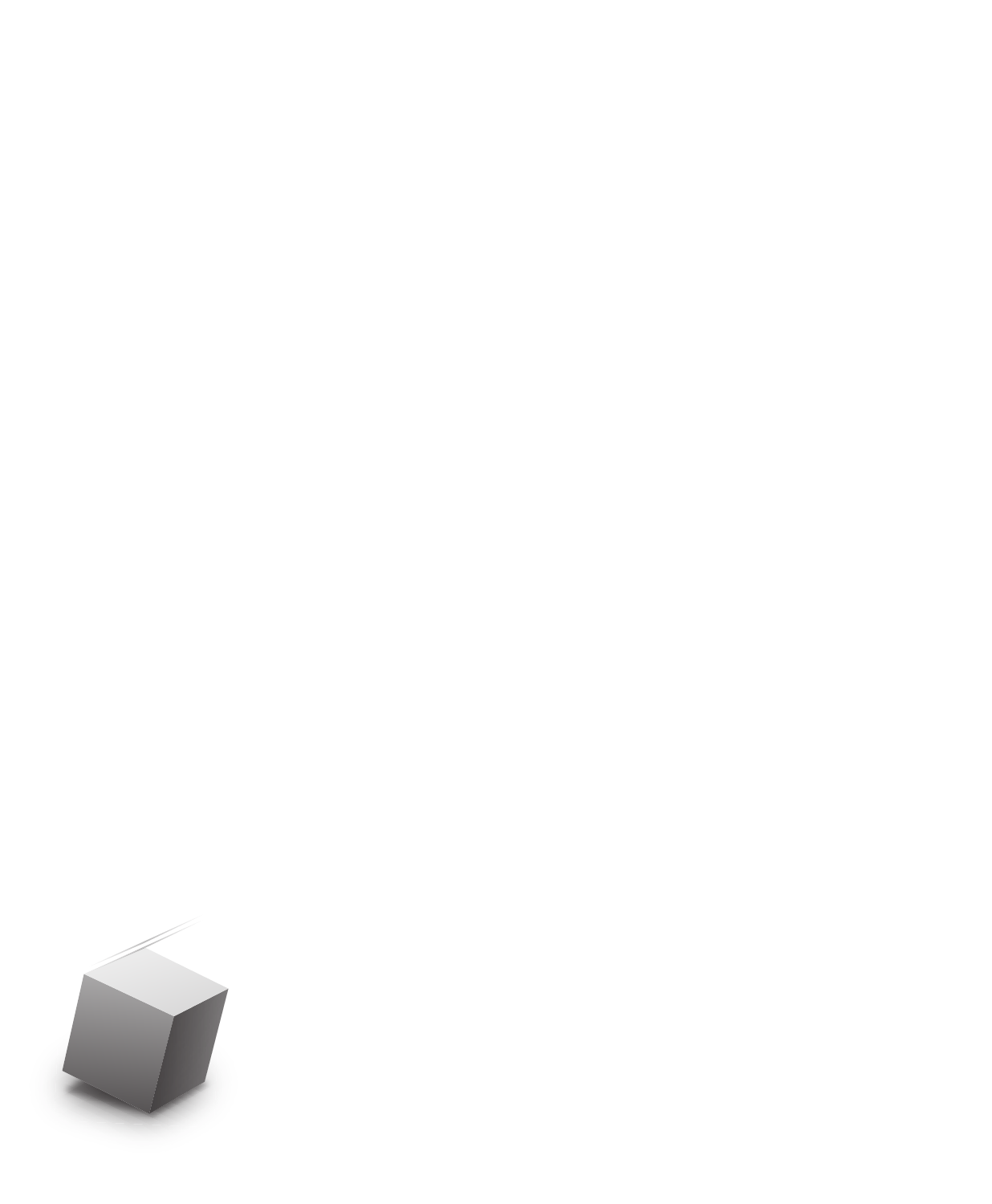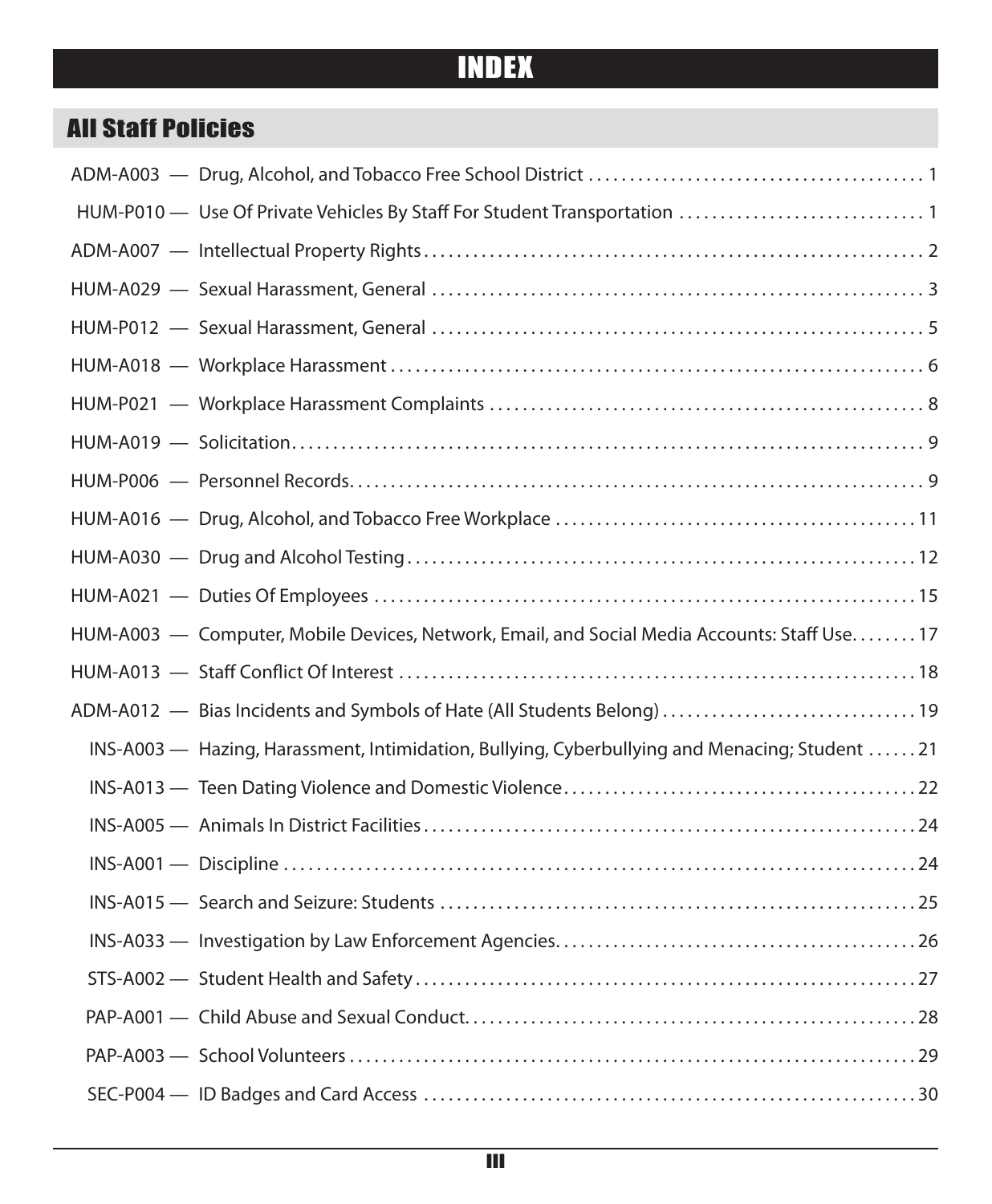# INDEX

## All Staff Policies

| HUM-A003 - Computer, Mobile Devices, Network, Email, and Social Media Accounts: Staff Use 17  |
|-----------------------------------------------------------------------------------------------|
|                                                                                               |
| ADM-A012 - Bias Incidents and Symbols of Hate (All Students Belong)  19                       |
| INS-A003 - Hazing, Harassment, Intimidation, Bullying, Cyberbullying and Menacing; Student 21 |
|                                                                                               |
|                                                                                               |
|                                                                                               |
|                                                                                               |
|                                                                                               |
|                                                                                               |
|                                                                                               |
|                                                                                               |
|                                                                                               |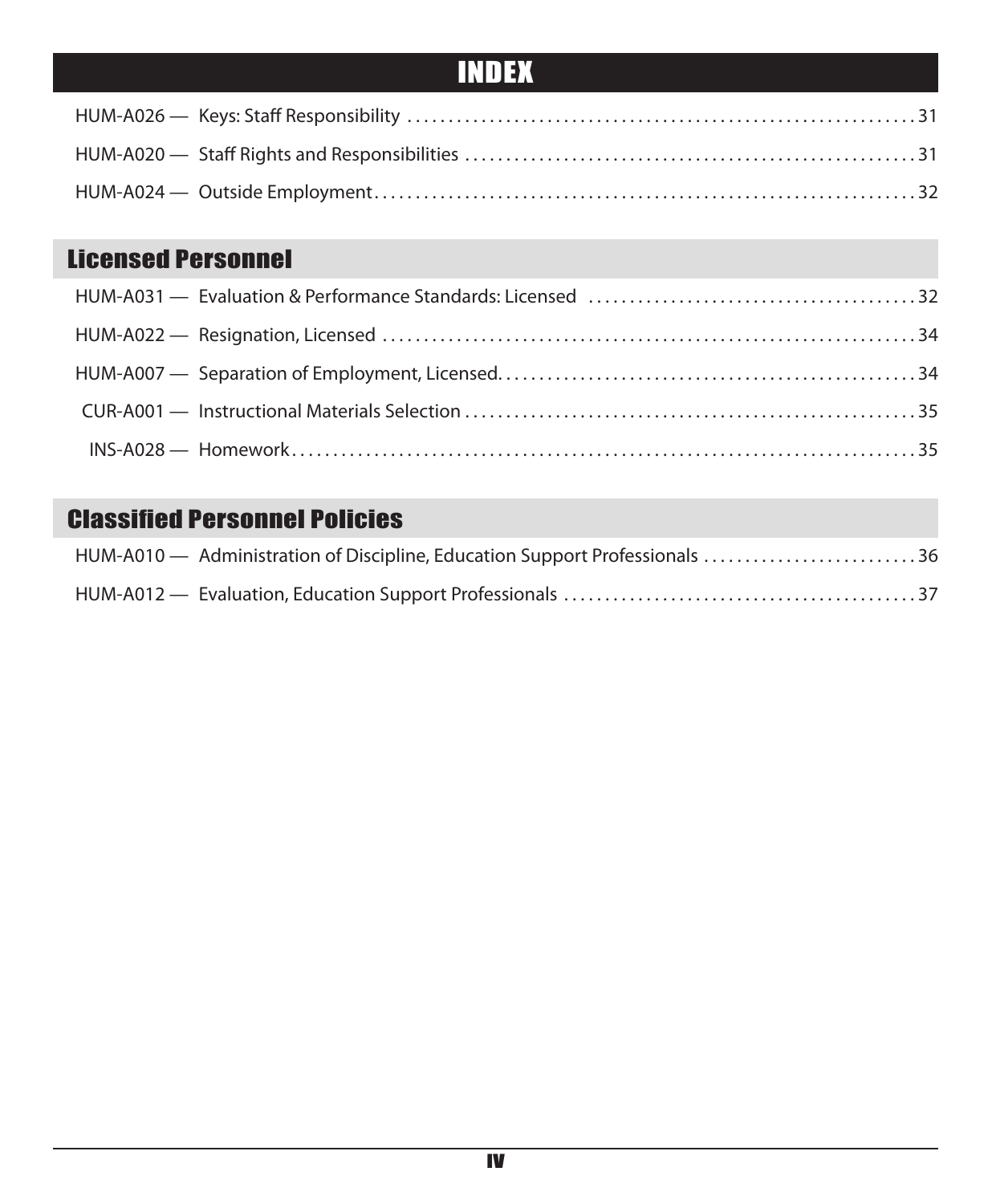# INDEX

## Licensed Personnel

## Classified Personnel Policies

| HUM-A010 — Administration of Discipline, Education Support Professionals 36 |  |
|-----------------------------------------------------------------------------|--|
|                                                                             |  |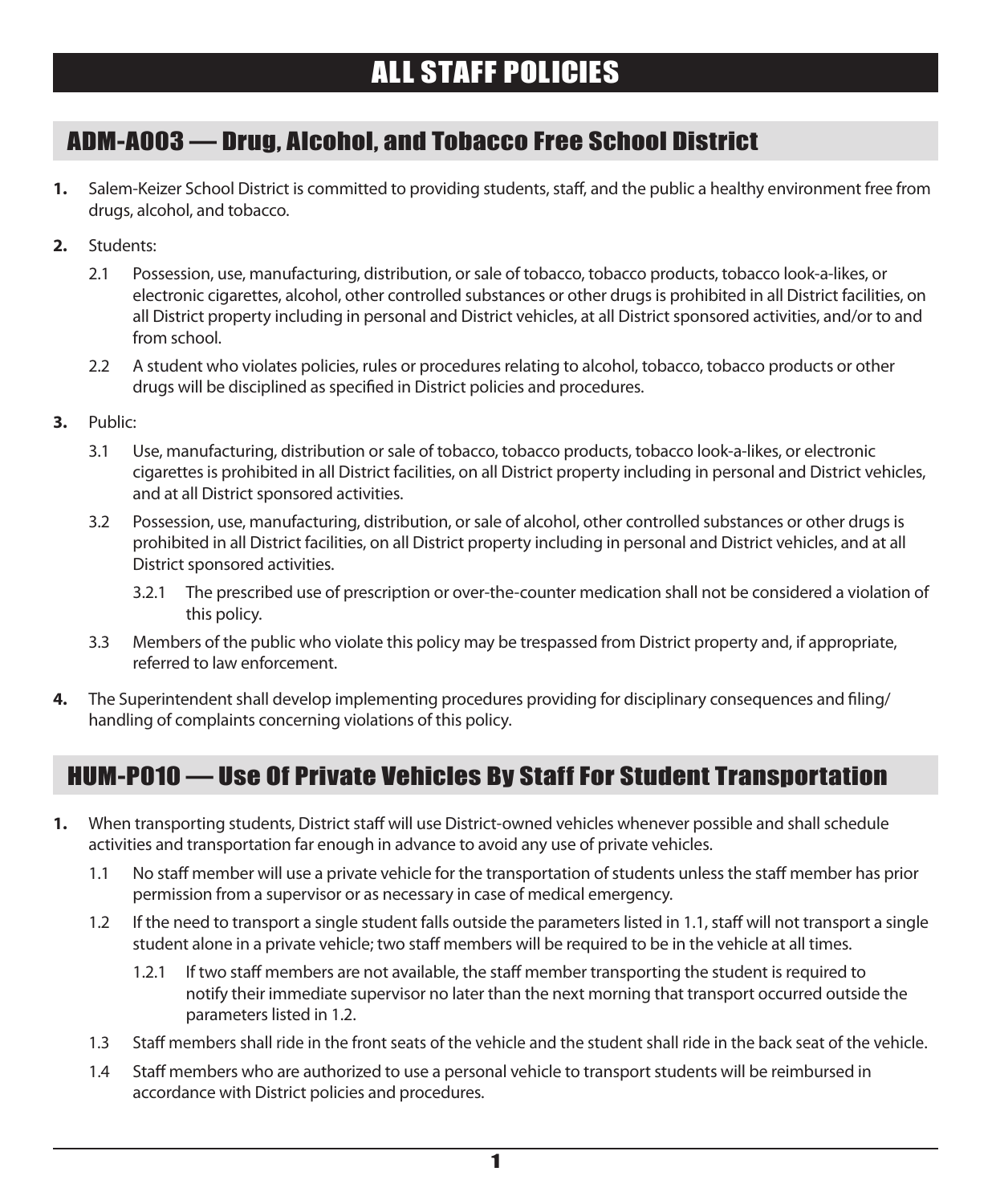## ADM-A003 — Drug, Alcohol, and Tobacco Free School District

- **1.** Salem-Keizer School District is committed to providing students, staff, and the public a healthy environment free from drugs, alcohol, and tobacco.
- **2.** Students:
	- 2.1 Possession, use, manufacturing, distribution, or sale of tobacco, tobacco products, tobacco look-a-likes, or electronic cigarettes, alcohol, other controlled substances or other drugs is prohibited in all District facilities, on all District property including in personal and District vehicles, at all District sponsored activities, and/or to and from school.
	- 2.2 A student who violates policies, rules or procedures relating to alcohol, tobacco, tobacco products or other drugs will be disciplined as specified in District policies and procedures.
- **3.** Public:
	- 3.1 Use, manufacturing, distribution or sale of tobacco, tobacco products, tobacco look-a-likes, or electronic cigarettes is prohibited in all District facilities, on all District property including in personal and District vehicles, and at all District sponsored activities.
	- 3.2 Possession, use, manufacturing, distribution, or sale of alcohol, other controlled substances or other drugs is prohibited in all District facilities, on all District property including in personal and District vehicles, and at all District sponsored activities.
		- 3.2.1 The prescribed use of prescription or over-the-counter medication shall not be considered a violation of this policy.
	- 3.3 Members of the public who violate this policy may be trespassed from District property and, if appropriate, referred to law enforcement.
- **4.** The Superintendent shall develop implementing procedures providing for disciplinary consequences and filing/ handling of complaints concerning violations of this policy.

## HUM-P010 — Use Of Private Vehicles By Staff For Student Transportation

- **1.** When transporting students, District staff will use District-owned vehicles whenever possible and shall schedule activities and transportation far enough in advance to avoid any use of private vehicles.
	- 1.1 No staff member will use a private vehicle for the transportation of students unless the staff member has prior permission from a supervisor or as necessary in case of medical emergency.
	- 1.2 If the need to transport a single student falls outside the parameters listed in 1.1, staff will not transport a single student alone in a private vehicle; two staff members will be required to be in the vehicle at all times.
		- 1.2.1 If two staff members are not available, the staff member transporting the student is required to notify their immediate supervisor no later than the next morning that transport occurred outside the parameters listed in 1.2.
	- 1.3 Staff members shall ride in the front seats of the vehicle and the student shall ride in the back seat of the vehicle.
	- 1.4 Staff members who are authorized to use a personal vehicle to transport students will be reimbursed in accordance with District policies and procedures.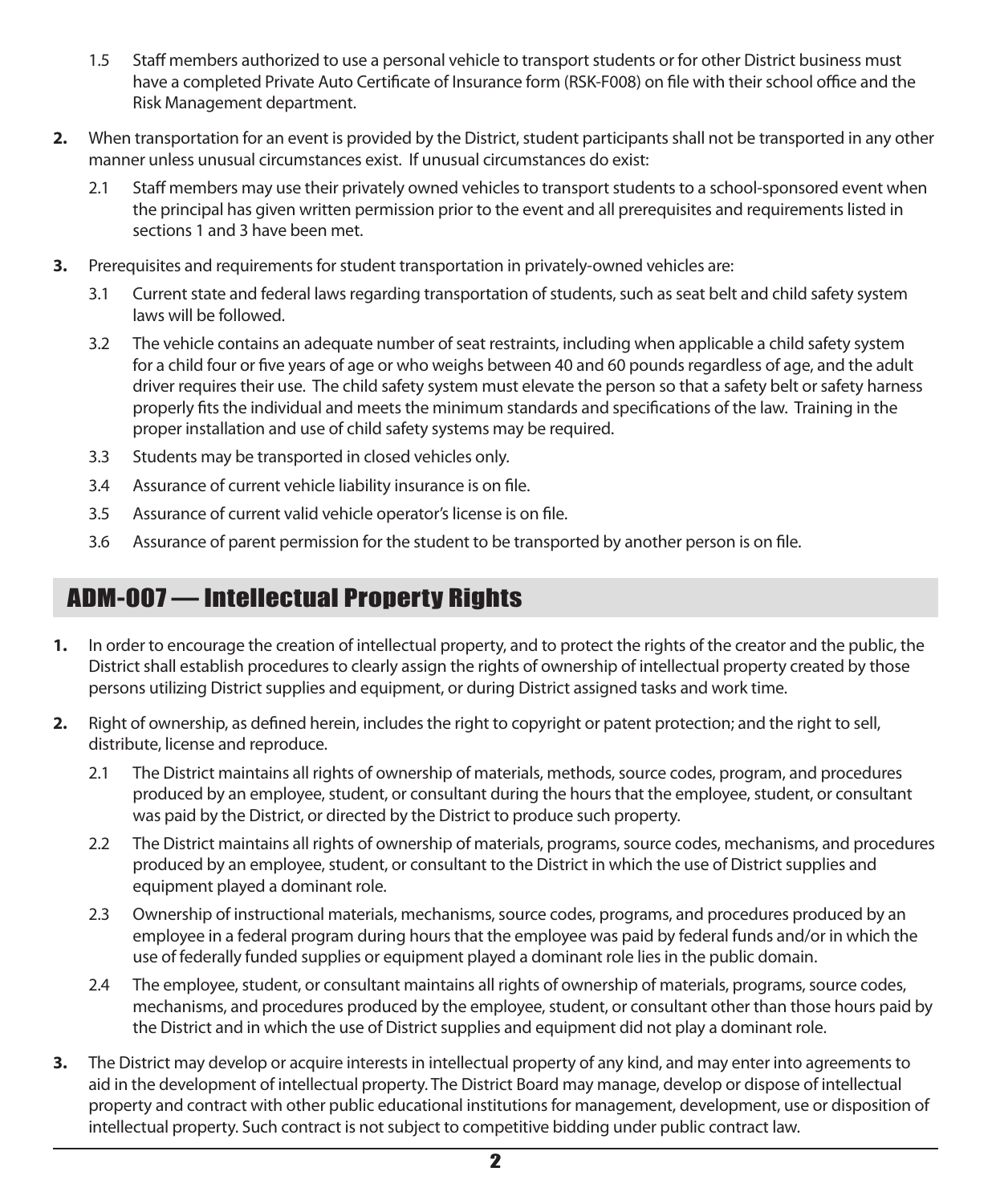- 1.5 Staff members authorized to use a personal vehicle to transport students or for other District business must have a completed Private Auto Certificate of Insurance form (RSK-F008) on file with their school office and the Risk Management department.
- **2.** When transportation for an event is provided by the District, student participants shall not be transported in any other manner unless unusual circumstances exist. If unusual circumstances do exist:
	- 2.1 Staff members may use their privately owned vehicles to transport students to a school-sponsored event when the principal has given written permission prior to the event and all prerequisites and requirements listed in sections 1 and 3 have been met.
- **3.** Prerequisites and requirements for student transportation in privately-owned vehicles are:
	- 3.1 Current state and federal laws regarding transportation of students, such as seat belt and child safety system laws will be followed.
	- 3.2 The vehicle contains an adequate number of seat restraints, including when applicable a child safety system for a child four or five years of age or who weighs between 40 and 60 pounds regardless of age, and the adult driver requires their use. The child safety system must elevate the person so that a safety belt or safety harness properly fits the individual and meets the minimum standards and specifications of the law. Training in the proper installation and use of child safety systems may be required.
	- 3.3 Students may be transported in closed vehicles only.
	- 3.4 Assurance of current vehicle liability insurance is on file.
	- 3.5 Assurance of current valid vehicle operator's license is on file.
	- 3.6 Assurance of parent permission for the student to be transported by another person is on file.

## ADM-007 — Intellectual Property Rights

- **1.** In order to encourage the creation of intellectual property, and to protect the rights of the creator and the public, the District shall establish procedures to clearly assign the rights of ownership of intellectual property created by those persons utilizing District supplies and equipment, or during District assigned tasks and work time.
- **2.** Right of ownership, as defined herein, includes the right to copyright or patent protection; and the right to sell, distribute, license and reproduce.
	- 2.1 The District maintains all rights of ownership of materials, methods, source codes, program, and procedures produced by an employee, student, or consultant during the hours that the employee, student, or consultant was paid by the District, or directed by the District to produce such property.
	- 2.2 The District maintains all rights of ownership of materials, programs, source codes, mechanisms, and procedures produced by an employee, student, or consultant to the District in which the use of District supplies and equipment played a dominant role.
	- 2.3 Ownership of instructional materials, mechanisms, source codes, programs, and procedures produced by an employee in a federal program during hours that the employee was paid by federal funds and/or in which the use of federally funded supplies or equipment played a dominant role lies in the public domain.
	- 2.4 The employee, student, or consultant maintains all rights of ownership of materials, programs, source codes, mechanisms, and procedures produced by the employee, student, or consultant other than those hours paid by the District and in which the use of District supplies and equipment did not play a dominant role.
- **3.** The District may develop or acquire interests in intellectual property of any kind, and may enter into agreements to aid in the development of intellectual property. The District Board may manage, develop or dispose of intellectual property and contract with other public educational institutions for management, development, use or disposition of intellectual property. Such contract is not subject to competitive bidding under public contract law.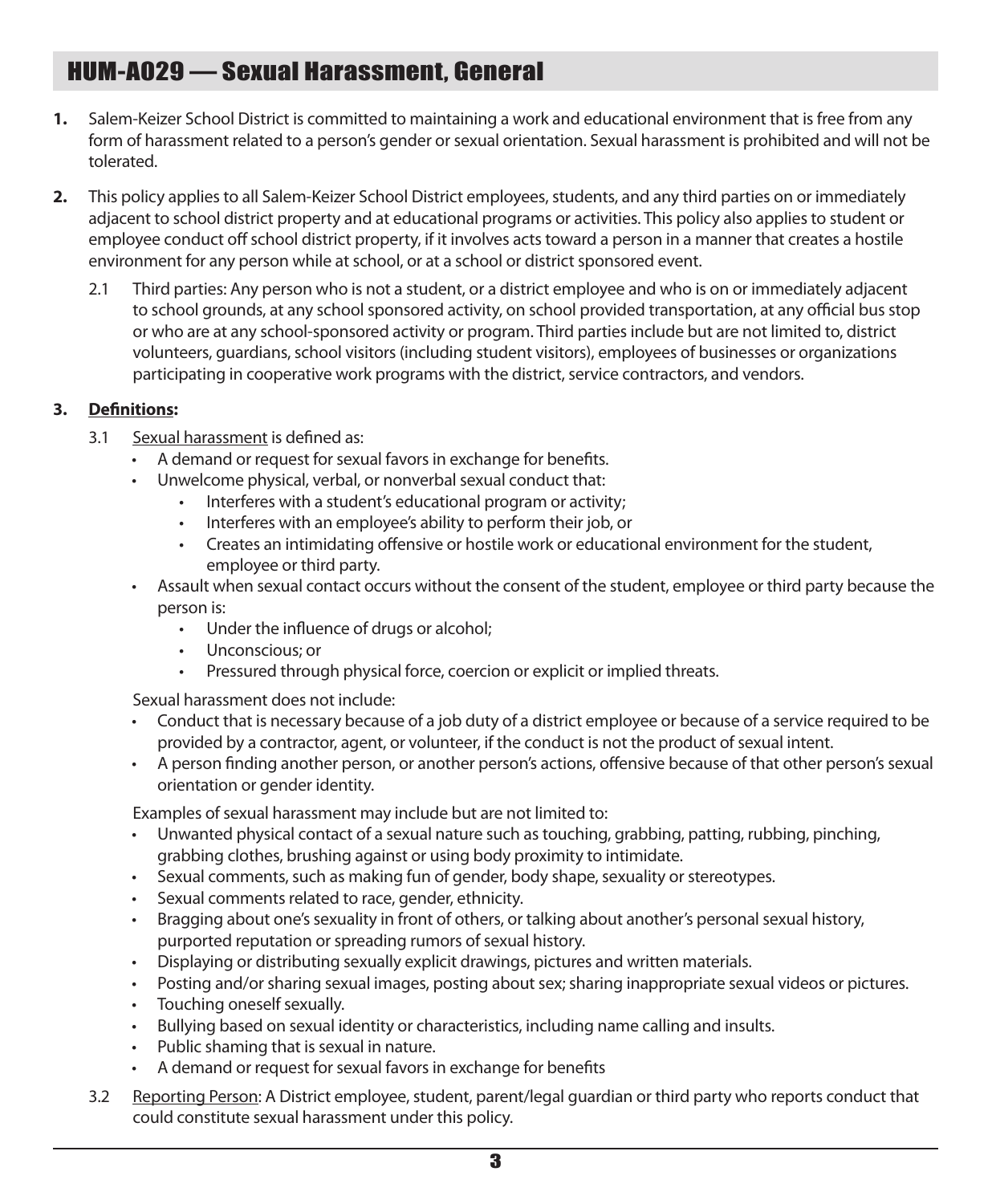## HUM-A029 — Sexual Harassment, General

- **1.** Salem-Keizer School District is committed to maintaining a work and educational environment that is free from any form of harassment related to a person's gender or sexual orientation. Sexual harassment is prohibited and will not be tolerated.
- **2.** This policy applies to all Salem-Keizer School District employees, students, and any third parties on or immediately adjacent to school district property and at educational programs or activities. This policy also applies to student or employee conduct off school district property, if it involves acts toward a person in a manner that creates a hostile environment for any person while at school, or at a school or district sponsored event.
	- 2.1 Third parties: Any person who is not a student, or a district employee and who is on or immediately adjacent to school grounds, at any school sponsored activity, on school provided transportation, at any official bus stop or who are at any school-sponsored activity or program. Third parties include but are not limited to, district volunteers, guardians, school visitors (including student visitors), employees of businesses or organizations participating in cooperative work programs with the district, service contractors, and vendors.

#### **3. Definitions:**

- 3.1 Sexual harassment is defined as:
	- A demand or request for sexual favors in exchange for benefits.
	- Unwelcome physical, verbal, or nonverbal sexual conduct that:
		- Interferes with a student's educational program or activity;
		- Interferes with an employee's ability to perform their job, or
		- Creates an intimidating offensive or hostile work or educational environment for the student, employee or third party.
	- Assault when sexual contact occurs without the consent of the student, employee or third party because the person is:
		- Under the influence of drugs or alcohol;
		- Unconscious; or
		- Pressured through physical force, coercion or explicit or implied threats.

Sexual harassment does not include:

- Conduct that is necessary because of a job duty of a district employee or because of a service required to be provided by a contractor, agent, or volunteer, if the conduct is not the product of sexual intent.
- A person finding another person, or another person's actions, offensive because of that other person's sexual orientation or gender identity.

Examples of sexual harassment may include but are not limited to:

- Unwanted physical contact of a sexual nature such as touching, grabbing, patting, rubbing, pinching, grabbing clothes, brushing against or using body proximity to intimidate.
- Sexual comments, such as making fun of gender, body shape, sexuality or stereotypes.
- Sexual comments related to race, gender, ethnicity.
- Bragging about one's sexuality in front of others, or talking about another's personal sexual history, purported reputation or spreading rumors of sexual history.
- Displaying or distributing sexually explicit drawings, pictures and written materials.
- Posting and/or sharing sexual images, posting about sex; sharing inappropriate sexual videos or pictures.
- Touching oneself sexually.
- Bullying based on sexual identity or characteristics, including name calling and insults.
- Public shaming that is sexual in nature.
- A demand or request for sexual favors in exchange for benefits
- 3.2 Reporting Person: A District employee, student, parent/legal guardian or third party who reports conduct that could constitute sexual harassment under this policy.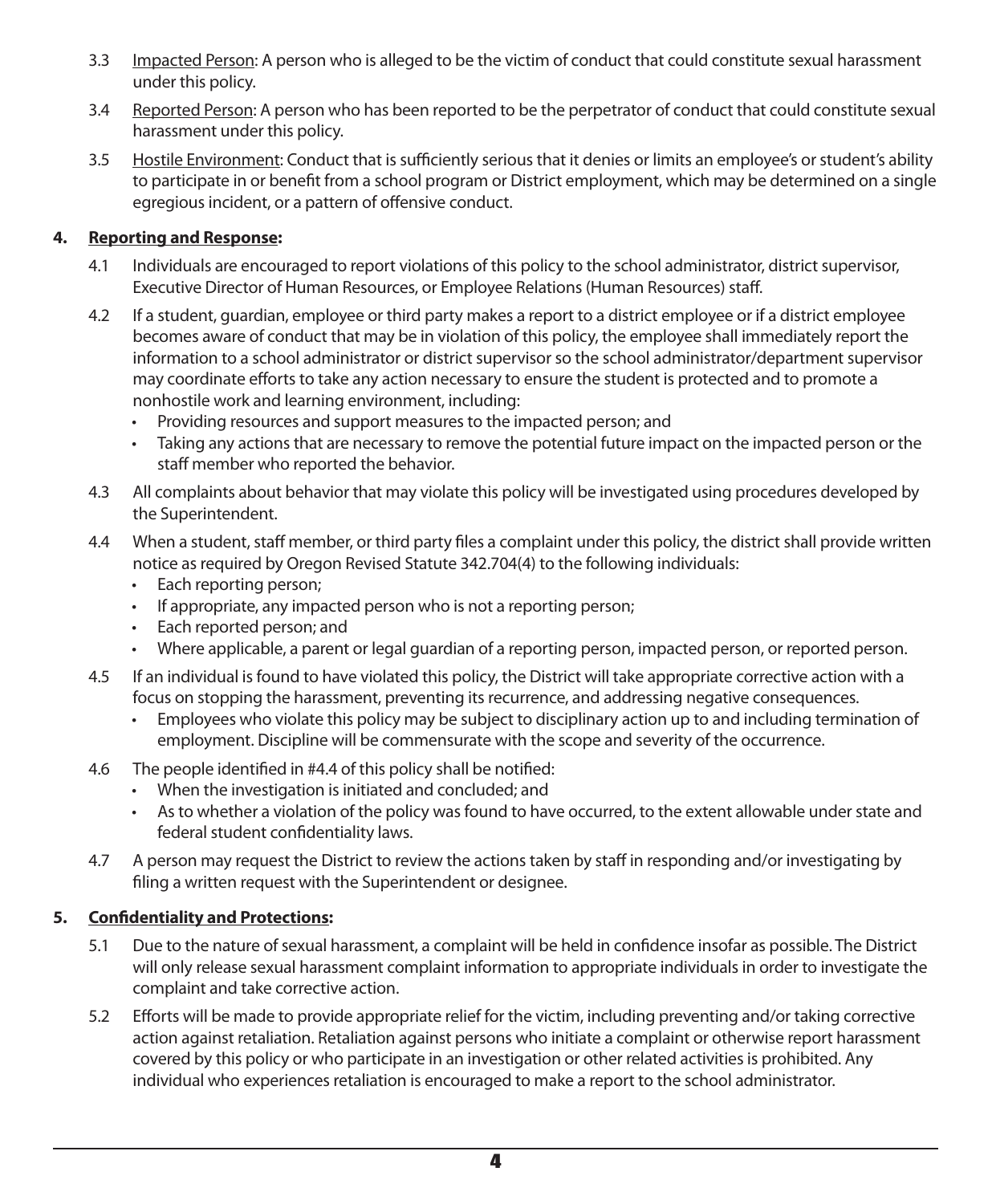- 3.3 Impacted Person: A person who is alleged to be the victim of conduct that could constitute sexual harassment under this policy.
- 3.4 Reported Person: A person who has been reported to be the perpetrator of conduct that could constitute sexual harassment under this policy.
- 3.5 Hostile Environment: Conduct that is sufficiently serious that it denies or limits an employee's or student's ability to participate in or benefit from a school program or District employment, which may be determined on a single egregious incident, or a pattern of offensive conduct.

#### **4. Reporting and Response:**

- 4.1 Individuals are encouraged to report violations of this policy to the school administrator, district supervisor, Executive Director of Human Resources, or Employee Relations (Human Resources) staff.
- 4.2 If a student, guardian, employee or third party makes a report to a district employee or if a district employee becomes aware of conduct that may be in violation of this policy, the employee shall immediately report the information to a school administrator or district supervisor so the school administrator/department supervisor may coordinate efforts to take any action necessary to ensure the student is protected and to promote a nonhostile work and learning environment, including:
	- Providing resources and support measures to the impacted person; and
	- Taking any actions that are necessary to remove the potential future impact on the impacted person or the staff member who reported the behavior.
- 4.3 All complaints about behavior that may violate this policy will be investigated using procedures developed by the Superintendent.
- 4.4 When a student, staff member, or third party files a complaint under this policy, the district shall provide written notice as required by Oregon Revised Statute 342.704(4) to the following individuals:
	- Each reporting person;
	- If appropriate, any impacted person who is not a reporting person;
	- Each reported person; and
	- Where applicable, a parent or legal guardian of a reporting person, impacted person, or reported person.
- 4.5 If an individual is found to have violated this policy, the District will take appropriate corrective action with a focus on stopping the harassment, preventing its recurrence, and addressing negative consequences.
	- Employees who violate this policy may be subject to disciplinary action up to and including termination of employment. Discipline will be commensurate with the scope and severity of the occurrence.
- 4.6 The people identified in #4.4 of this policy shall be notified:
	- When the investigation is initiated and concluded; and
	- As to whether a violation of the policy was found to have occurred, to the extent allowable under state and federal student confidentiality laws.
- 4.7 A person may request the District to review the actions taken by staff in responding and/or investigating by filing a written request with the Superintendent or designee.

#### **5. Confidentiality and Protections:**

- 5.1 Due to the nature of sexual harassment, a complaint will be held in confidence insofar as possible. The District will only release sexual harassment complaint information to appropriate individuals in order to investigate the complaint and take corrective action.
- 5.2 Efforts will be made to provide appropriate relief for the victim, including preventing and/or taking corrective action against retaliation. Retaliation against persons who initiate a complaint or otherwise report harassment covered by this policy or who participate in an investigation or other related activities is prohibited. Any individual who experiences retaliation is encouraged to make a report to the school administrator.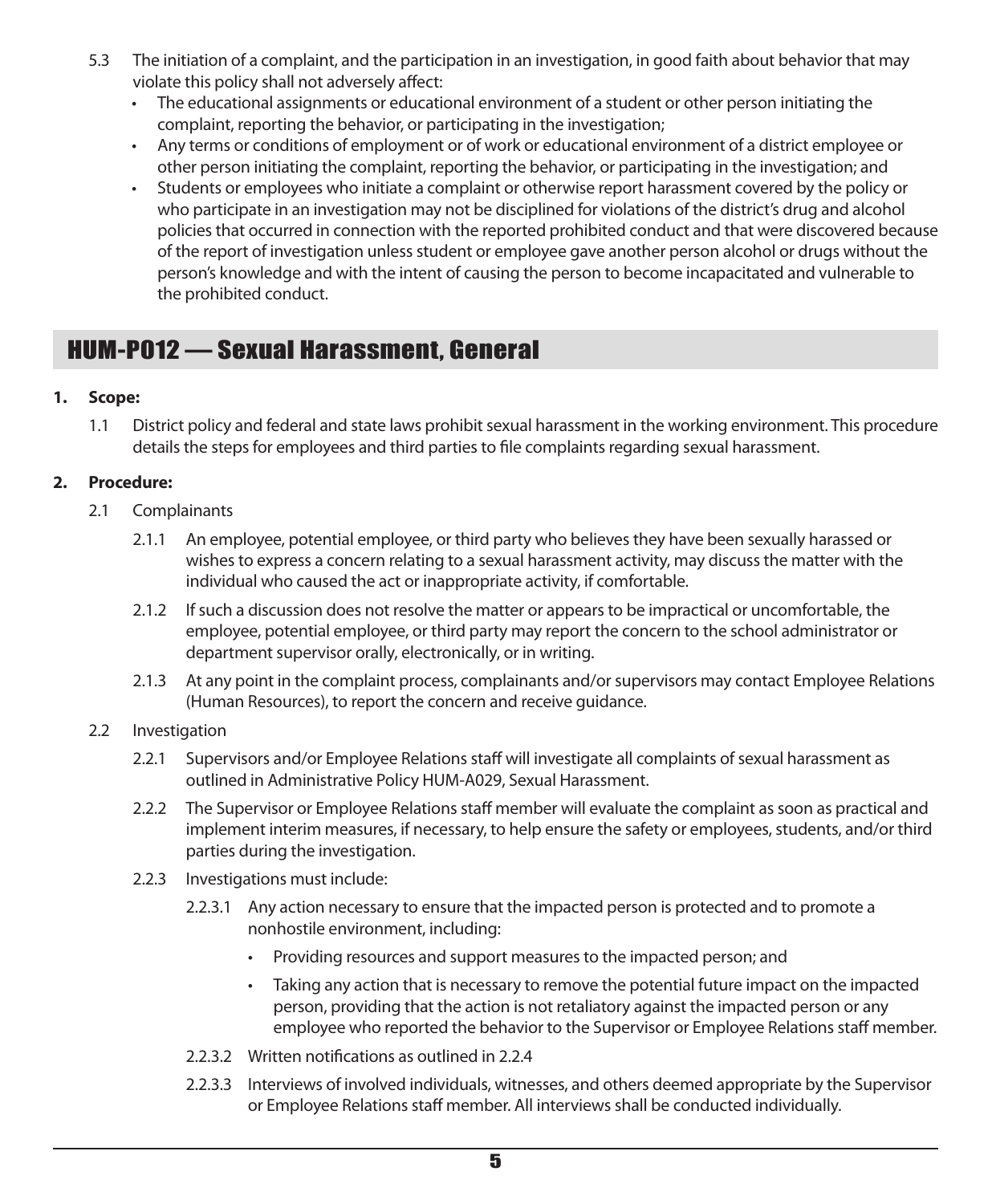- 5.3 The initiation of a complaint, and the participation in an investigation, in good faith about behavior that may violate this policy shall not adversely affect:
	- The educational assignments or educational environment of a student or other person initiating the complaint, reporting the behavior, or participating in the investigation;
	- Any terms or conditions of employment or of work or educational environment of a district employee or other person initiating the complaint, reporting the behavior, or participating in the investigation; and
	- Students or employees who initiate a complaint or otherwise report harassment covered by the policy or who participate in an investigation may not be disciplined for violations of the district's drug and alcohol policies that occurred in connection with the reported prohibited conduct and that were discovered because of the report of investigation unless student or employee gave another person alcohol or drugs without the person's knowledge and with the intent of causing the person to become incapacitated and vulnerable to the prohibited conduct.

## HUM-P012 — Sexual Harassment, General

#### **1. Scope:**

1.1 District policy and federal and state laws prohibit sexual harassment in the working environment. This procedure details the steps for employees and third parties to file complaints regarding sexual harassment.

#### **2. Procedure:**

- 2.1 Complainants
	- 2.1.1 An employee, potential employee, or third party who believes they have been sexually harassed or wishes to express a concern relating to a sexual harassment activity, may discuss the matter with the individual who caused the act or inappropriate activity, if comfortable.
	- 2.1.2 If such a discussion does not resolve the matter or appears to be impractical or uncomfortable, the employee, potential employee, or third party may report the concern to the school administrator or department supervisor orally, electronically, or in writing.
	- 2.1.3 At any point in the complaint process, complainants and/or supervisors may contact Employee Relations (Human Resources), to report the concern and receive guidance.

#### 2.2 Investigation

- 2.2.1 Supervisors and/or Employee Relations staff will investigate all complaints of sexual harassment as outlined in Administrative Policy HUM-A029, Sexual Harassment.
- 2.2.2 The Supervisor or Employee Relations staff member will evaluate the complaint as soon as practical and implement interim measures, if necessary, to help ensure the safety or employees, students, and/or third parties during the investigation.
- 2.2.3 Investigations must include:
	- 2.2.3.1 Any action necessary to ensure that the impacted person is protected and to promote a nonhostile environment, including:
		- Providing resources and support measures to the impacted person; and
		- Taking any action that is necessary to remove the potential future impact on the impacted person, providing that the action is not retaliatory against the impacted person or any employee who reported the behavior to the Supervisor or Employee Relations staff member.
	- 2.2.3.2 Written notifications as outlined in 2.2.4
	- 2.2.3.3 Interviews of involved individuals, witnesses, and others deemed appropriate by the Supervisor or Employee Relations staff member. All interviews shall be conducted individually.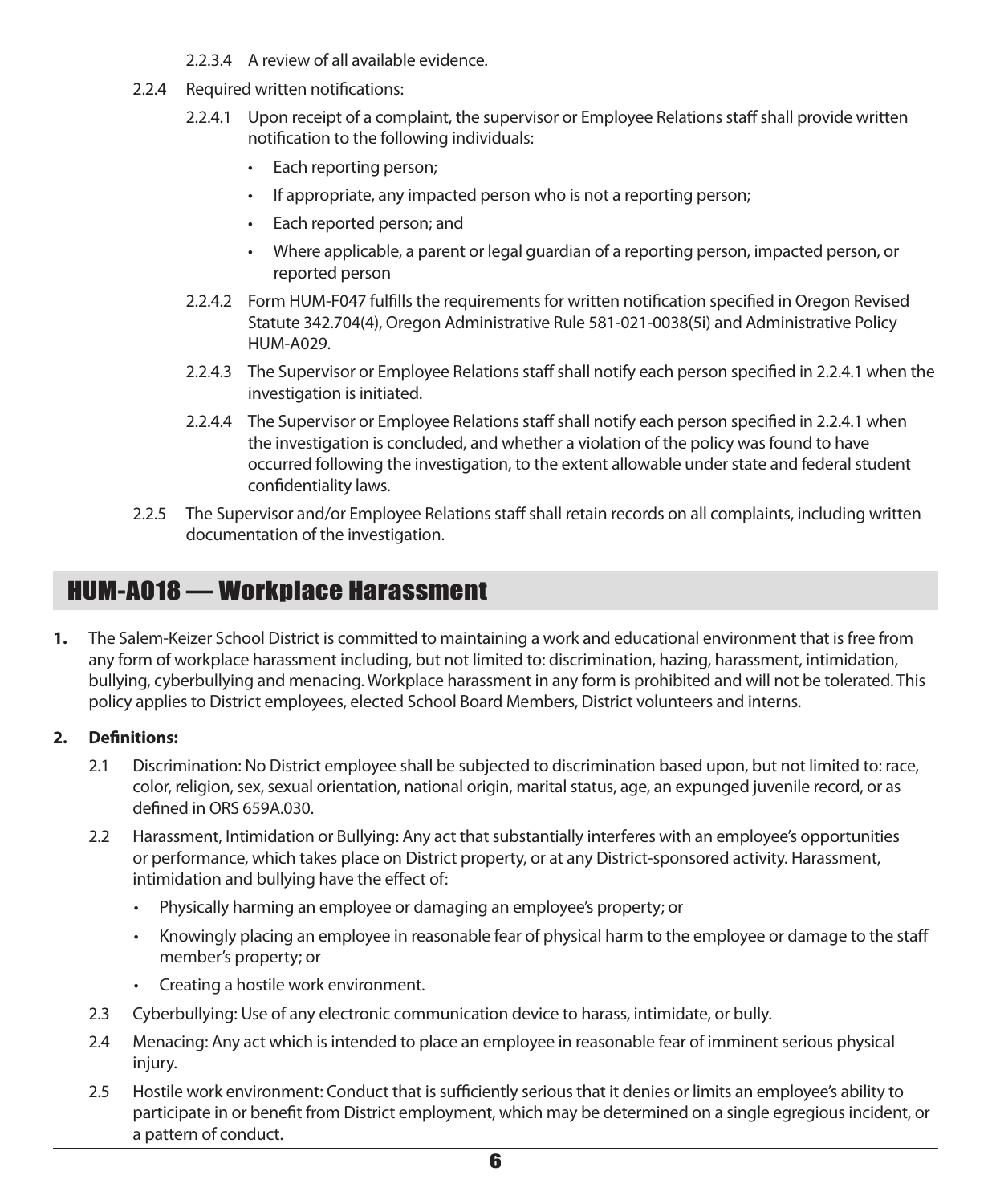- 2.2.3.4 A review of all available evidence.
- 2.2.4 Required written notifications:
	- 2.2.4.1 Upon receipt of a complaint, the supervisor or Employee Relations staff shall provide written notification to the following individuals:
		- Each reporting person;
		- If appropriate, any impacted person who is not a reporting person;
		- Each reported person; and
		- Where applicable, a parent or legal guardian of a reporting person, impacted person, or reported person
	- 2.2.4.2 Form HUM-F047 fulfills the requirements for written notification specified in Oregon Revised Statute 342.704(4), Oregon Administrative Rule 581-021-0038(5i) and Administrative Policy HUM-A029.
	- 2.2.4.3 The Supervisor or Employee Relations staff shall notify each person specified in 2.2.4.1 when the investigation is initiated.
	- 2.2.4.4 The Supervisor or Employee Relations staff shall notify each person specified in 2.2.4.1 when the investigation is concluded, and whether a violation of the policy was found to have occurred following the investigation, to the extent allowable under state and federal student confidentiality laws.
- 2.2.5 The Supervisor and/or Employee Relations staff shall retain records on all complaints, including written documentation of the investigation.

### HUM-A018 — Workplace Harassment

**1.** The Salem-Keizer School District is committed to maintaining a work and educational environment that is free from any form of workplace harassment including, but not limited to: discrimination, hazing, harassment, intimidation, bullying, cyberbullying and menacing. Workplace harassment in any form is prohibited and will not be tolerated. This policy applies to District employees, elected School Board Members, District volunteers and interns.

#### **2. Definitions:**

- 2.1 Discrimination: No District employee shall be subjected to discrimination based upon, but not limited to: race, color, religion, sex, sexual orientation, national origin, marital status, age, an expunged juvenile record, or as defined in ORS 659A.030.
- 2.2 Harassment, Intimidation or Bullying: Any act that substantially interferes with an employee's opportunities or performance, which takes place on District property, or at any District-sponsored activity. Harassment, intimidation and bullying have the effect of:
	- Physically harming an employee or damaging an employee's property; or
	- Knowingly placing an employee in reasonable fear of physical harm to the employee or damage to the staff member's property; or
	- Creating a hostile work environment.
- 2.3 Cyberbullying: Use of any electronic communication device to harass, intimidate, or bully.
- 2.4 Menacing: Any act which is intended to place an employee in reasonable fear of imminent serious physical injury.
- 2.5 Hostile work environment: Conduct that is sufficiently serious that it denies or limits an employee's ability to participate in or benefit from District employment, which may be determined on a single egregious incident, or a pattern of conduct.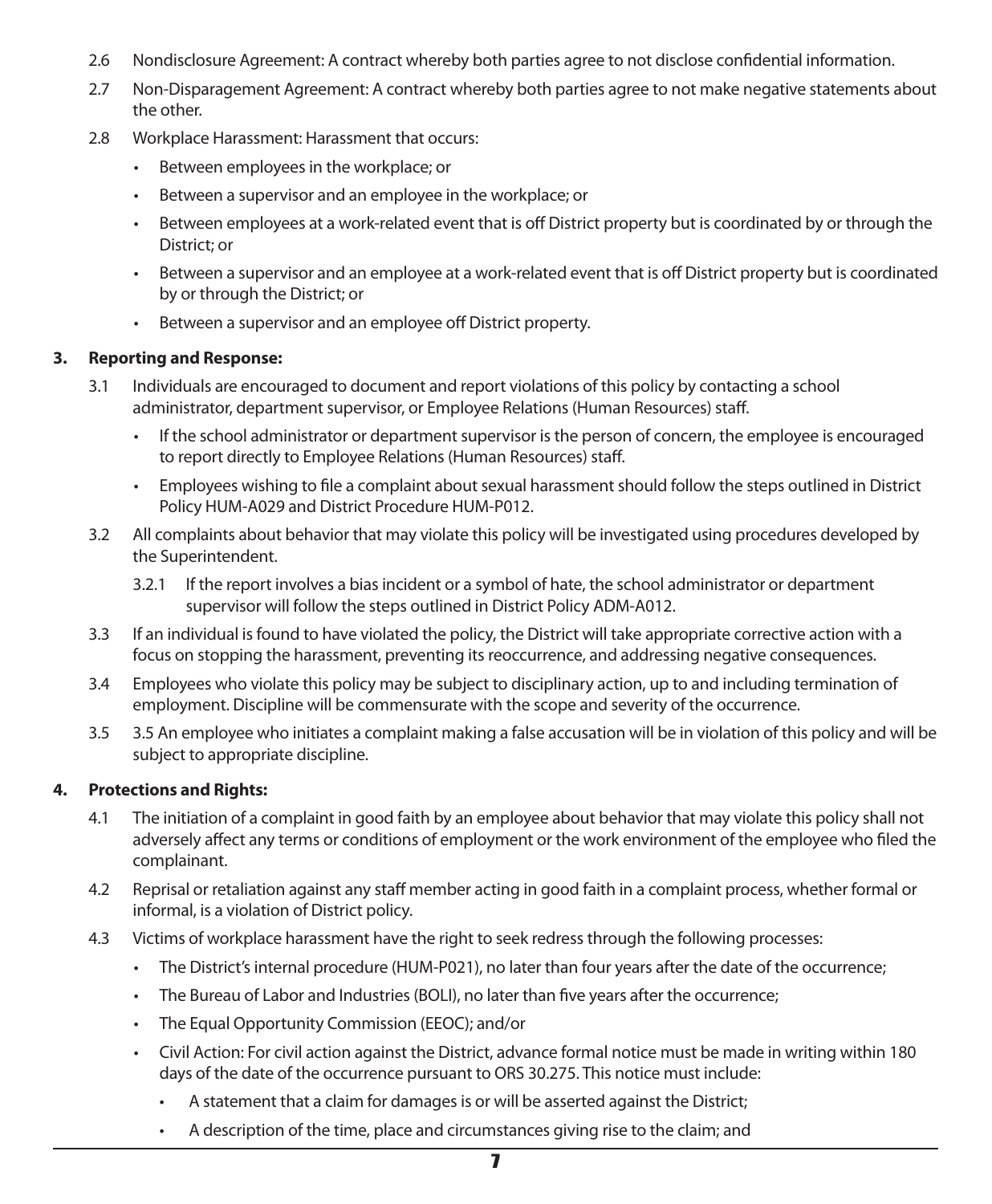- 2.6 Nondisclosure Agreement: A contract whereby both parties agree to not disclose confidential information.
- 2.7 Non-Disparagement Agreement: A contract whereby both parties agree to not make negative statements about the other.
- 2.8 Workplace Harassment: Harassment that occurs:
	- Between employees in the workplace; or
	- Between a supervisor and an employee in the workplace; or
	- Between employees at a work-related event that is off District property but is coordinated by or through the District; or
	- Between a supervisor and an employee at a work-related event that is off District property but is coordinated by or through the District; or
	- Between a supervisor and an employee off District property.

#### **3. Reporting and Response:**

- 3.1 Individuals are encouraged to document and report violations of this policy by contacting a school administrator, department supervisor, or Employee Relations (Human Resources) staff.
	- If the school administrator or department supervisor is the person of concern, the employee is encouraged to report directly to Employee Relations (Human Resources) staff.
	- Employees wishing to file a complaint about sexual harassment should follow the steps outlined in District Policy HUM-A029 and District Procedure HUM-P012.
- 3.2 All complaints about behavior that may violate this policy will be investigated using procedures developed by the Superintendent.
	- 3.2.1 If the report involves a bias incident or a symbol of hate, the school administrator or department supervisor will follow the steps outlined in District Policy ADM-A012.
- 3.3 If an individual is found to have violated the policy, the District will take appropriate corrective action with a focus on stopping the harassment, preventing its reoccurrence, and addressing negative consequences.
- 3.4 Employees who violate this policy may be subject to disciplinary action, up to and including termination of employment. Discipline will be commensurate with the scope and severity of the occurrence.
- 3.5 3.5 An employee who initiates a complaint making a false accusation will be in violation of this policy and will be subject to appropriate discipline.

#### **4. Protections and Rights:**

- 4.1 The initiation of a complaint in good faith by an employee about behavior that may violate this policy shall not adversely affect any terms or conditions of employment or the work environment of the employee who filed the complainant.
- 4.2 Reprisal or retaliation against any staff member acting in good faith in a complaint process, whether formal or informal, is a violation of District policy.
- 4.3 Victims of workplace harassment have the right to seek redress through the following processes:
	- The District's internal procedure (HUM-P021), no later than four years after the date of the occurrence;
	- The Bureau of Labor and Industries (BOLI), no later than five years after the occurrence;
	- The Equal Opportunity Commission (EEOC); and/or
	- Civil Action: For civil action against the District, advance formal notice must be made in writing within 180 days of the date of the occurrence pursuant to ORS 30.275. This notice must include:
		- A statement that a claim for damages is or will be asserted against the District;
		- A description of the time, place and circumstances giving rise to the claim; and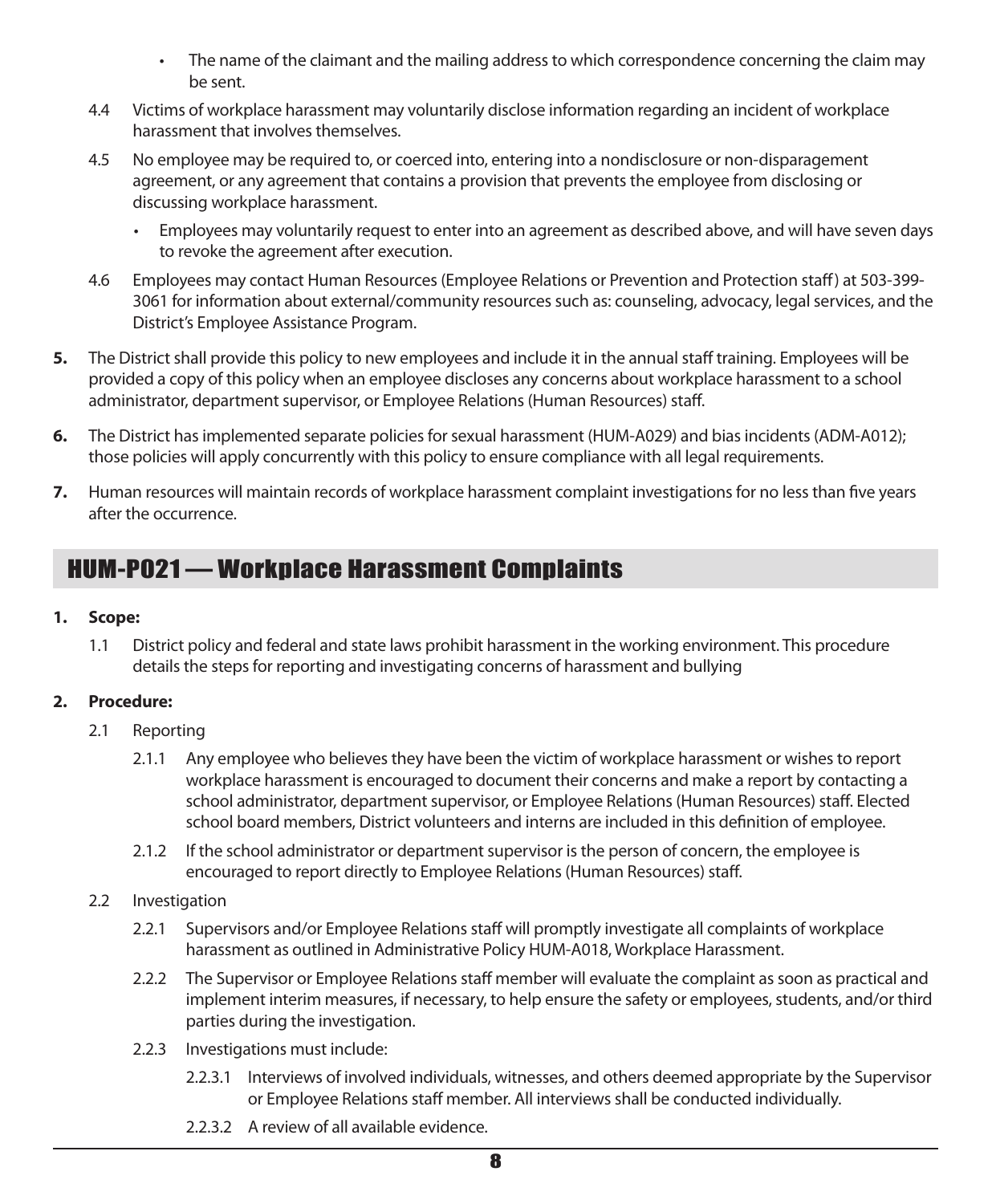- The name of the claimant and the mailing address to which correspondence concerning the claim may be sent.
- 4.4 Victims of workplace harassment may voluntarily disclose information regarding an incident of workplace harassment that involves themselves.
- 4.5 No employee may be required to, or coerced into, entering into a nondisclosure or non-disparagement agreement, or any agreement that contains a provision that prevents the employee from disclosing or discussing workplace harassment.
	- Employees may voluntarily request to enter into an agreement as described above, and will have seven days to revoke the agreement after execution.
- 4.6 Employees may contact Human Resources (Employee Relations or Prevention and Protection staff) at 503-399- 3061 for information about external/community resources such as: counseling, advocacy, legal services, and the District's Employee Assistance Program.
- **5.** The District shall provide this policy to new employees and include it in the annual staff training. Employees will be provided a copy of this policy when an employee discloses any concerns about workplace harassment to a school administrator, department supervisor, or Employee Relations (Human Resources) staff.
- **6.** The District has implemented separate policies for sexual harassment (HUM-A029) and bias incidents (ADM-A012); those policies will apply concurrently with this policy to ensure compliance with all legal requirements.
- **7.** Human resources will maintain records of workplace harassment complaint investigations for no less than five years after the occurrence.

## HUM-P021 — Workplace Harassment Complaints

#### **1. Scope:**

1.1 District policy and federal and state laws prohibit harassment in the working environment. This procedure details the steps for reporting and investigating concerns of harassment and bullying

#### **2. Procedure:**

- 2.1 Reporting
	- 2.1.1 Any employee who believes they have been the victim of workplace harassment or wishes to report workplace harassment is encouraged to document their concerns and make a report by contacting a school administrator, department supervisor, or Employee Relations (Human Resources) staff. Elected school board members, District volunteers and interns are included in this definition of employee.
	- 2.1.2 If the school administrator or department supervisor is the person of concern, the employee is encouraged to report directly to Employee Relations (Human Resources) staff.
- 2.2 Investigation
	- 2.2.1 Supervisors and/or Employee Relations staff will promptly investigate all complaints of workplace harassment as outlined in Administrative Policy HUM-A018, Workplace Harassment.
	- 2.2.2 The Supervisor or Employee Relations staff member will evaluate the complaint as soon as practical and implement interim measures, if necessary, to help ensure the safety or employees, students, and/or third parties during the investigation.
	- 2.2.3 Investigations must include:
		- 2.2.3.1 Interviews of involved individuals, witnesses, and others deemed appropriate by the Supervisor or Employee Relations staff member. All interviews shall be conducted individually.
		- 2.2.3.2 A review of all available evidence.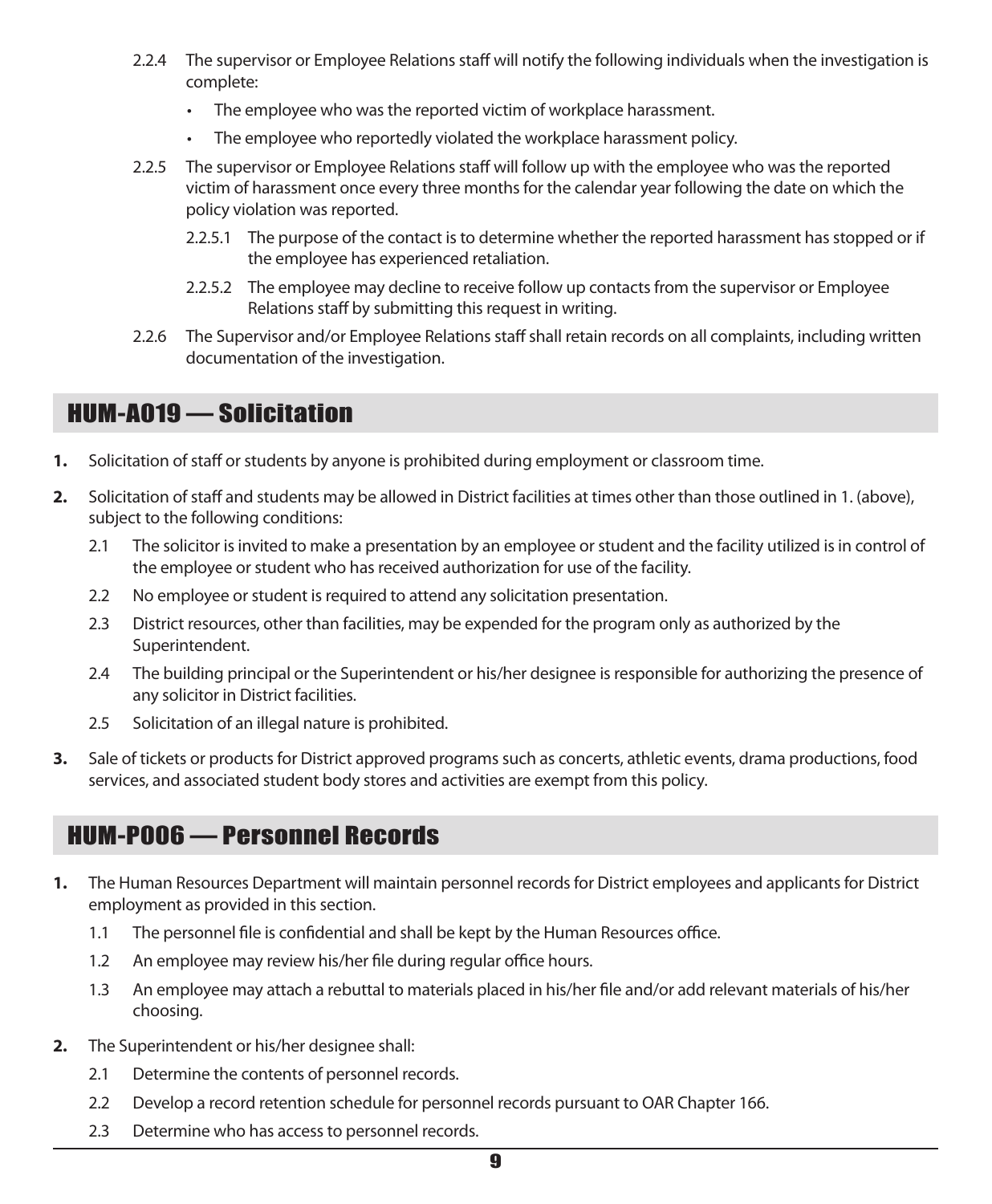- 2.2.4 The supervisor or Employee Relations staff will notify the following individuals when the investigation is complete:
	- The employee who was the reported victim of workplace harassment.
	- The employee who reportedly violated the workplace harassment policy.
- 2.2.5 The supervisor or Employee Relations staff will follow up with the employee who was the reported victim of harassment once every three months for the calendar year following the date on which the policy violation was reported.
	- 2.2.5.1 The purpose of the contact is to determine whether the reported harassment has stopped or if the employee has experienced retaliation.
	- 2.2.5.2 The employee may decline to receive follow up contacts from the supervisor or Employee Relations staff by submitting this request in writing.
- 2.2.6 The Supervisor and/or Employee Relations staff shall retain records on all complaints, including written documentation of the investigation.

## HUM-A019 — Solicitation

- **1.** Solicitation of staff or students by anyone is prohibited during employment or classroom time.
- **2.** Solicitation of staff and students may be allowed in District facilities at times other than those outlined in 1. (above), subject to the following conditions:
	- 2.1 The solicitor is invited to make a presentation by an employee or student and the facility utilized is in control of the employee or student who has received authorization for use of the facility.
	- 2.2 No employee or student is required to attend any solicitation presentation.
	- 2.3 District resources, other than facilities, may be expended for the program only as authorized by the Superintendent.
	- 2.4 The building principal or the Superintendent or his/her designee is responsible for authorizing the presence of any solicitor in District facilities.
	- 2.5 Solicitation of an illegal nature is prohibited.
- **3.** Sale of tickets or products for District approved programs such as concerts, athletic events, drama productions, food services, and associated student body stores and activities are exempt from this policy.

## HUM-P006 — Personnel Records

- **1.** The Human Resources Department will maintain personnel records for District employees and applicants for District employment as provided in this section.
	- 1.1 The personnel file is confidential and shall be kept by the Human Resources office.
	- 1.2 An employee may review his/her file during regular office hours.
	- 1.3 An employee may attach a rebuttal to materials placed in his/her file and/or add relevant materials of his/her choosing.
- **2.** The Superintendent or his/her designee shall:
	- 2.1 Determine the contents of personnel records.
	- 2.2 Develop a record retention schedule for personnel records pursuant to OAR Chapter 166.
	- 2.3 Determine who has access to personnel records.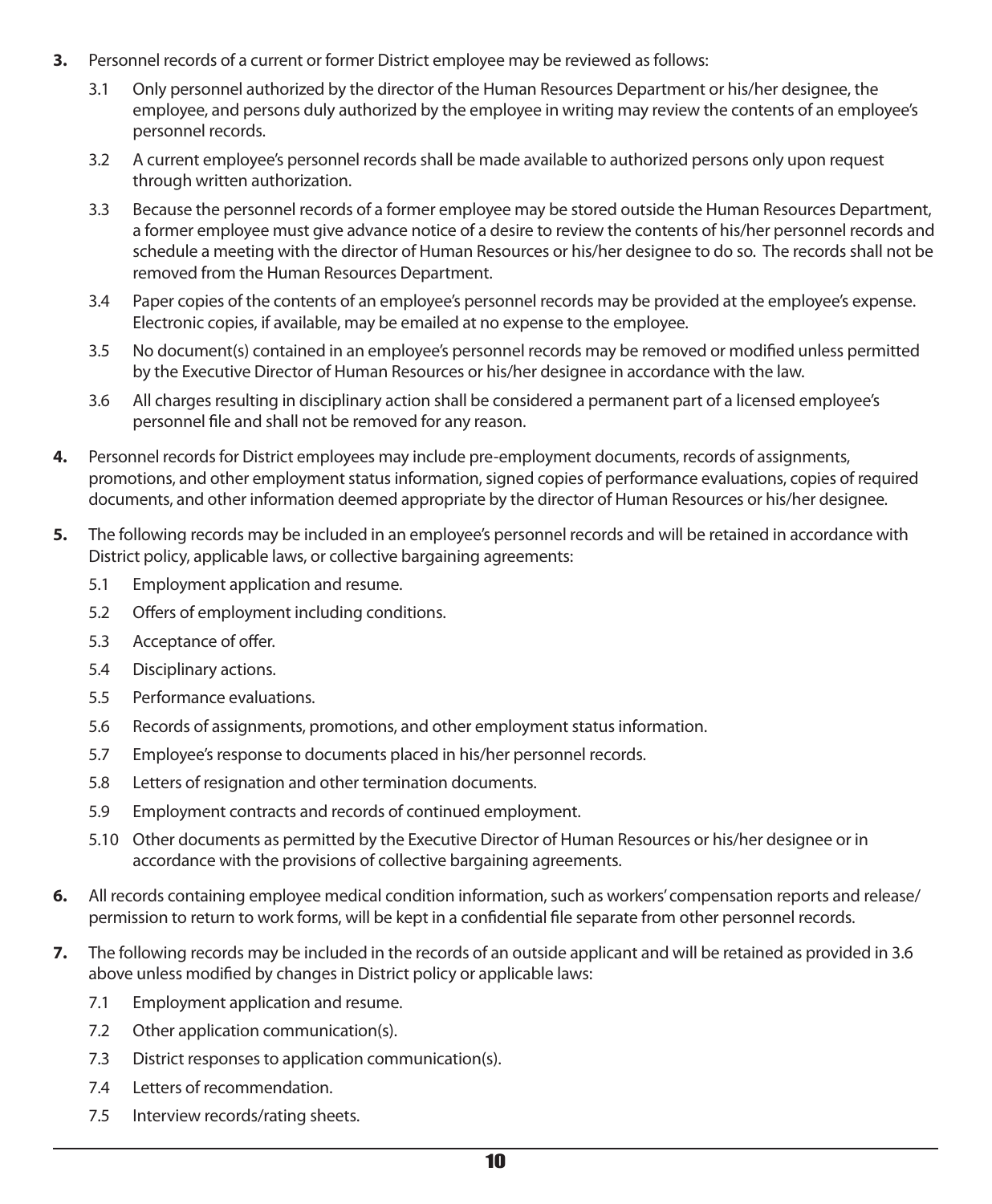- **3.** Personnel records of a current or former District employee may be reviewed as follows:
	- 3.1 Only personnel authorized by the director of the Human Resources Department or his/her designee, the employee, and persons duly authorized by the employee in writing may review the contents of an employee's personnel records.
	- 3.2 A current employee's personnel records shall be made available to authorized persons only upon request through written authorization.
	- 3.3 Because the personnel records of a former employee may be stored outside the Human Resources Department, a former employee must give advance notice of a desire to review the contents of his/her personnel records and schedule a meeting with the director of Human Resources or his/her designee to do so. The records shall not be removed from the Human Resources Department.
	- 3.4 Paper copies of the contents of an employee's personnel records may be provided at the employee's expense. Electronic copies, if available, may be emailed at no expense to the employee.
	- 3.5 No document(s) contained in an employee's personnel records may be removed or modified unless permitted by the Executive Director of Human Resources or his/her designee in accordance with the law.
	- 3.6 All charges resulting in disciplinary action shall be considered a permanent part of a licensed employee's personnel file and shall not be removed for any reason.
- **4.** Personnel records for District employees may include pre-employment documents, records of assignments, promotions, and other employment status information, signed copies of performance evaluations, copies of required documents, and other information deemed appropriate by the director of Human Resources or his/her designee.
- **5.** The following records may be included in an employee's personnel records and will be retained in accordance with District policy, applicable laws, or collective bargaining agreements:
	- 5.1 Employment application and resume.
	- 5.2 Offers of employment including conditions.
	- 5.3 Acceptance of offer.
	- 5.4 Disciplinary actions.
	- 5.5 Performance evaluations.
	- 5.6 Records of assignments, promotions, and other employment status information.
	- 5.7 Employee's response to documents placed in his/her personnel records.
	- 5.8 Letters of resignation and other termination documents.
	- 5.9 Employment contracts and records of continued employment.
	- 5.10 Other documents as permitted by the Executive Director of Human Resources or his/her designee or in accordance with the provisions of collective bargaining agreements.
- **6.** All records containing employee medical condition information, such as workers' compensation reports and release/ permission to return to work forms, will be kept in a confidential file separate from other personnel records.
- **7.** The following records may be included in the records of an outside applicant and will be retained as provided in 3.6 above unless modified by changes in District policy or applicable laws:
	- 7.1 Employment application and resume.
	- 7.2 Other application communication(s).
	- 7.3 District responses to application communication(s).
	- 7.4 Letters of recommendation.
	- 7.5 Interview records/rating sheets.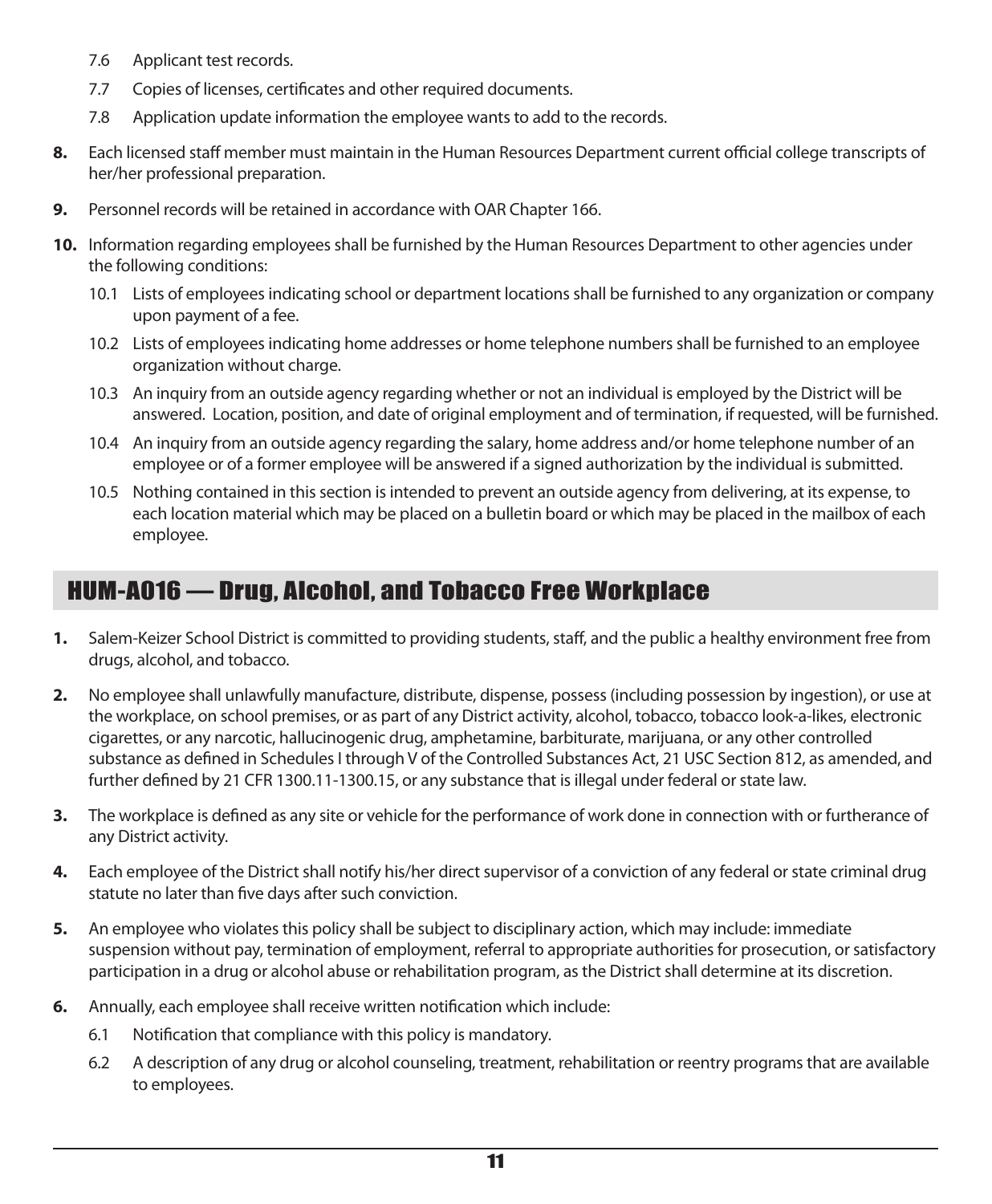- 7.6 Applicant test records.
- 7.7 Copies of licenses, certificates and other required documents.
- 7.8 Application update information the employee wants to add to the records.
- **8.** Each licensed staff member must maintain in the Human Resources Department current official college transcripts of her/her professional preparation.
- **9.** Personnel records will be retained in accordance with OAR Chapter 166.
- **10.** Information regarding employees shall be furnished by the Human Resources Department to other agencies under the following conditions:
	- 10.1 Lists of employees indicating school or department locations shall be furnished to any organization or company upon payment of a fee.
	- 10.2 Lists of employees indicating home addresses or home telephone numbers shall be furnished to an employee organization without charge.
	- 10.3 An inquiry from an outside agency regarding whether or not an individual is employed by the District will be answered. Location, position, and date of original employment and of termination, if requested, will be furnished.
	- 10.4 An inquiry from an outside agency regarding the salary, home address and/or home telephone number of an employee or of a former employee will be answered if a signed authorization by the individual is submitted.
	- 10.5 Nothing contained in this section is intended to prevent an outside agency from delivering, at its expense, to each location material which may be placed on a bulletin board or which may be placed in the mailbox of each employee.

## HUM-A016 — Drug, Alcohol, and Tobacco Free Workplace

- **1.** Salem-Keizer School District is committed to providing students, staff, and the public a healthy environment free from drugs, alcohol, and tobacco.
- **2.** No employee shall unlawfully manufacture, distribute, dispense, possess (including possession by ingestion), or use at the workplace, on school premises, or as part of any District activity, alcohol, tobacco, tobacco look-a-likes, electronic cigarettes, or any narcotic, hallucinogenic drug, amphetamine, barbiturate, marijuana, or any other controlled substance as defined in Schedules I through V of the Controlled Substances Act, 21 USC Section 812, as amended, and further defined by 21 CFR 1300.11-1300.15, or any substance that is illegal under federal or state law.
- **3.** The workplace is defined as any site or vehicle for the performance of work done in connection with or furtherance of any District activity.
- **4.** Each employee of the District shall notify his/her direct supervisor of a conviction of any federal or state criminal drug statute no later than five days after such conviction.
- **5.** An employee who violates this policy shall be subject to disciplinary action, which may include: immediate suspension without pay, termination of employment, referral to appropriate authorities for prosecution, or satisfactory participation in a drug or alcohol abuse or rehabilitation program, as the District shall determine at its discretion.
- **6.** Annually, each employee shall receive written notification which include:
	- 6.1 Notification that compliance with this policy is mandatory.
	- 6.2 A description of any drug or alcohol counseling, treatment, rehabilitation or reentry programs that are available to employees.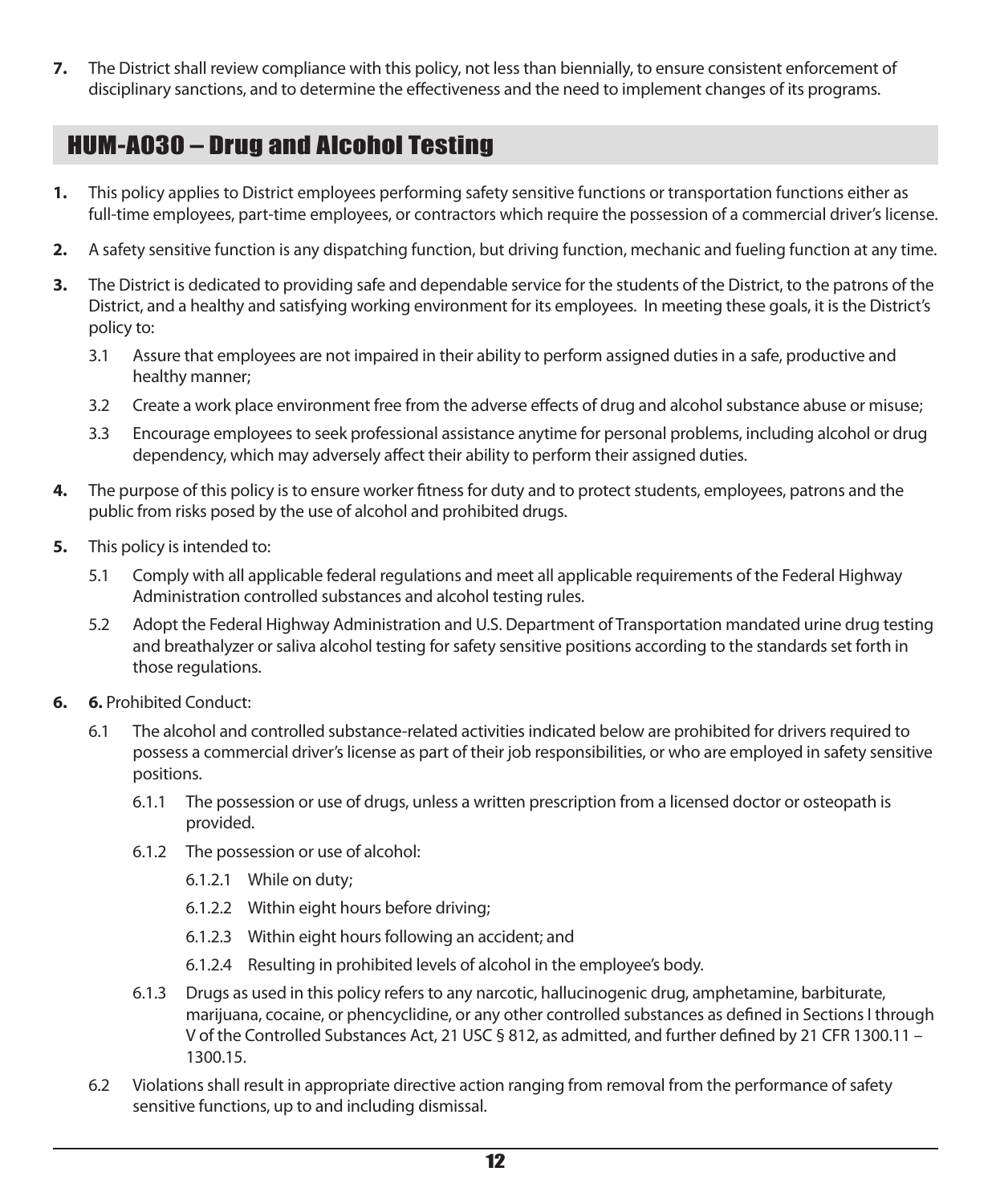**7.** The District shall review compliance with this policy, not less than biennially, to ensure consistent enforcement of disciplinary sanctions, and to determine the effectiveness and the need to implement changes of its programs.

## HUM-A030 – Drug and Alcohol Testing

- **1.** This policy applies to District employees performing safety sensitive functions or transportation functions either as full-time employees, part-time employees, or contractors which require the possession of a commercial driver's license.
- **2.** A safety sensitive function is any dispatching function, but driving function, mechanic and fueling function at any time.
- **3.** The District is dedicated to providing safe and dependable service for the students of the District, to the patrons of the District, and a healthy and satisfying working environment for its employees. In meeting these goals, it is the District's policy to:
	- 3.1 Assure that employees are not impaired in their ability to perform assigned duties in a safe, productive and healthy manner;
	- 3.2 Create a work place environment free from the adverse effects of drug and alcohol substance abuse or misuse;
	- 3.3 Encourage employees to seek professional assistance anytime for personal problems, including alcohol or drug dependency, which may adversely affect their ability to perform their assigned duties.
- **4.** The purpose of this policy is to ensure worker fitness for duty and to protect students, employees, patrons and the public from risks posed by the use of alcohol and prohibited drugs.
- **5.** This policy is intended to:
	- 5.1 Comply with all applicable federal regulations and meet all applicable requirements of the Federal Highway Administration controlled substances and alcohol testing rules.
	- 5.2 Adopt the Federal Highway Administration and U.S. Department of Transportation mandated urine drug testing and breathalyzer or saliva alcohol testing for safety sensitive positions according to the standards set forth in those regulations.
- **6. 6.** Prohibited Conduct:
	- 6.1 The alcohol and controlled substance-related activities indicated below are prohibited for drivers required to possess a commercial driver's license as part of their job responsibilities, or who are employed in safety sensitive positions.
		- 6.1.1 The possession or use of drugs, unless a written prescription from a licensed doctor or osteopath is provided.
		- 6.1.2 The possession or use of alcohol:
			- 6.1.2.1 While on duty;
			- 6.1.2.2 Within eight hours before driving;
			- 6.1.2.3 Within eight hours following an accident; and
			- 6.1.2.4 Resulting in prohibited levels of alcohol in the employee's body.
		- 6.1.3 Drugs as used in this policy refers to any narcotic, hallucinogenic drug, amphetamine, barbiturate, marijuana, cocaine, or phencyclidine, or any other controlled substances as defined in Sections I through V of the Controlled Substances Act, 21 USC § 812, as admitted, and further defined by 21 CFR 1300.11 – 1300.15.
	- 6.2 Violations shall result in appropriate directive action ranging from removal from the performance of safety sensitive functions, up to and including dismissal.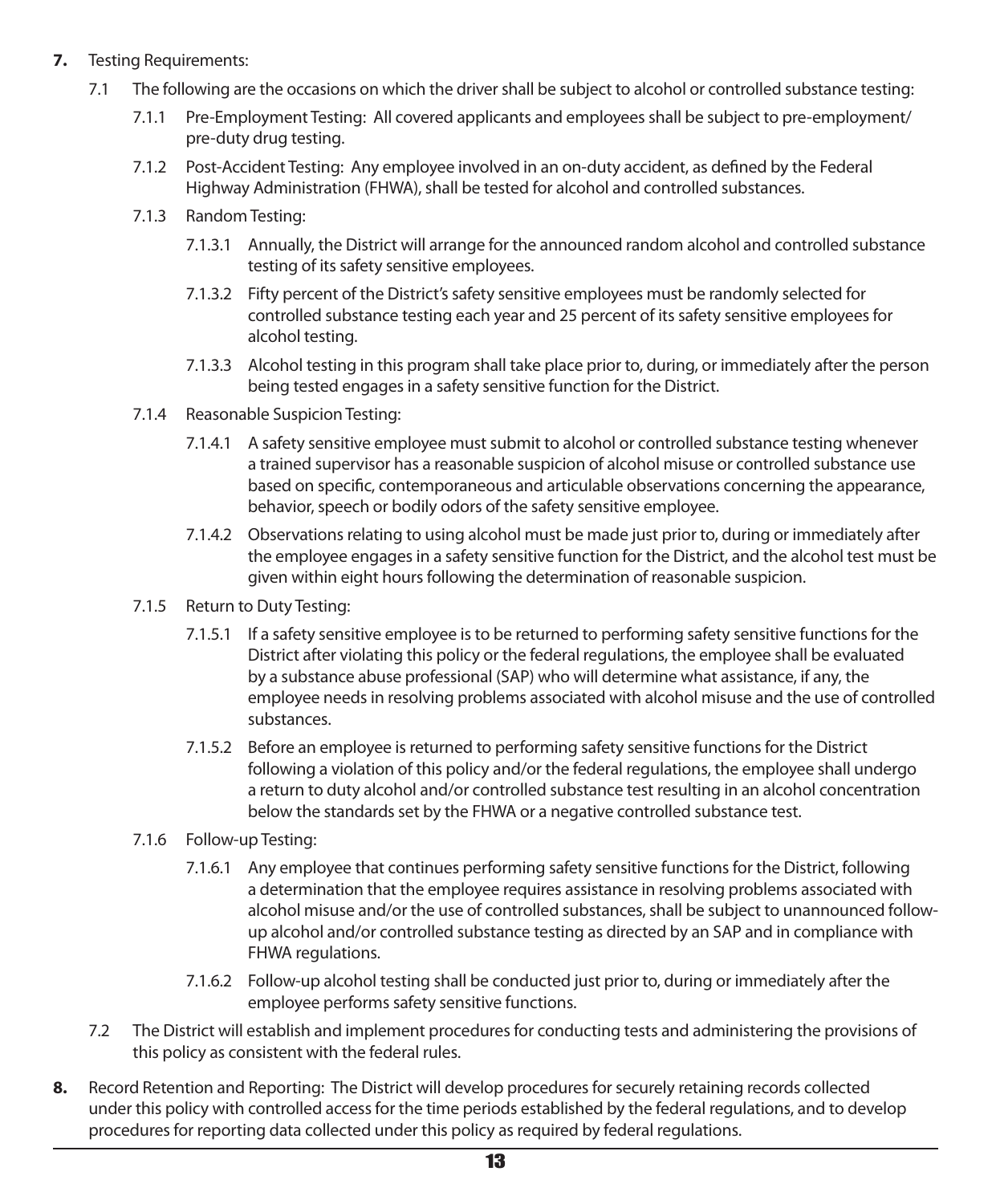- **7.** Testing Requirements:
	- 7.1 The following are the occasions on which the driver shall be subject to alcohol or controlled substance testing:
		- 7.1.1 Pre-Employment Testing: All covered applicants and employees shall be subject to pre-employment/ pre-duty drug testing.
		- 7.1.2 Post-Accident Testing: Any employee involved in an on-duty accident, as defined by the Federal Highway Administration (FHWA), shall be tested for alcohol and controlled substances.
		- 7.1.3 Random Testing:
			- 7.1.3.1 Annually, the District will arrange for the announced random alcohol and controlled substance testing of its safety sensitive employees.
			- 7.1.3.2 Fifty percent of the District's safety sensitive employees must be randomly selected for controlled substance testing each year and 25 percent of its safety sensitive employees for alcohol testing.
			- 7.1.3.3 Alcohol testing in this program shall take place prior to, during, or immediately after the person being tested engages in a safety sensitive function for the District.
		- 7.1.4 Reasonable Suspicion Testing:
			- 7.1.4.1 A safety sensitive employee must submit to alcohol or controlled substance testing whenever a trained supervisor has a reasonable suspicion of alcohol misuse or controlled substance use based on specific, contemporaneous and articulable observations concerning the appearance, behavior, speech or bodily odors of the safety sensitive employee.
			- 7.1.4.2 Observations relating to using alcohol must be made just prior to, during or immediately after the employee engages in a safety sensitive function for the District, and the alcohol test must be given within eight hours following the determination of reasonable suspicion.
		- 7.1.5 Return to Duty Testing:
			- 7.1.5.1 If a safety sensitive employee is to be returned to performing safety sensitive functions for the District after violating this policy or the federal regulations, the employee shall be evaluated by a substance abuse professional (SAP) who will determine what assistance, if any, the employee needs in resolving problems associated with alcohol misuse and the use of controlled substances.
			- 7.1.5.2 Before an employee is returned to performing safety sensitive functions for the District following a violation of this policy and/or the federal regulations, the employee shall undergo a return to duty alcohol and/or controlled substance test resulting in an alcohol concentration below the standards set by the FHWA or a negative controlled substance test.
		- 7.1.6 Follow-up Testing:
			- 7.1.6.1 Any employee that continues performing safety sensitive functions for the District, following a determination that the employee requires assistance in resolving problems associated with alcohol misuse and/or the use of controlled substances, shall be subject to unannounced followup alcohol and/or controlled substance testing as directed by an SAP and in compliance with FHWA regulations.
			- 7.1.6.2 Follow-up alcohol testing shall be conducted just prior to, during or immediately after the employee performs safety sensitive functions.
	- 7.2 The District will establish and implement procedures for conducting tests and administering the provisions of this policy as consistent with the federal rules.
- **8.** Record Retention and Reporting: The District will develop procedures for securely retaining records collected under this policy with controlled access for the time periods established by the federal regulations, and to develop procedures for reporting data collected under this policy as required by federal regulations.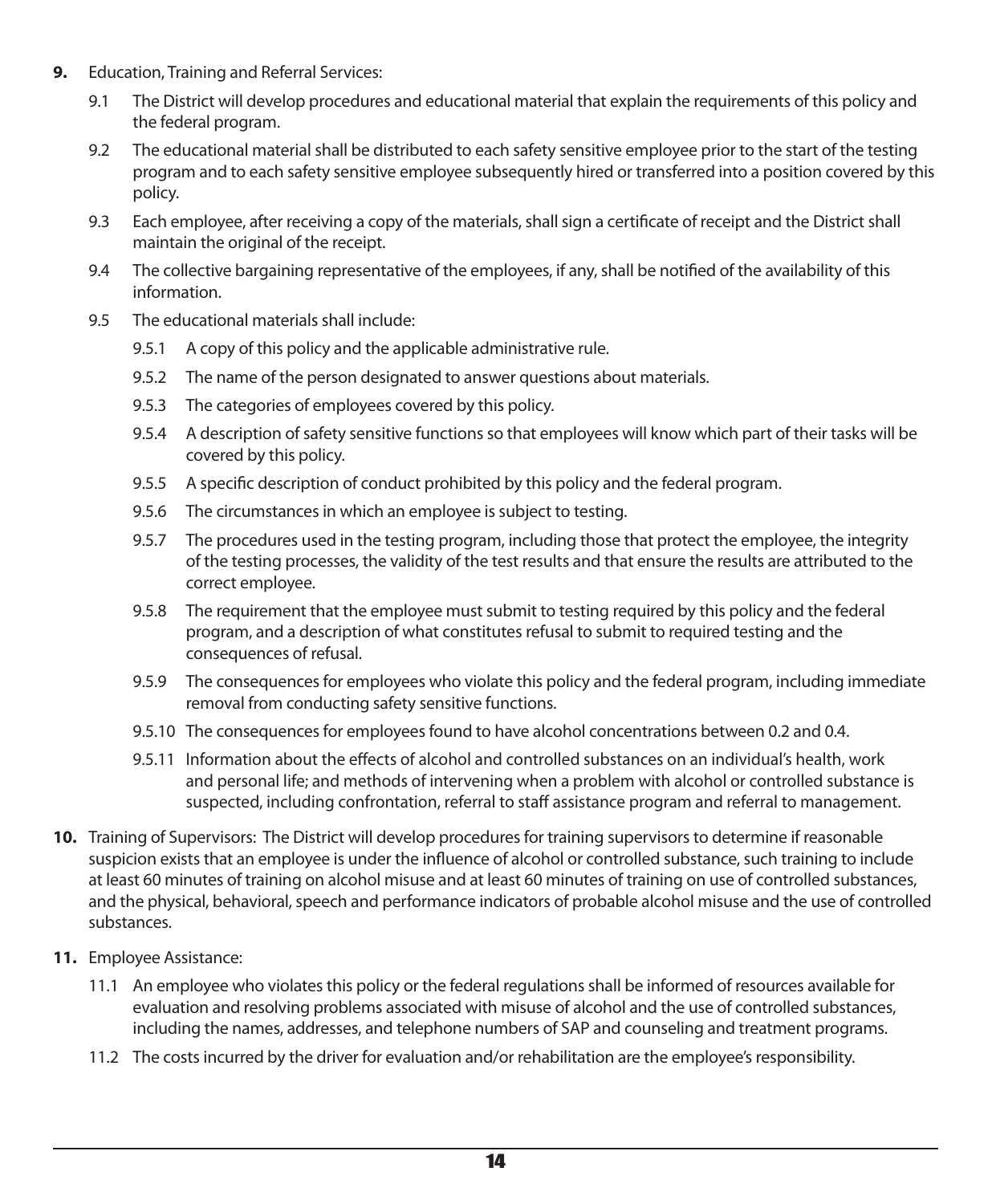- **9.** Education, Training and Referral Services:
	- 9.1 The District will develop procedures and educational material that explain the requirements of this policy and the federal program.
	- 9.2 The educational material shall be distributed to each safety sensitive employee prior to the start of the testing program and to each safety sensitive employee subsequently hired or transferred into a position covered by this policy.
	- 9.3 Each employee, after receiving a copy of the materials, shall sign a certificate of receipt and the District shall maintain the original of the receipt.
	- 9.4 The collective bargaining representative of the employees, if any, shall be notified of the availability of this information.
	- 9.5 The educational materials shall include:
		- 9.5.1 A copy of this policy and the applicable administrative rule.
		- 9.5.2 The name of the person designated to answer questions about materials.
		- 9.5.3 The categories of employees covered by this policy.
		- 9.5.4 A description of safety sensitive functions so that employees will know which part of their tasks will be covered by this policy.
		- 9.5.5 A specific description of conduct prohibited by this policy and the federal program.
		- 9.5.6 The circumstances in which an employee is subject to testing.
		- 9.5.7 The procedures used in the testing program, including those that protect the employee, the integrity of the testing processes, the validity of the test results and that ensure the results are attributed to the correct employee.
		- 9.5.8 The requirement that the employee must submit to testing required by this policy and the federal program, and a description of what constitutes refusal to submit to required testing and the consequences of refusal.
		- 9.5.9 The consequences for employees who violate this policy and the federal program, including immediate removal from conducting safety sensitive functions.
		- 9.5.10 The consequences for employees found to have alcohol concentrations between 0.2 and 0.4.
		- 9.5.11 Information about the effects of alcohol and controlled substances on an individual's health, work and personal life; and methods of intervening when a problem with alcohol or controlled substance is suspected, including confrontation, referral to staff assistance program and referral to management.
- **10.** Training of Supervisors: The District will develop procedures for training supervisors to determine if reasonable suspicion exists that an employee is under the influence of alcohol or controlled substance, such training to include at least 60 minutes of training on alcohol misuse and at least 60 minutes of training on use of controlled substances, and the physical, behavioral, speech and performance indicators of probable alcohol misuse and the use of controlled substances.
- **11.** Employee Assistance:
	- 11.1 An employee who violates this policy or the federal regulations shall be informed of resources available for evaluation and resolving problems associated with misuse of alcohol and the use of controlled substances, including the names, addresses, and telephone numbers of SAP and counseling and treatment programs.
	- 11.2 The costs incurred by the driver for evaluation and/or rehabilitation are the employee's responsibility.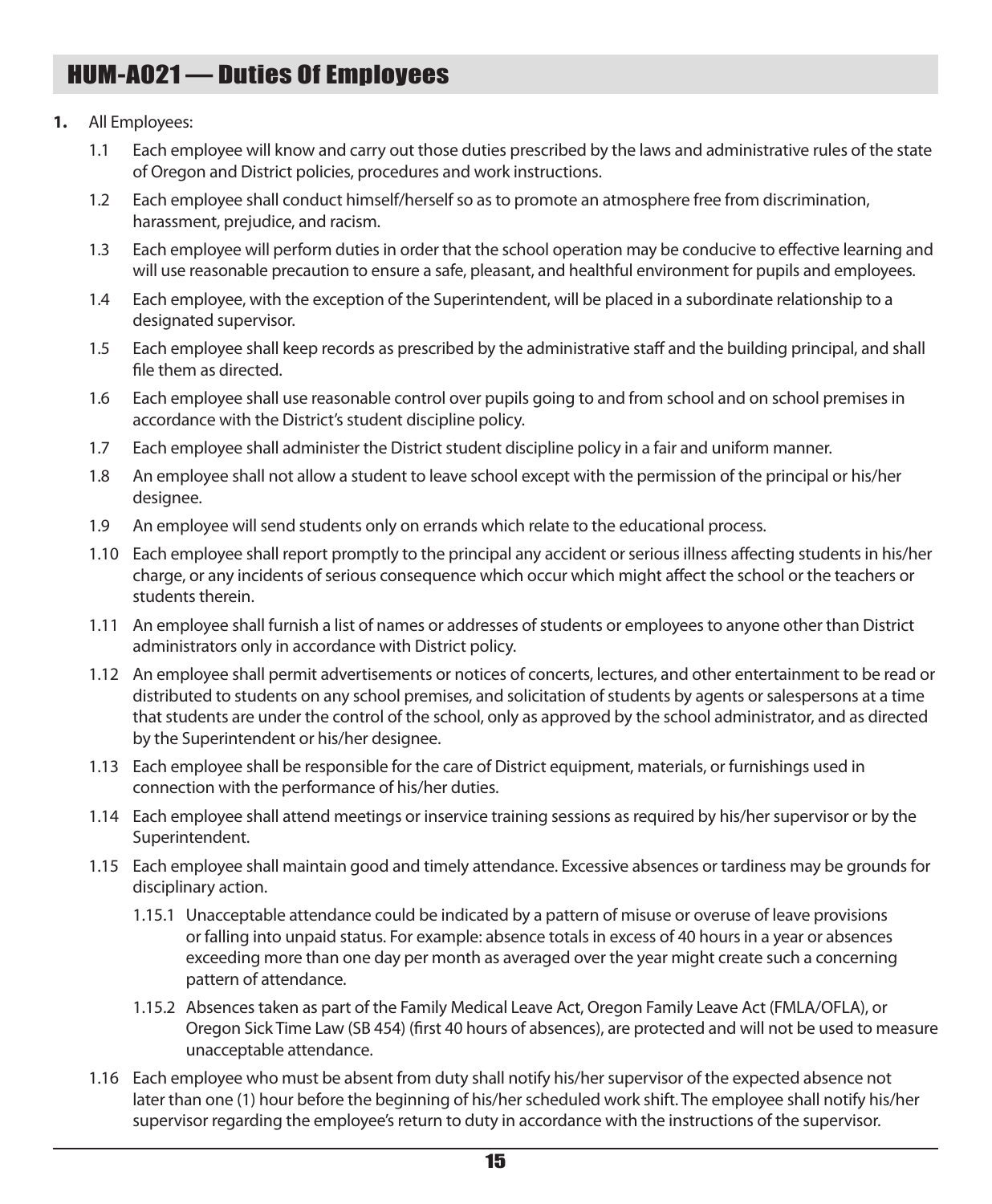### HUM-A021 — Duties Of Employees

#### **1.** All Employees:

- 1.1 Each employee will know and carry out those duties prescribed by the laws and administrative rules of the state of Oregon and District policies, procedures and work instructions.
- 1.2 Each employee shall conduct himself/herself so as to promote an atmosphere free from discrimination, harassment, prejudice, and racism.
- 1.3 Each employee will perform duties in order that the school operation may be conducive to effective learning and will use reasonable precaution to ensure a safe, pleasant, and healthful environment for pupils and employees.
- 1.4 Each employee, with the exception of the Superintendent, will be placed in a subordinate relationship to a designated supervisor.
- 1.5 Each employee shall keep records as prescribed by the administrative staff and the building principal, and shall file them as directed.
- 1.6 Each employee shall use reasonable control over pupils going to and from school and on school premises in accordance with the District's student discipline policy.
- 1.7 Each employee shall administer the District student discipline policy in a fair and uniform manner.
- 1.8 An employee shall not allow a student to leave school except with the permission of the principal or his/her designee.
- 1.9 An employee will send students only on errands which relate to the educational process.
- 1.10 Each employee shall report promptly to the principal any accident or serious illness affecting students in his/her charge, or any incidents of serious consequence which occur which might affect the school or the teachers or students therein.
- 1.11 An employee shall furnish a list of names or addresses of students or employees to anyone other than District administrators only in accordance with District policy.
- 1.12 An employee shall permit advertisements or notices of concerts, lectures, and other entertainment to be read or distributed to students on any school premises, and solicitation of students by agents or salespersons at a time that students are under the control of the school, only as approved by the school administrator, and as directed by the Superintendent or his/her designee.
- 1.13 Each employee shall be responsible for the care of District equipment, materials, or furnishings used in connection with the performance of his/her duties.
- 1.14 Each employee shall attend meetings or inservice training sessions as required by his/her supervisor or by the Superintendent.
- 1.15 Each employee shall maintain good and timely attendance. Excessive absences or tardiness may be grounds for disciplinary action.
	- 1.15.1 Unacceptable attendance could be indicated by a pattern of misuse or overuse of leave provisions or falling into unpaid status. For example: absence totals in excess of 40 hours in a year or absences exceeding more than one day per month as averaged over the year might create such a concerning pattern of attendance.
	- 1.15.2 Absences taken as part of the Family Medical Leave Act, Oregon Family Leave Act (FMLA/OFLA), or Oregon Sick Time Law (SB 454) (first 40 hours of absences), are protected and will not be used to measure unacceptable attendance.
- 1.16 Each employee who must be absent from duty shall notify his/her supervisor of the expected absence not later than one (1) hour before the beginning of his/her scheduled work shift. The employee shall notify his/her supervisor regarding the employee's return to duty in accordance with the instructions of the supervisor.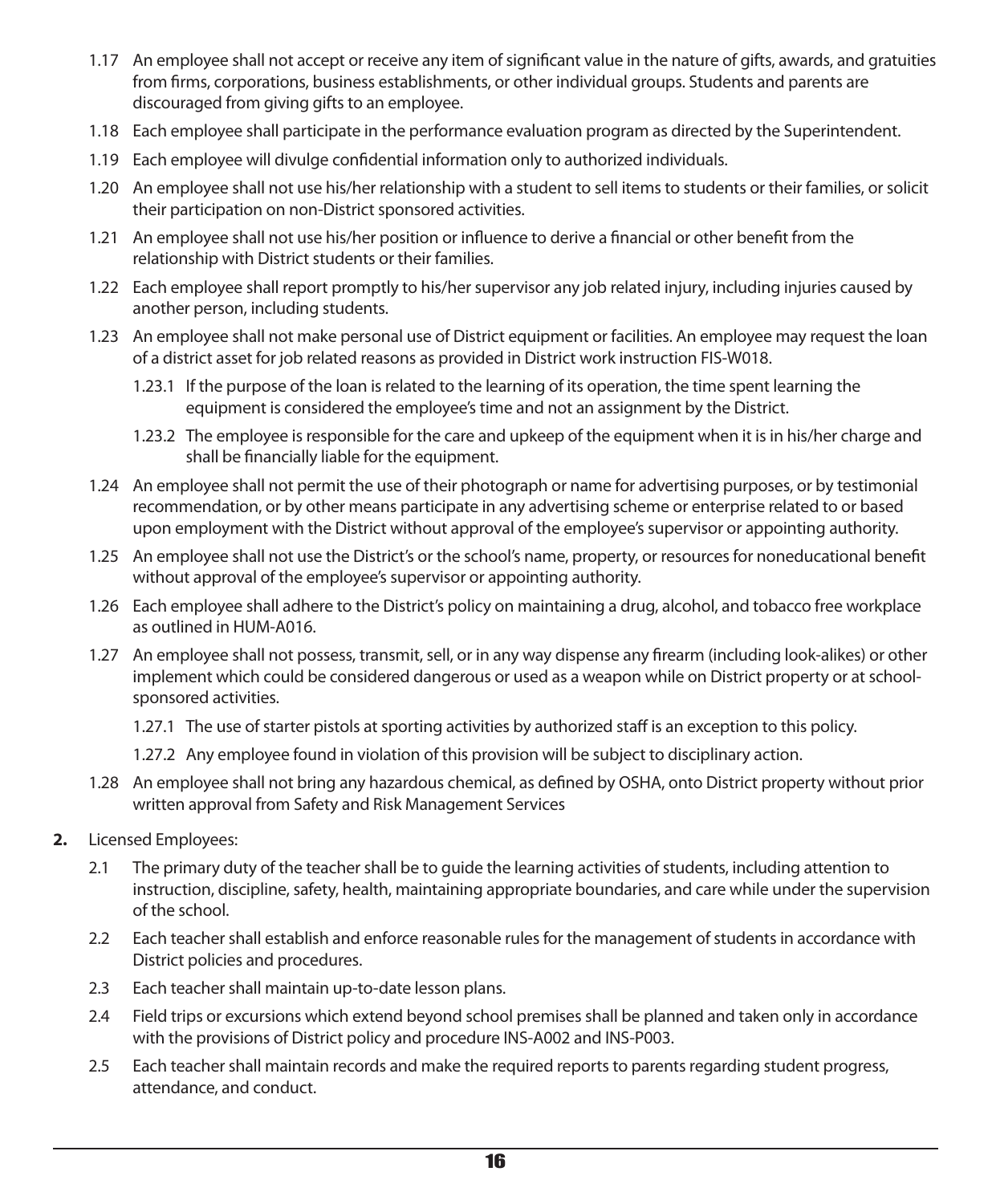- 1.17 An employee shall not accept or receive any item of significant value in the nature of gifts, awards, and gratuities from firms, corporations, business establishments, or other individual groups. Students and parents are discouraged from giving gifts to an employee.
- 1.18 Each employee shall participate in the performance evaluation program as directed by the Superintendent.
- 1.19 Each employee will divulge confidential information only to authorized individuals.
- 1.20 An employee shall not use his/her relationship with a student to sell items to students or their families, or solicit their participation on non-District sponsored activities.
- 1.21 An employee shall not use his/her position or influence to derive a financial or other benefit from the relationship with District students or their families.
- 1.22 Each employee shall report promptly to his/her supervisor any job related injury, including injuries caused by another person, including students.
- 1.23 An employee shall not make personal use of District equipment or facilities. An employee may request the loan of a district asset for job related reasons as provided in District work instruction FIS-W018.
	- 1.23.1 If the purpose of the loan is related to the learning of its operation, the time spent learning the equipment is considered the employee's time and not an assignment by the District.
	- 1.23.2 The employee is responsible for the care and upkeep of the equipment when it is in his/her charge and shall be financially liable for the equipment.
- 1.24 An employee shall not permit the use of their photograph or name for advertising purposes, or by testimonial recommendation, or by other means participate in any advertising scheme or enterprise related to or based upon employment with the District without approval of the employee's supervisor or appointing authority.
- 1.25 An employee shall not use the District's or the school's name, property, or resources for noneducational benefit without approval of the employee's supervisor or appointing authority.
- 1.26 Each employee shall adhere to the District's policy on maintaining a drug, alcohol, and tobacco free workplace as outlined in HUM-A016.
- 1.27 An employee shall not possess, transmit, sell, or in any way dispense any firearm (including look-alikes) or other implement which could be considered dangerous or used as a weapon while on District property or at schoolsponsored activities.
	- 1.27.1 The use of starter pistols at sporting activities by authorized staff is an exception to this policy.
	- 1.27.2 Any employee found in violation of this provision will be subject to disciplinary action.
- 1.28 An employee shall not bring any hazardous chemical, as defined by OSHA, onto District property without prior written approval from Safety and Risk Management Services
- **2.** Licensed Employees:
	- 2.1 The primary duty of the teacher shall be to guide the learning activities of students, including attention to instruction, discipline, safety, health, maintaining appropriate boundaries, and care while under the supervision of the school.
	- 2.2 Each teacher shall establish and enforce reasonable rules for the management of students in accordance with District policies and procedures.
	- 2.3 Each teacher shall maintain up-to-date lesson plans.
	- 2.4 Field trips or excursions which extend beyond school premises shall be planned and taken only in accordance with the provisions of District policy and procedure INS-A002 and INS-P003.
	- 2.5 Each teacher shall maintain records and make the required reports to parents regarding student progress, attendance, and conduct.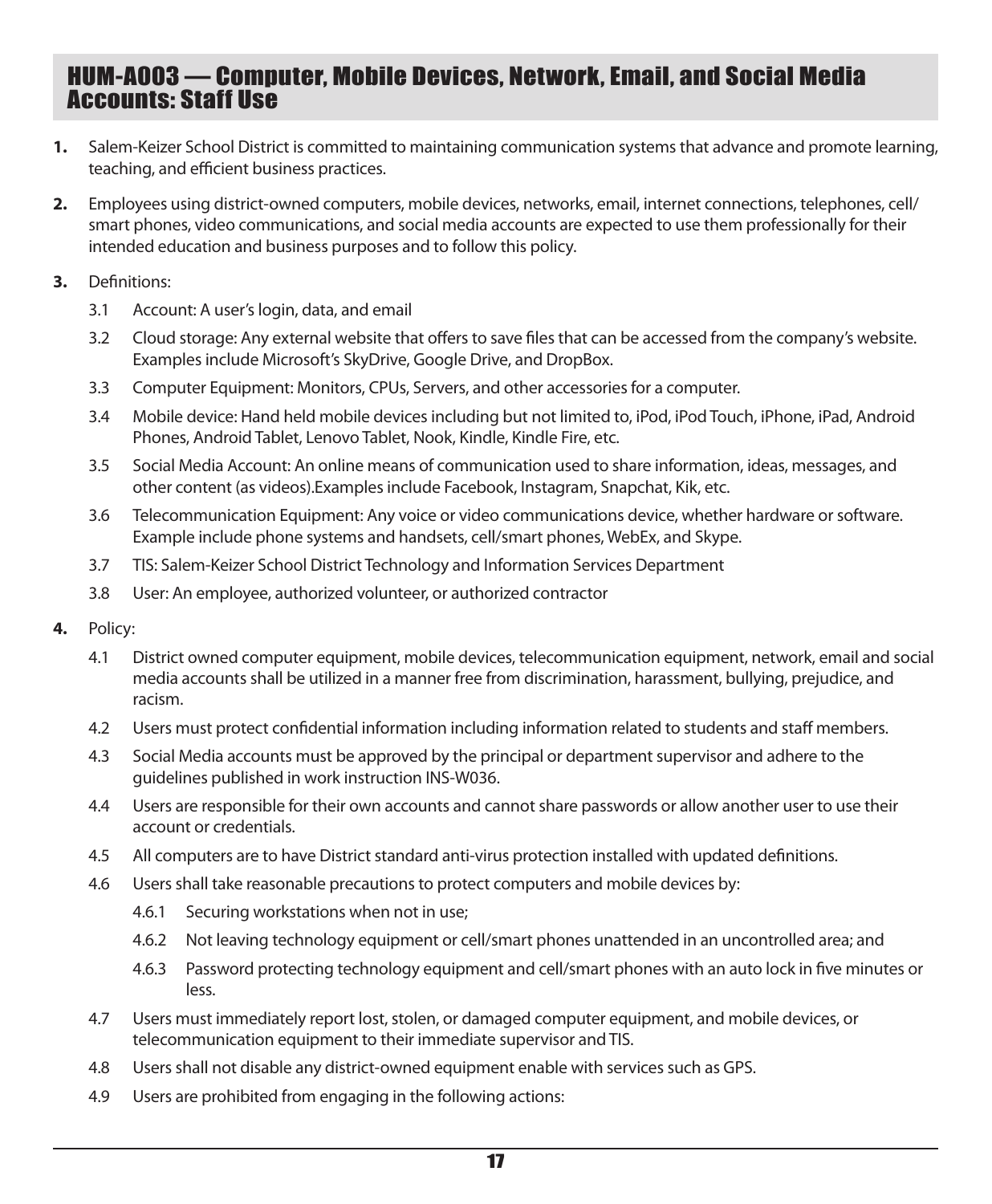### HUM-A003 — Computer, Mobile Devices, Network, Email, and Social Media Accounts: Staff Use

- **1.** Salem-Keizer School District is committed to maintaining communication systems that advance and promote learning, teaching, and efficient business practices.
- **2.** Employees using district-owned computers, mobile devices, networks, email, internet connections, telephones, cell/ smart phones, video communications, and social media accounts are expected to use them professionally for their intended education and business purposes and to follow this policy.
- **3.** Definitions:
	- 3.1 Account: A user's login, data, and email
	- 3.2 Cloud storage: Any external website that offers to save files that can be accessed from the company's website. Examples include Microsoft's SkyDrive, Google Drive, and DropBox.
	- 3.3 Computer Equipment: Monitors, CPUs, Servers, and other accessories for a computer.
	- 3.4 Mobile device: Hand held mobile devices including but not limited to, iPod, iPod Touch, iPhone, iPad, Android Phones, Android Tablet, Lenovo Tablet, Nook, Kindle, Kindle Fire, etc.
	- 3.5 Social Media Account: An online means of communication used to share information, ideas, messages, and other content (as videos).Examples include Facebook, Instagram, Snapchat, Kik, etc.
	- 3.6 Telecommunication Equipment: Any voice or video communications device, whether hardware or software. Example include phone systems and handsets, cell/smart phones, WebEx, and Skype.
	- 3.7 TIS: Salem-Keizer School District Technology and Information Services Department
	- 3.8 User: An employee, authorized volunteer, or authorized contractor
- **4.** Policy:
	- 4.1 District owned computer equipment, mobile devices, telecommunication equipment, network, email and social media accounts shall be utilized in a manner free from discrimination, harassment, bullying, prejudice, and racism.
	- 4.2 Users must protect confidential information including information related to students and staff members.
	- 4.3 Social Media accounts must be approved by the principal or department supervisor and adhere to the guidelines published in work instruction INS-W036.
	- 4.4 Users are responsible for their own accounts and cannot share passwords or allow another user to use their account or credentials.
	- 4.5 All computers are to have District standard anti-virus protection installed with updated definitions.
	- 4.6 Users shall take reasonable precautions to protect computers and mobile devices by:
		- 4.6.1 Securing workstations when not in use;
		- 4.6.2 Not leaving technology equipment or cell/smart phones unattended in an uncontrolled area; and
		- 4.6.3 Password protecting technology equipment and cell/smart phones with an auto lock in five minutes or less.
	- 4.7 Users must immediately report lost, stolen, or damaged computer equipment, and mobile devices, or telecommunication equipment to their immediate supervisor and TIS.
	- 4.8 Users shall not disable any district-owned equipment enable with services such as GPS.
	- 4.9 Users are prohibited from engaging in the following actions: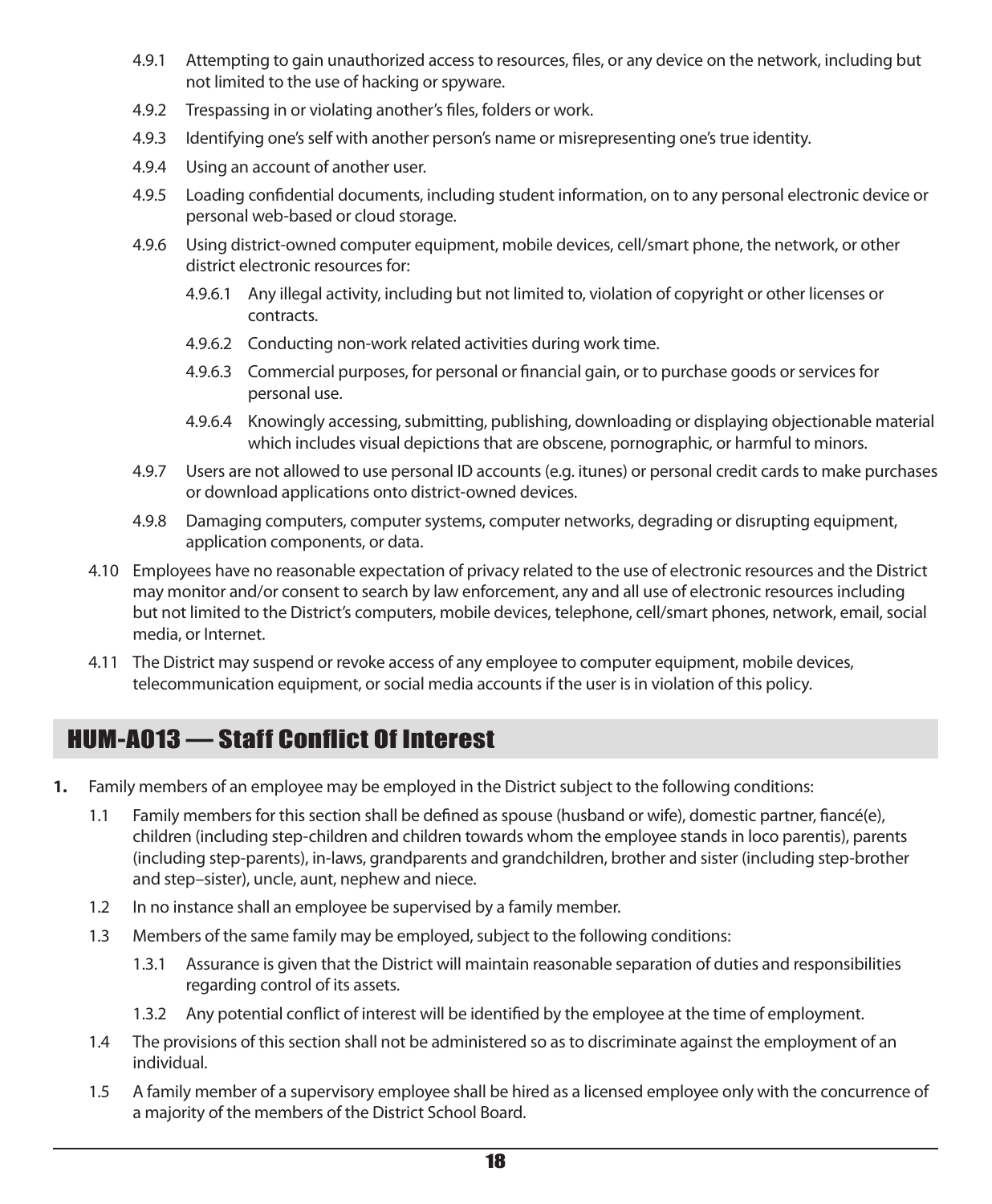- 4.9.1 Attempting to gain unauthorized access to resources, files, or any device on the network, including but not limited to the use of hacking or spyware.
- 4.9.2 Trespassing in or violating another's files, folders or work.
- 4.9.3 Identifying one's self with another person's name or misrepresenting one's true identity.
- 4.9.4 Using an account of another user.
- 4.9.5 Loading confidential documents, including student information, on to any personal electronic device or personal web-based or cloud storage.
- 4.9.6 Using district-owned computer equipment, mobile devices, cell/smart phone, the network, or other district electronic resources for:
	- 4.9.6.1 Any illegal activity, including but not limited to, violation of copyright or other licenses or contracts.
	- 4.9.6.2 Conducting non-work related activities during work time.
	- 4.9.6.3 Commercial purposes, for personal or financial gain, or to purchase goods or services for personal use.
	- 4.9.6.4 Knowingly accessing, submitting, publishing, downloading or displaying objectionable material which includes visual depictions that are obscene, pornographic, or harmful to minors.
- 4.9.7 Users are not allowed to use personal ID accounts (e.g. itunes) or personal credit cards to make purchases or download applications onto district-owned devices.
- 4.9.8 Damaging computers, computer systems, computer networks, degrading or disrupting equipment, application components, or data.
- 4.10 Employees have no reasonable expectation of privacy related to the use of electronic resources and the District may monitor and/or consent to search by law enforcement, any and all use of electronic resources including but not limited to the District's computers, mobile devices, telephone, cell/smart phones, network, email, social media, or Internet.
- 4.11 The District may suspend or revoke access of any employee to computer equipment, mobile devices, telecommunication equipment, or social media accounts if the user is in violation of this policy.

## HUM-A013 — Staff Conflict Of Interest

- **1.** Family members of an employee may be employed in the District subject to the following conditions:
	- 1.1 Family members for this section shall be defined as spouse (husband or wife), domestic partner, fiancé(e), children (including step-children and children towards whom the employee stands in loco parentis), parents (including step-parents), in-laws, grandparents and grandchildren, brother and sister (including step-brother and step–sister), uncle, aunt, nephew and niece.
	- 1.2 In no instance shall an employee be supervised by a family member.
	- 1.3 Members of the same family may be employed, subject to the following conditions:
		- 1.3.1 Assurance is given that the District will maintain reasonable separation of duties and responsibilities regarding control of its assets.
		- 1.3.2 Any potential conflict of interest will be identified by the employee at the time of employment.
	- 1.4 The provisions of this section shall not be administered so as to discriminate against the employment of an individual.
	- 1.5 A family member of a supervisory employee shall be hired as a licensed employee only with the concurrence of a majority of the members of the District School Board.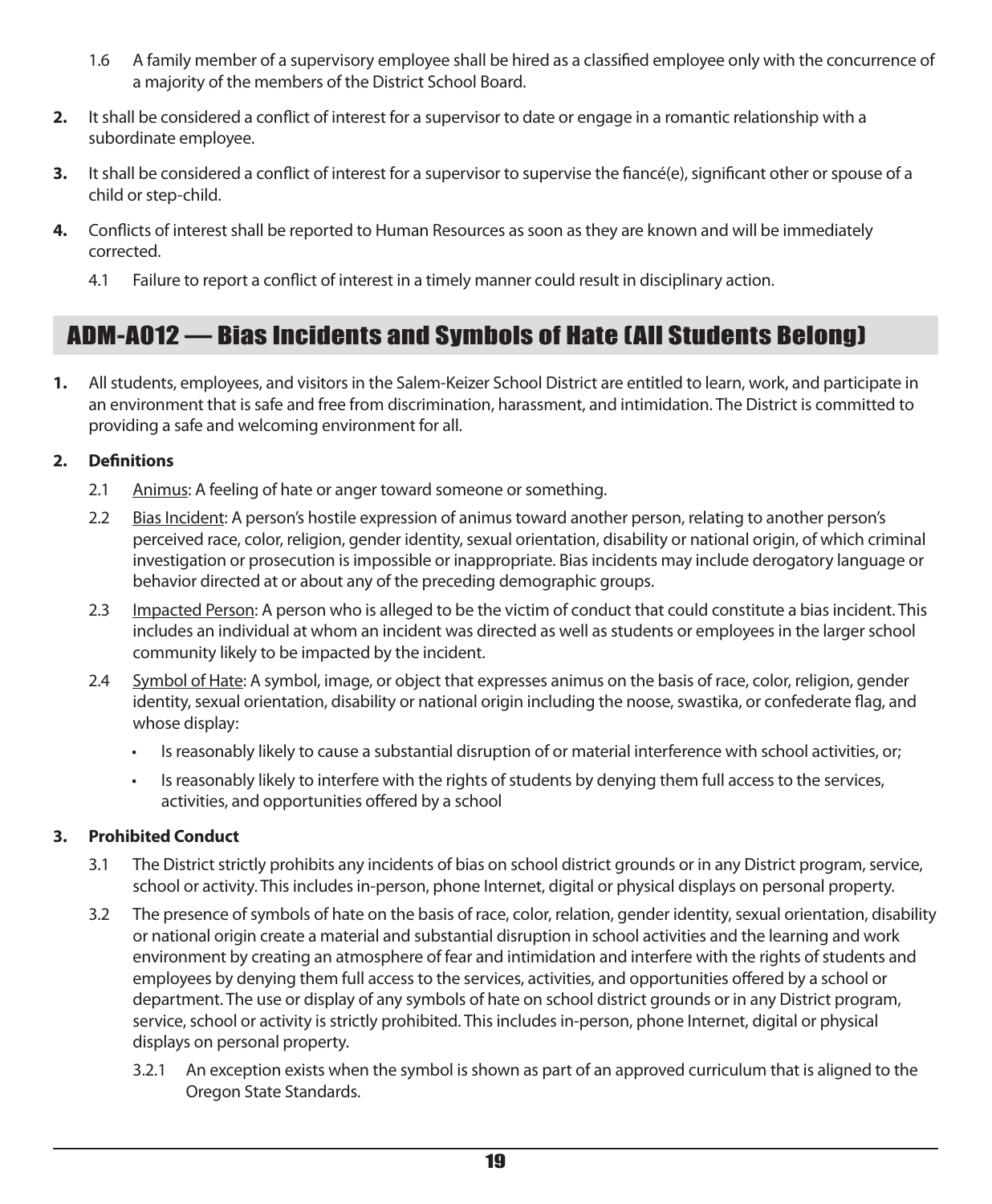- 1.6 A family member of a supervisory employee shall be hired as a classified employee only with the concurrence of a majority of the members of the District School Board.
- **2.** It shall be considered a conflict of interest for a supervisor to date or engage in a romantic relationship with a subordinate employee.
- **3.** It shall be considered a conflict of interest for a supervisor to supervise the fiancé(e), significant other or spouse of a child or step-child.
- **4.** Conflicts of interest shall be reported to Human Resources as soon as they are known and will be immediately corrected.
	- 4.1 Failure to report a conflict of interest in a timely manner could result in disciplinary action.

## ADM-A012 — Bias Incidents and Symbols of Hate (All Students Belong)

**1.** All students, employees, and visitors in the Salem-Keizer School District are entitled to learn, work, and participate in an environment that is safe and free from discrimination, harassment, and intimidation. The District is committed to providing a safe and welcoming environment for all.

#### **2. Definitions**

- 2.1 Animus: A feeling of hate or anger toward someone or something.
- 2.2 Bias Incident: A person's hostile expression of animus toward another person, relating to another person's perceived race, color, religion, gender identity, sexual orientation, disability or national origin, of which criminal investigation or prosecution is impossible or inappropriate. Bias incidents may include derogatory language or behavior directed at or about any of the preceding demographic groups.
- 2.3 Impacted Person: A person who is alleged to be the victim of conduct that could constitute a bias incident. This includes an individual at whom an incident was directed as well as students or employees in the larger school community likely to be impacted by the incident.
- 2.4 Symbol of Hate: A symbol, image, or object that expresses animus on the basis of race, color, religion, gender identity, sexual orientation, disability or national origin including the noose, swastika, or confederate flag, and whose display:
	- Is reasonably likely to cause a substantial disruption of or material interference with school activities, or;
	- Is reasonably likely to interfere with the rights of students by denying them full access to the services, activities, and opportunities offered by a school

#### **3. Prohibited Conduct**

- 3.1 The District strictly prohibits any incidents of bias on school district grounds or in any District program, service, school or activity. This includes in-person, phone Internet, digital or physical displays on personal property.
- 3.2 The presence of symbols of hate on the basis of race, color, relation, gender identity, sexual orientation, disability or national origin create a material and substantial disruption in school activities and the learning and work environment by creating an atmosphere of fear and intimidation and interfere with the rights of students and employees by denying them full access to the services, activities, and opportunities offered by a school or department. The use or display of any symbols of hate on school district grounds or in any District program, service, school or activity is strictly prohibited. This includes in-person, phone Internet, digital or physical displays on personal property.
	- 3.2.1 An exception exists when the symbol is shown as part of an approved curriculum that is aligned to the Oregon State Standards.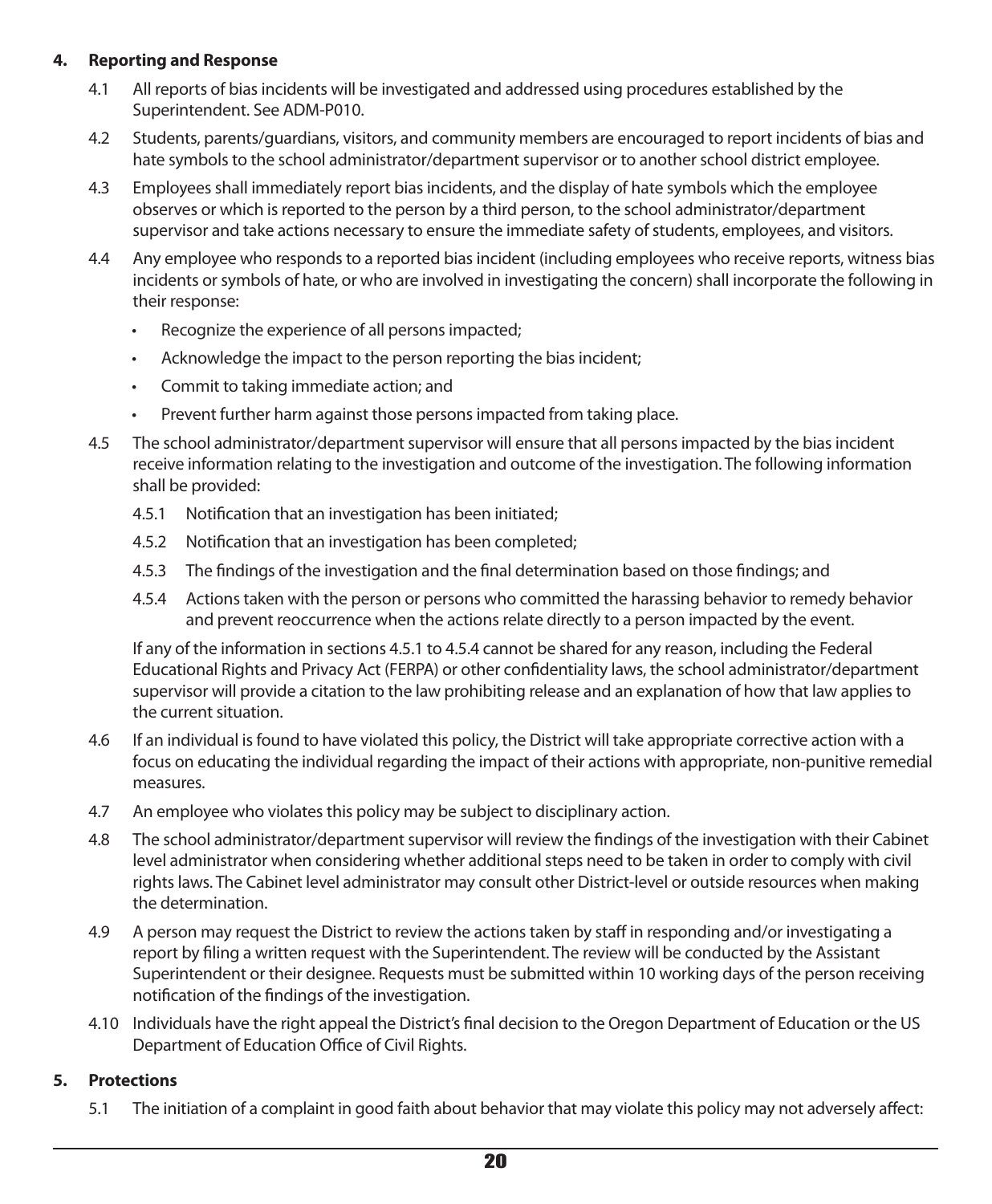#### **4. Reporting and Response**

- 4.1 All reports of bias incidents will be investigated and addressed using procedures established by the Superintendent. See ADM-P010.
- 4.2 Students, parents/guardians, visitors, and community members are encouraged to report incidents of bias and hate symbols to the school administrator/department supervisor or to another school district employee.
- 4.3 Employees shall immediately report bias incidents, and the display of hate symbols which the employee observes or which is reported to the person by a third person, to the school administrator/department supervisor and take actions necessary to ensure the immediate safety of students, employees, and visitors.
- 4.4 Any employee who responds to a reported bias incident (including employees who receive reports, witness bias incidents or symbols of hate, or who are involved in investigating the concern) shall incorporate the following in their response:
	- Recognize the experience of all persons impacted;
	- Acknowledge the impact to the person reporting the bias incident;
	- Commit to taking immediate action; and
	- Prevent further harm against those persons impacted from taking place.
- 4.5 The school administrator/department supervisor will ensure that all persons impacted by the bias incident receive information relating to the investigation and outcome of the investigation. The following information shall be provided:
	- 4.5.1 Notification that an investigation has been initiated;
	- 4.5.2 Notification that an investigation has been completed;
	- 4.5.3 The findings of the investigation and the final determination based on those findings; and
	- 4.5.4 Actions taken with the person or persons who committed the harassing behavior to remedy behavior and prevent reoccurrence when the actions relate directly to a person impacted by the event.

If any of the information in sections 4.5.1 to 4.5.4 cannot be shared for any reason, including the Federal Educational Rights and Privacy Act (FERPA) or other confidentiality laws, the school administrator/department supervisor will provide a citation to the law prohibiting release and an explanation of how that law applies to the current situation.

- 4.6 If an individual is found to have violated this policy, the District will take appropriate corrective action with a focus on educating the individual regarding the impact of their actions with appropriate, non-punitive remedial measures.
- 4.7 An employee who violates this policy may be subject to disciplinary action.
- 4.8 The school administrator/department supervisor will review the findings of the investigation with their Cabinet level administrator when considering whether additional steps need to be taken in order to comply with civil rights laws. The Cabinet level administrator may consult other District-level or outside resources when making the determination.
- 4.9 A person may request the District to review the actions taken by staff in responding and/or investigating a report by filing a written request with the Superintendent. The review will be conducted by the Assistant Superintendent or their designee. Requests must be submitted within 10 working days of the person receiving notification of the findings of the investigation.
- 4.10 Individuals have the right appeal the District's final decision to the Oregon Department of Education or the US Department of Education Office of Civil Rights.

#### **5. Protections**

5.1 The initiation of a complaint in good faith about behavior that may violate this policy may not adversely affect: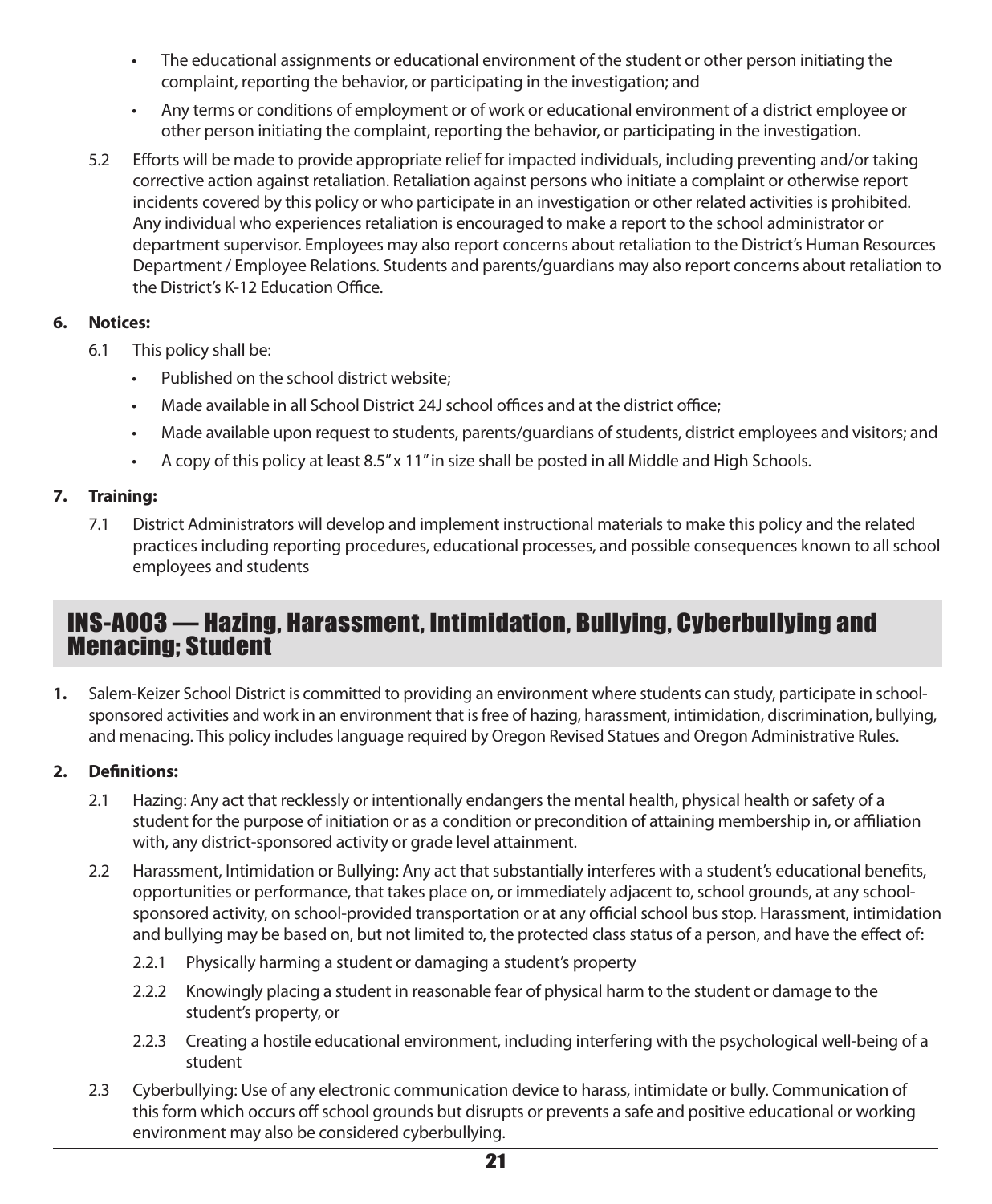- The educational assignments or educational environment of the student or other person initiating the complaint, reporting the behavior, or participating in the investigation; and
- Any terms or conditions of employment or of work or educational environment of a district employee or other person initiating the complaint, reporting the behavior, or participating in the investigation.
- 5.2 Efforts will be made to provide appropriate relief for impacted individuals, including preventing and/or taking corrective action against retaliation. Retaliation against persons who initiate a complaint or otherwise report incidents covered by this policy or who participate in an investigation or other related activities is prohibited. Any individual who experiences retaliation is encouraged to make a report to the school administrator or department supervisor. Employees may also report concerns about retaliation to the District's Human Resources Department / Employee Relations. Students and parents/guardians may also report concerns about retaliation to the District's K-12 Education Office.

#### **6. Notices:**

- 6.1 This policy shall be:
	- Published on the school district website;
	- Made available in all School District 24J school offices and at the district office;
	- Made available upon request to students, parents/guardians of students, district employees and visitors; and
	- A copy of this policy at least 8.5" x 11" in size shall be posted in all Middle and High Schools.

#### **7. Training:**

7.1 District Administrators will develop and implement instructional materials to make this policy and the related practices including reporting procedures, educational processes, and possible consequences known to all school employees and students

### INS-A003 — Hazing, Harassment, Intimidation, Bullying, Cyberbullying and Menacing; Student

**1.** Salem-Keizer School District is committed to providing an environment where students can study, participate in schoolsponsored activities and work in an environment that is free of hazing, harassment, intimidation, discrimination, bullying, and menacing. This policy includes language required by Oregon Revised Statues and Oregon Administrative Rules.

#### **2. Definitions:**

- 2.1 Hazing: Any act that recklessly or intentionally endangers the mental health, physical health or safety of a student for the purpose of initiation or as a condition or precondition of attaining membership in, or affiliation with, any district-sponsored activity or grade level attainment.
- 2.2 Harassment, Intimidation or Bullying: Any act that substantially interferes with a student's educational benefits, opportunities or performance, that takes place on, or immediately adjacent to, school grounds, at any schoolsponsored activity, on school-provided transportation or at any official school bus stop. Harassment, intimidation and bullying may be based on, but not limited to, the protected class status of a person, and have the effect of:
	- 2.2.1 Physically harming a student or damaging a student's property
	- 2.2.2 Knowingly placing a student in reasonable fear of physical harm to the student or damage to the student's property, or
	- 2.2.3 Creating a hostile educational environment, including interfering with the psychological well-being of a student
- 2.3 Cyberbullying: Use of any electronic communication device to harass, intimidate or bully. Communication of this form which occurs off school grounds but disrupts or prevents a safe and positive educational or working environment may also be considered cyberbullying.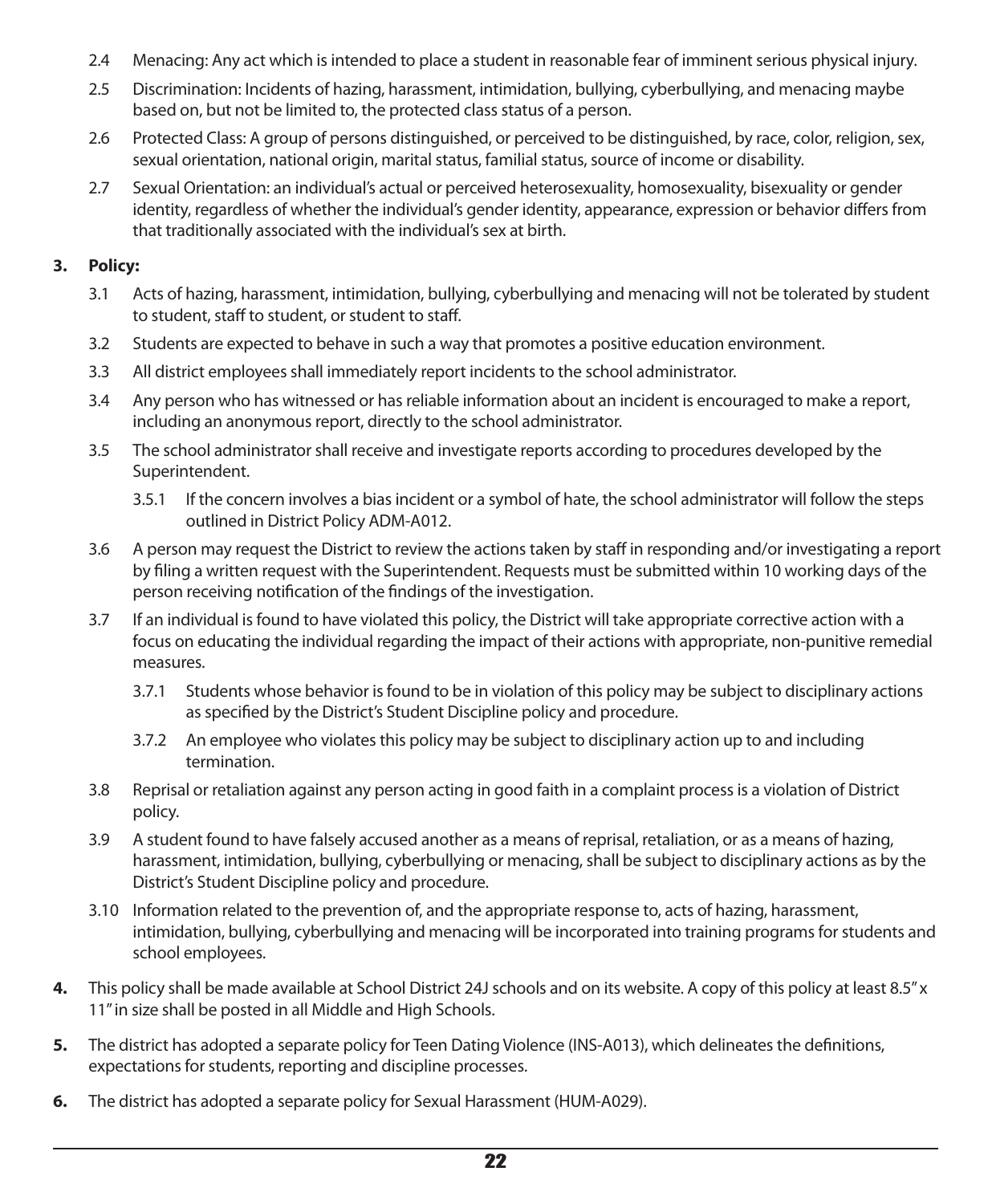- 2.4 Menacing: Any act which is intended to place a student in reasonable fear of imminent serious physical injury.
- 2.5 Discrimination: Incidents of hazing, harassment, intimidation, bullying, cyberbullying, and menacing maybe based on, but not be limited to, the protected class status of a person.
- 2.6 Protected Class: A group of persons distinguished, or perceived to be distinguished, by race, color, religion, sex, sexual orientation, national origin, marital status, familial status, source of income or disability.
- 2.7 Sexual Orientation: an individual's actual or perceived heterosexuality, homosexuality, bisexuality or gender identity, regardless of whether the individual's gender identity, appearance, expression or behavior differs from that traditionally associated with the individual's sex at birth.

#### **3. Policy:**

- 3.1 Acts of hazing, harassment, intimidation, bullying, cyberbullying and menacing will not be tolerated by student to student, staff to student, or student to staff.
- 3.2 Students are expected to behave in such a way that promotes a positive education environment.
- 3.3 All district employees shall immediately report incidents to the school administrator.
- 3.4 Any person who has witnessed or has reliable information about an incident is encouraged to make a report, including an anonymous report, directly to the school administrator.
- 3.5 The school administrator shall receive and investigate reports according to procedures developed by the Superintendent.
	- 3.5.1 If the concern involves a bias incident or a symbol of hate, the school administrator will follow the steps outlined in District Policy ADM-A012.
- 3.6 A person may request the District to review the actions taken by staff in responding and/or investigating a report by filing a written request with the Superintendent. Requests must be submitted within 10 working days of the person receiving notification of the findings of the investigation.
- 3.7 If an individual is found to have violated this policy, the District will take appropriate corrective action with a focus on educating the individual regarding the impact of their actions with appropriate, non-punitive remedial measures.
	- 3.7.1 Students whose behavior is found to be in violation of this policy may be subject to disciplinary actions as specified by the District's Student Discipline policy and procedure.
	- 3.7.2 An employee who violates this policy may be subject to disciplinary action up to and including termination.
- 3.8 Reprisal or retaliation against any person acting in good faith in a complaint process is a violation of District policy.
- 3.9 A student found to have falsely accused another as a means of reprisal, retaliation, or as a means of hazing, harassment, intimidation, bullying, cyberbullying or menacing, shall be subject to disciplinary actions as by the District's Student Discipline policy and procedure.
- 3.10 Information related to the prevention of, and the appropriate response to, acts of hazing, harassment, intimidation, bullying, cyberbullying and menacing will be incorporated into training programs for students and school employees.
- **4.** This policy shall be made available at School District 24J schools and on its website. A copy of this policy at least 8.5" x 11" in size shall be posted in all Middle and High Schools.
- **5.** The district has adopted a separate policy for Teen Dating Violence (INS-A013), which delineates the definitions, expectations for students, reporting and discipline processes.
- **6.** The district has adopted a separate policy for Sexual Harassment (HUM-A029).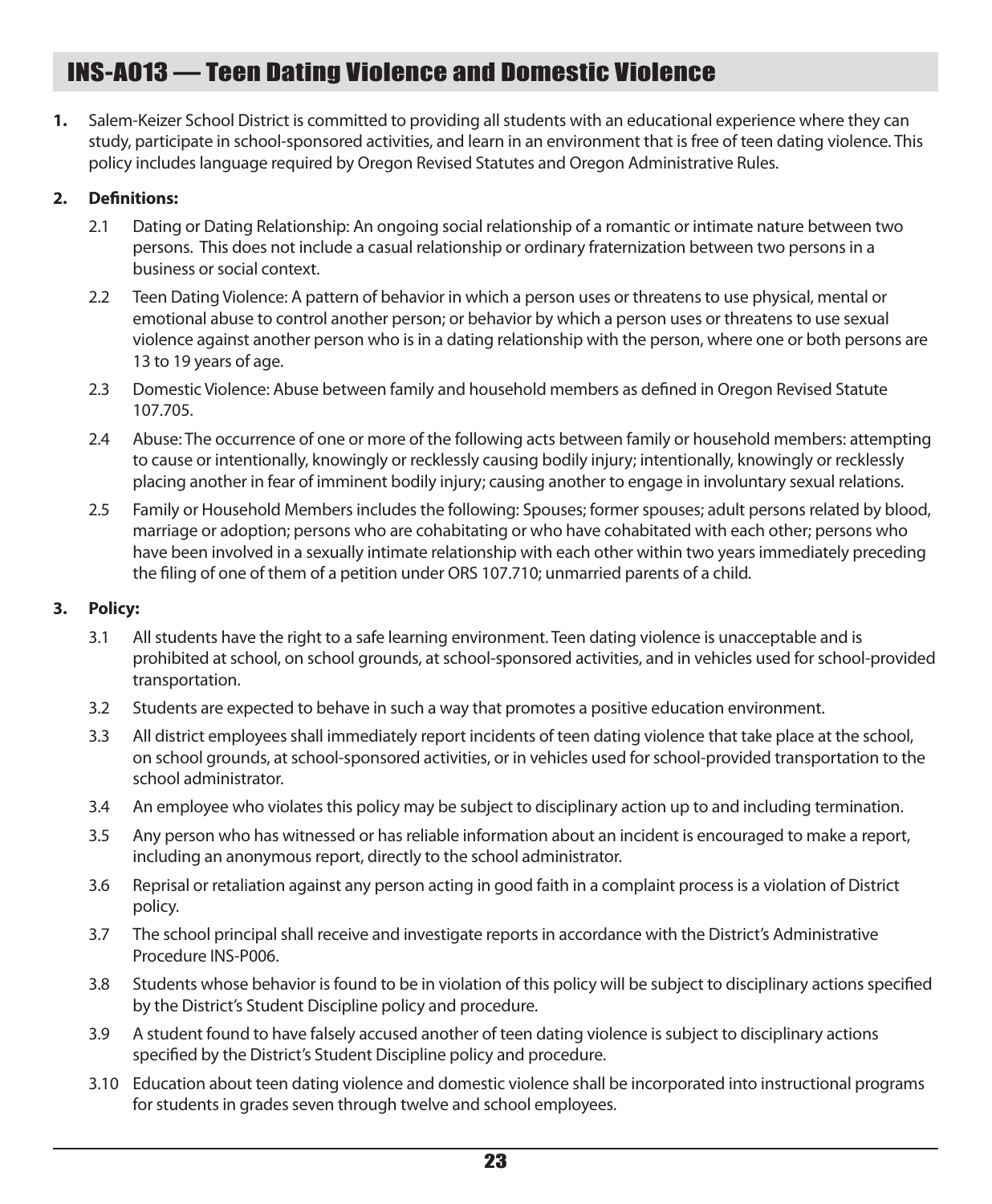## INS-A013 — Teen Dating Violence and Domestic Violence

**1.** Salem-Keizer School District is committed to providing all students with an educational experience where they can study, participate in school-sponsored activities, and learn in an environment that is free of teen dating violence. This policy includes language required by Oregon Revised Statutes and Oregon Administrative Rules.

#### **2. Definitions:**

- 2.1 Dating or Dating Relationship: An ongoing social relationship of a romantic or intimate nature between two persons. This does not include a casual relationship or ordinary fraternization between two persons in a business or social context.
- 2.2 Teen Dating Violence: A pattern of behavior in which a person uses or threatens to use physical, mental or emotional abuse to control another person; or behavior by which a person uses or threatens to use sexual violence against another person who is in a dating relationship with the person, where one or both persons are 13 to 19 years of age.
- 2.3 Domestic Violence: Abuse between family and household members as defined in Oregon Revised Statute 107.705.
- 2.4 Abuse: The occurrence of one or more of the following acts between family or household members: attempting to cause or intentionally, knowingly or recklessly causing bodily injury; intentionally, knowingly or recklessly placing another in fear of imminent bodily injury; causing another to engage in involuntary sexual relations.
- 2.5 Family or Household Members includes the following: Spouses; former spouses; adult persons related by blood, marriage or adoption; persons who are cohabitating or who have cohabitated with each other; persons who have been involved in a sexually intimate relationship with each other within two years immediately preceding the filing of one of them of a petition under ORS 107.710; unmarried parents of a child.

#### **3. Policy:**

- 3.1 All students have the right to a safe learning environment. Teen dating violence is unacceptable and is prohibited at school, on school grounds, at school-sponsored activities, and in vehicles used for school-provided transportation.
- 3.2 Students are expected to behave in such a way that promotes a positive education environment.
- 3.3 All district employees shall immediately report incidents of teen dating violence that take place at the school, on school grounds, at school-sponsored activities, or in vehicles used for school-provided transportation to the school administrator.
- 3.4 An employee who violates this policy may be subject to disciplinary action up to and including termination.
- 3.5 Any person who has witnessed or has reliable information about an incident is encouraged to make a report, including an anonymous report, directly to the school administrator.
- 3.6 Reprisal or retaliation against any person acting in good faith in a complaint process is a violation of District policy.
- 3.7 The school principal shall receive and investigate reports in accordance with the District's Administrative Procedure INS-P006.
- 3.8 Students whose behavior is found to be in violation of this policy will be subject to disciplinary actions specified by the District's Student Discipline policy and procedure.
- 3.9 A student found to have falsely accused another of teen dating violence is subject to disciplinary actions specified by the District's Student Discipline policy and procedure.
- 3.10 Education about teen dating violence and domestic violence shall be incorporated into instructional programs for students in grades seven through twelve and school employees.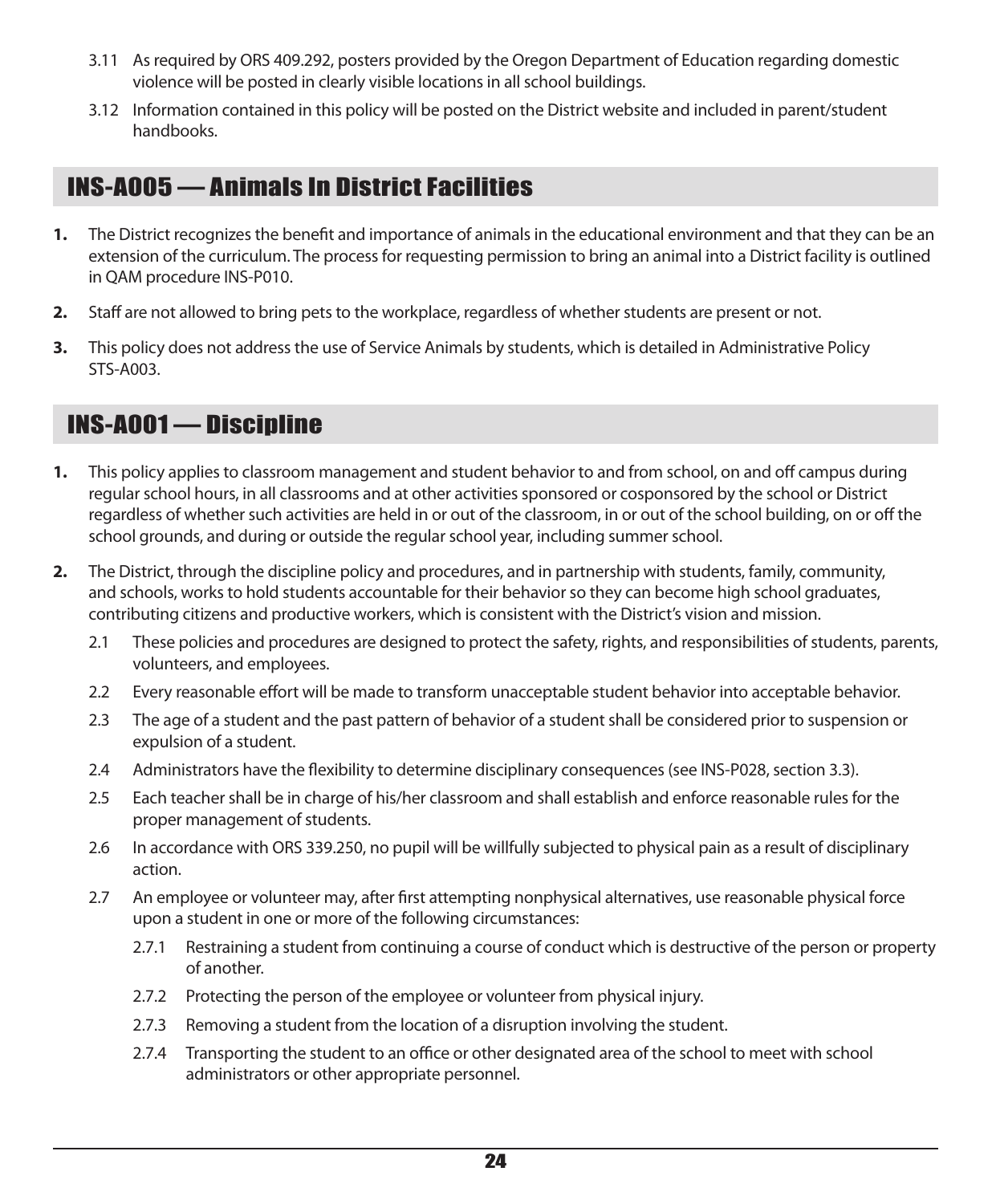- 3.11 As required by ORS 409.292, posters provided by the Oregon Department of Education regarding domestic violence will be posted in clearly visible locations in all school buildings.
- 3.12 Information contained in this policy will be posted on the District website and included in parent/student handbooks.

## INS-A005 — Animals In District Facilities

- **1.** The District recognizes the benefit and importance of animals in the educational environment and that they can be an extension of the curriculum. The process for requesting permission to bring an animal into a District facility is outlined in QAM procedure INS-P010.
- **2.** Staff are not allowed to bring pets to the workplace, regardless of whether students are present or not.
- **3.** This policy does not address the use of Service Animals by students, which is detailed in Administrative Policy STS-A003.

## INS-A001 — Discipline

- **1.** This policy applies to classroom management and student behavior to and from school, on and off campus during regular school hours, in all classrooms and at other activities sponsored or cosponsored by the school or District regardless of whether such activities are held in or out of the classroom, in or out of the school building, on or off the school grounds, and during or outside the regular school year, including summer school.
- **2.** The District, through the discipline policy and procedures, and in partnership with students, family, community, and schools, works to hold students accountable for their behavior so they can become high school graduates, contributing citizens and productive workers, which is consistent with the District's vision and mission.
	- 2.1 These policies and procedures are designed to protect the safety, rights, and responsibilities of students, parents, volunteers, and employees.
	- 2.2 Every reasonable effort will be made to transform unacceptable student behavior into acceptable behavior.
	- 2.3 The age of a student and the past pattern of behavior of a student shall be considered prior to suspension or expulsion of a student.
	- 2.4 Administrators have the flexibility to determine disciplinary consequences (see INS-P028, section 3.3).
	- 2.5 Each teacher shall be in charge of his/her classroom and shall establish and enforce reasonable rules for the proper management of students.
	- 2.6 In accordance with ORS 339.250, no pupil will be willfully subjected to physical pain as a result of disciplinary action.
	- 2.7 An employee or volunteer may, after first attempting nonphysical alternatives, use reasonable physical force upon a student in one or more of the following circumstances:
		- 2.7.1 Restraining a student from continuing a course of conduct which is destructive of the person or property of another.
		- 2.7.2 Protecting the person of the employee or volunteer from physical injury.
		- 2.7.3 Removing a student from the location of a disruption involving the student.
		- 2.7.4 Transporting the student to an office or other designated area of the school to meet with school administrators or other appropriate personnel.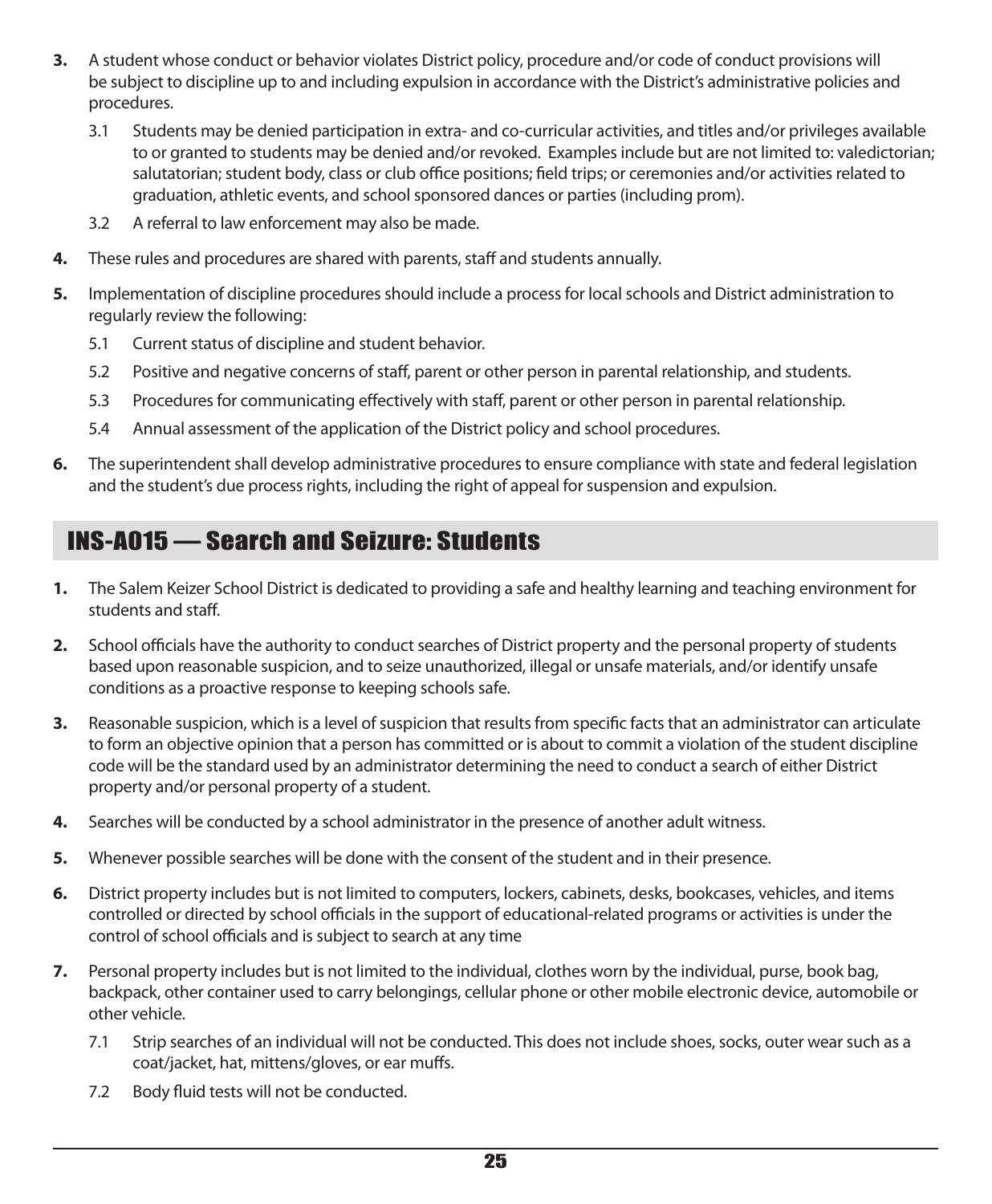- **3.** A student whose conduct or behavior violates District policy, procedure and/or code of conduct provisions will be subject to discipline up to and including expulsion in accordance with the District's administrative policies and procedures.
	- 3.1 Students may be denied participation in extra- and co-curricular activities, and titles and/or privileges available to or granted to students may be denied and/or revoked. Examples include but are not limited to: valedictorian; salutatorian; student body, class or club office positions; field trips; or ceremonies and/or activities related to graduation, athletic events, and school sponsored dances or parties (including prom).
	- 3.2 A referral to law enforcement may also be made.
- **4.** These rules and procedures are shared with parents, staff and students annually.
- **5.** Implementation of discipline procedures should include a process for local schools and District administration to regularly review the following:
	- 5.1 Current status of discipline and student behavior.
	- 5.2 Positive and negative concerns of staff, parent or other person in parental relationship, and students.
	- 5.3 Procedures for communicating effectively with staff, parent or other person in parental relationship.
	- 5.4 Annual assessment of the application of the District policy and school procedures.
- **6.** The superintendent shall develop administrative procedures to ensure compliance with state and federal legislation and the student's due process rights, including the right of appeal for suspension and expulsion.

## INS-A015 — Search and Seizure: Students

- **1.** The Salem Keizer School District is dedicated to providing a safe and healthy learning and teaching environment for students and staff.
- **2.** School officials have the authority to conduct searches of District property and the personal property of students based upon reasonable suspicion, and to seize unauthorized, illegal or unsafe materials, and/or identify unsafe conditions as a proactive response to keeping schools safe.
- **3.** Reasonable suspicion, which is a level of suspicion that results from specific facts that an administrator can articulate to form an objective opinion that a person has committed or is about to commit a violation of the student discipline code will be the standard used by an administrator determining the need to conduct a search of either District property and/or personal property of a student.
- **4.** Searches will be conducted by a school administrator in the presence of another adult witness.
- **5.** Whenever possible searches will be done with the consent of the student and in their presence.
- **6.** District property includes but is not limited to computers, lockers, cabinets, desks, bookcases, vehicles, and items controlled or directed by school officials in the support of educational-related programs or activities is under the control of school officials and is subject to search at any time
- **7.** Personal property includes but is not limited to the individual, clothes worn by the individual, purse, book bag, backpack, other container used to carry belongings, cellular phone or other mobile electronic device, automobile or other vehicle.
	- 7.1 Strip searches of an individual will not be conducted. This does not include shoes, socks, outer wear such as a coat/jacket, hat, mittens/gloves, or ear muffs.
	- 7.2 Body fluid tests will not be conducted.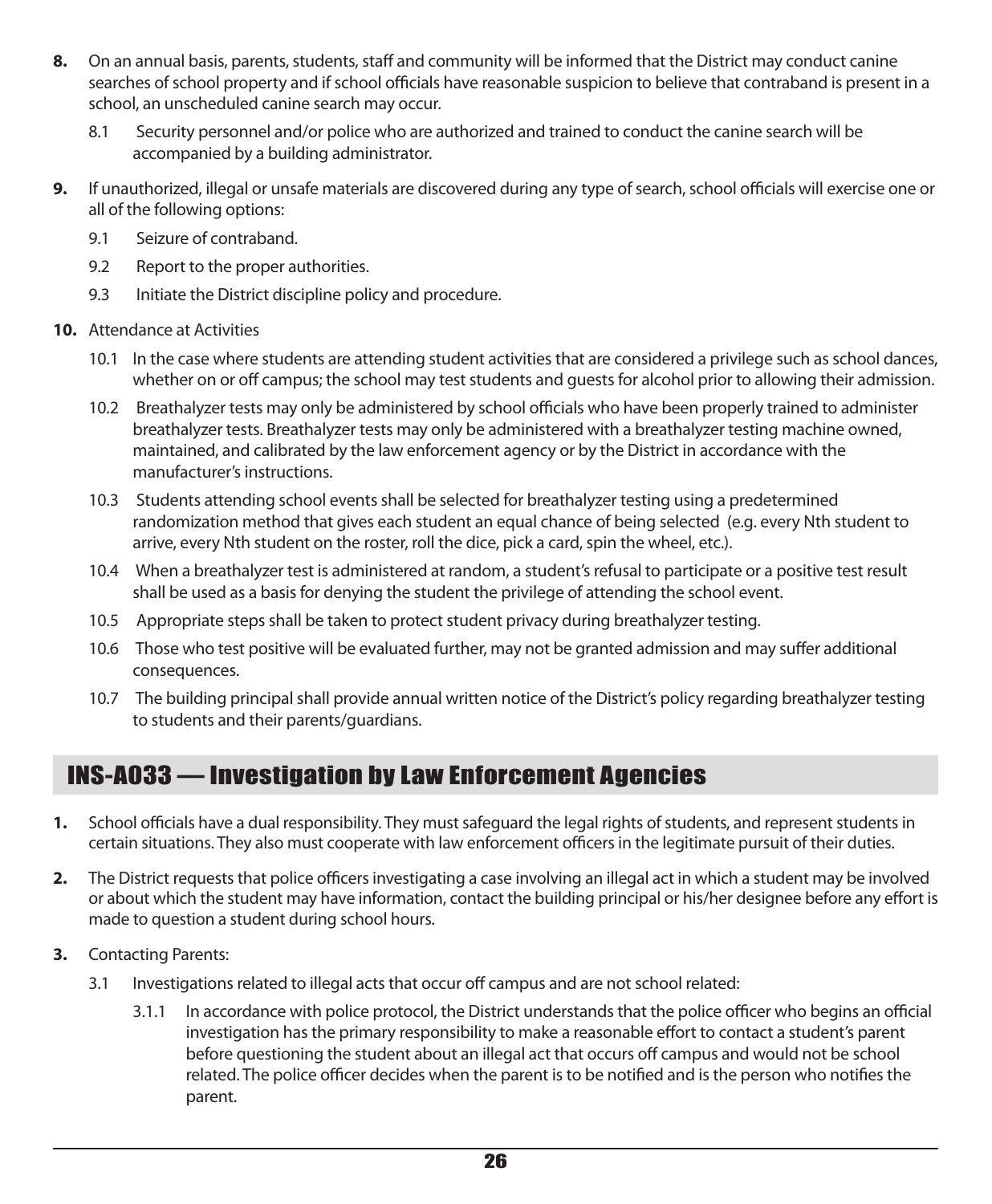- **8.** On an annual basis, parents, students, staff and community will be informed that the District may conduct canine searches of school property and if school officials have reasonable suspicion to believe that contraband is present in a school, an unscheduled canine search may occur.
	- 8.1 Security personnel and/or police who are authorized and trained to conduct the canine search will be accompanied by a building administrator.
- **9.** If unauthorized, illegal or unsafe materials are discovered during any type of search, school officials will exercise one or all of the following options:
	- 9.1 Seizure of contraband.
	- 9.2 Report to the proper authorities.
	- 9.3 Initiate the District discipline policy and procedure.
- **10.** Attendance at Activities
	- 10.1 In the case where students are attending student activities that are considered a privilege such as school dances, whether on or off campus; the school may test students and guests for alcohol prior to allowing their admission.
	- 10.2 Breathalyzer tests may only be administered by school officials who have been properly trained to administer breathalyzer tests. Breathalyzer tests may only be administered with a breathalyzer testing machine owned, maintained, and calibrated by the law enforcement agency or by the District in accordance with the manufacturer's instructions.
	- 10.3 Students attending school events shall be selected for breathalyzer testing using a predetermined randomization method that gives each student an equal chance of being selected (e.g. every Nth student to arrive, every Nth student on the roster, roll the dice, pick a card, spin the wheel, etc.).
	- 10.4 When a breathalyzer test is administered at random, a student's refusal to participate or a positive test result shall be used as a basis for denying the student the privilege of attending the school event.
	- 10.5 Appropriate steps shall be taken to protect student privacy during breathalyzer testing.
	- 10.6 Those who test positive will be evaluated further, may not be granted admission and may suffer additional consequences.
	- 10.7 The building principal shall provide annual written notice of the District's policy regarding breathalyzer testing to students and their parents/guardians.

## INS-A033 — Investigation by Law Enforcement Agencies

- **1.** School officials have a dual responsibility. They must safeguard the legal rights of students, and represent students in certain situations. They also must cooperate with law enforcement officers in the legitimate pursuit of their duties.
- **2.** The District requests that police officers investigating a case involving an illegal act in which a student may be involved or about which the student may have information, contact the building principal or his/her designee before any effort is made to question a student during school hours.
- **3.** Contacting Parents:
	- 3.1 Investigations related to illegal acts that occur off campus and are not school related:
		- 3.1.1 In accordance with police protocol, the District understands that the police officer who begins an official investigation has the primary responsibility to make a reasonable effort to contact a student's parent before questioning the student about an illegal act that occurs off campus and would not be school related. The police officer decides when the parent is to be notified and is the person who notifies the parent.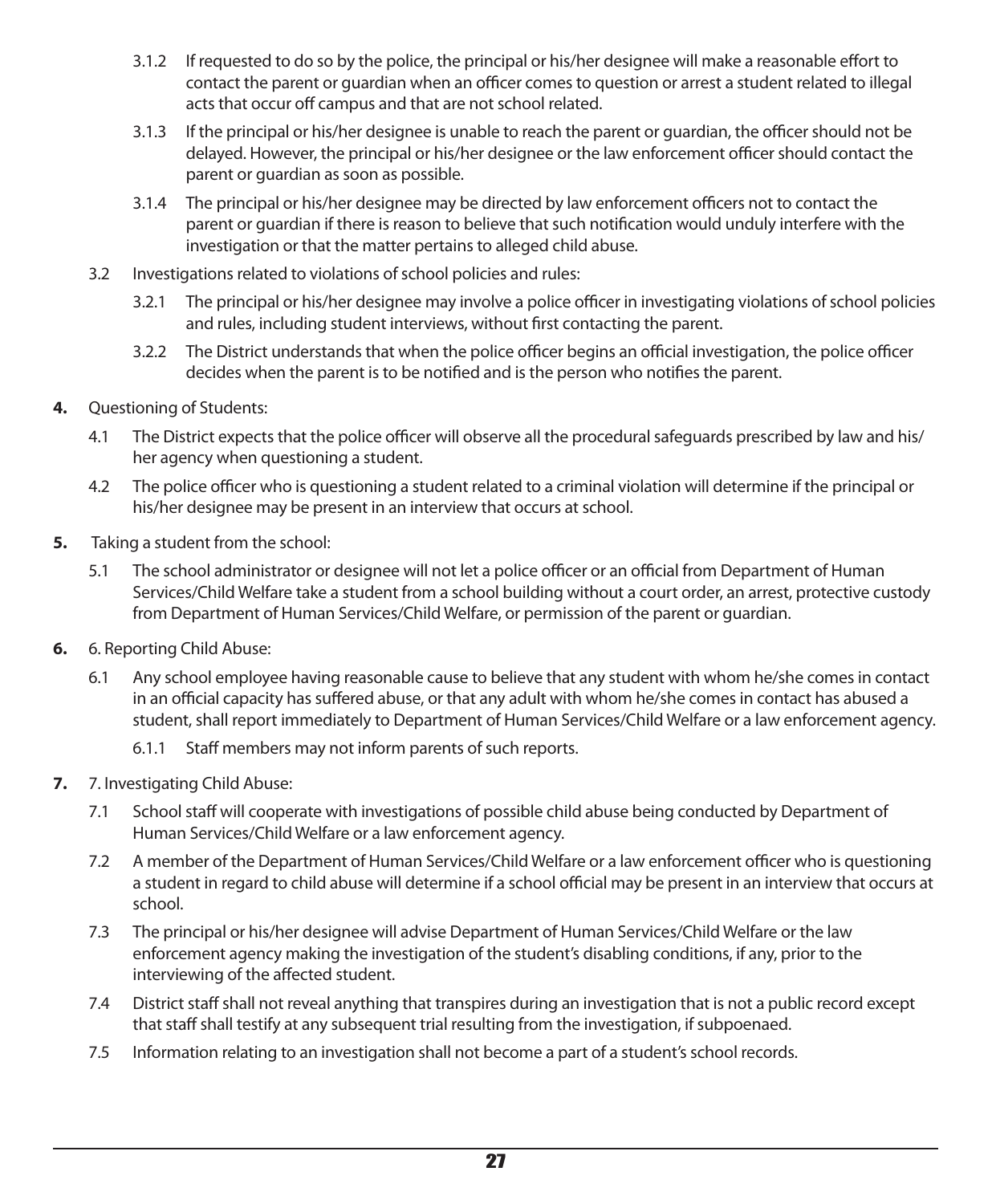- 3.1.2 If requested to do so by the police, the principal or his/her designee will make a reasonable effort to contact the parent or guardian when an officer comes to question or arrest a student related to illegal acts that occur off campus and that are not school related.
- 3.1.3 If the principal or his/her designee is unable to reach the parent or guardian, the officer should not be delayed. However, the principal or his/her designee or the law enforcement officer should contact the parent or guardian as soon as possible.
- 3.1.4 The principal or his/her designee may be directed by law enforcement officers not to contact the parent or guardian if there is reason to believe that such notification would unduly interfere with the investigation or that the matter pertains to alleged child abuse.
- 3.2 Investigations related to violations of school policies and rules:
	- 3.2.1 The principal or his/her designee may involve a police officer in investigating violations of school policies and rules, including student interviews, without first contacting the parent.
	- 3.2.2 The District understands that when the police officer begins an official investigation, the police officer decides when the parent is to be notified and is the person who notifies the parent.
- **4.** Questioning of Students:
	- 4.1 The District expects that the police officer will observe all the procedural safeguards prescribed by law and his/ her agency when questioning a student.
	- 4.2 The police officer who is questioning a student related to a criminal violation will determine if the principal or his/her designee may be present in an interview that occurs at school.
- **5.** Taking a student from the school:
	- 5.1 The school administrator or designee will not let a police officer or an official from Department of Human Services/Child Welfare take a student from a school building without a court order, an arrest, protective custody from Department of Human Services/Child Welfare, or permission of the parent or guardian.
- **6.** 6. Reporting Child Abuse:
	- 6.1 Any school employee having reasonable cause to believe that any student with whom he/she comes in contact in an official capacity has suffered abuse, or that any adult with whom he/she comes in contact has abused a student, shall report immediately to Department of Human Services/Child Welfare or a law enforcement agency.
		- 6.1.1 Staff members may not inform parents of such reports.
- **7.** 7. Investigating Child Abuse:
	- 7.1 School staff will cooperate with investigations of possible child abuse being conducted by Department of Human Services/Child Welfare or a law enforcement agency.
	- 7.2 A member of the Department of Human Services/Child Welfare or a law enforcement officer who is questioning a student in regard to child abuse will determine if a school official may be present in an interview that occurs at school.
	- 7.3 The principal or his/her designee will advise Department of Human Services/Child Welfare or the law enforcement agency making the investigation of the student's disabling conditions, if any, prior to the interviewing of the affected student.
	- 7.4 District staff shall not reveal anything that transpires during an investigation that is not a public record except that staff shall testify at any subsequent trial resulting from the investigation, if subpoenaed.
	- 7.5 Information relating to an investigation shall not become a part of a student's school records.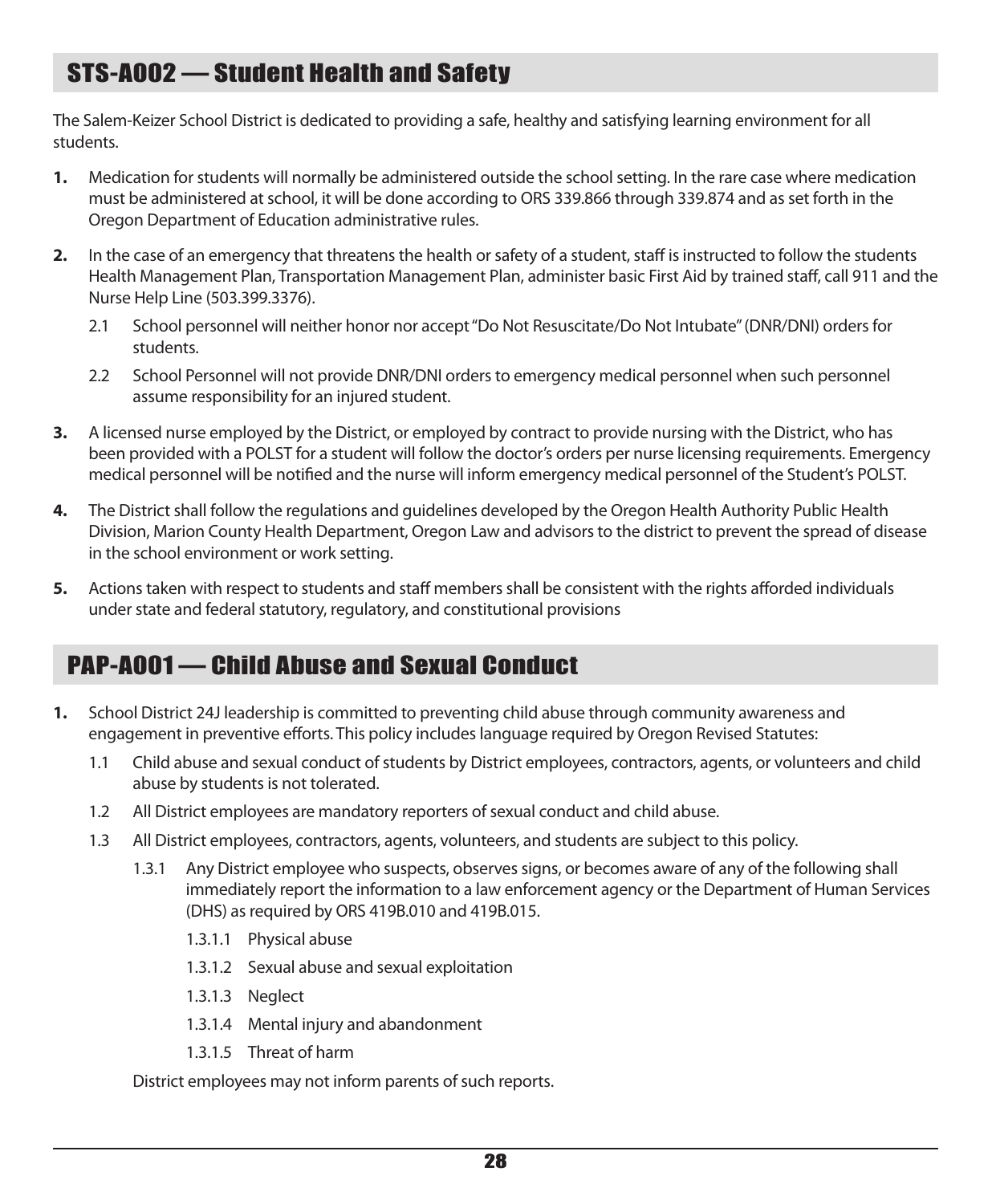## STS-A002 — Student Health and Safety

The Salem-Keizer School District is dedicated to providing a safe, healthy and satisfying learning environment for all students.

- **1.** Medication for students will normally be administered outside the school setting. In the rare case where medication must be administered at school, it will be done according to ORS 339.866 through 339.874 and as set forth in the Oregon Department of Education administrative rules.
- **2.** In the case of an emergency that threatens the health or safety of a student, staff is instructed to follow the students Health Management Plan, Transportation Management Plan, administer basic First Aid by trained staff, call 911 and the Nurse Help Line (503.399.3376).
	- 2.1 School personnel will neither honor nor accept "Do Not Resuscitate/Do Not Intubate" (DNR/DNI) orders for students.
	- 2.2 School Personnel will not provide DNR/DNI orders to emergency medical personnel when such personnel assume responsibility for an injured student.
- **3.** A licensed nurse employed by the District, or employed by contract to provide nursing with the District, who has been provided with a POLST for a student will follow the doctor's orders per nurse licensing requirements. Emergency medical personnel will be notified and the nurse will inform emergency medical personnel of the Student's POLST.
- **4.** The District shall follow the regulations and guidelines developed by the Oregon Health Authority Public Health Division, Marion County Health Department, Oregon Law and advisors to the district to prevent the spread of disease in the school environment or work setting.
- **5.** Actions taken with respect to students and staff members shall be consistent with the rights afforded individuals under state and federal statutory, regulatory, and constitutional provisions

## PAP-A001 — Child Abuse and Sexual Conduct

- **1.** School District 24J leadership is committed to preventing child abuse through community awareness and engagement in preventive efforts. This policy includes language required by Oregon Revised Statutes:
	- 1.1 Child abuse and sexual conduct of students by District employees, contractors, agents, or volunteers and child abuse by students is not tolerated.
	- 1.2 All District employees are mandatory reporters of sexual conduct and child abuse.
	- 1.3 All District employees, contractors, agents, volunteers, and students are subject to this policy.
		- 1.3.1 Any District employee who suspects, observes signs, or becomes aware of any of the following shall immediately report the information to a law enforcement agency or the Department of Human Services (DHS) as required by ORS 419B.010 and 419B.015.
			- 1.3.1.1 Physical abuse
			- 1.3.1.2 Sexual abuse and sexual exploitation
			- 1.3.1.3 Neglect
			- 1.3.1.4 Mental injury and abandonment
			- 1.3.1.5 Threat of harm

District employees may not inform parents of such reports.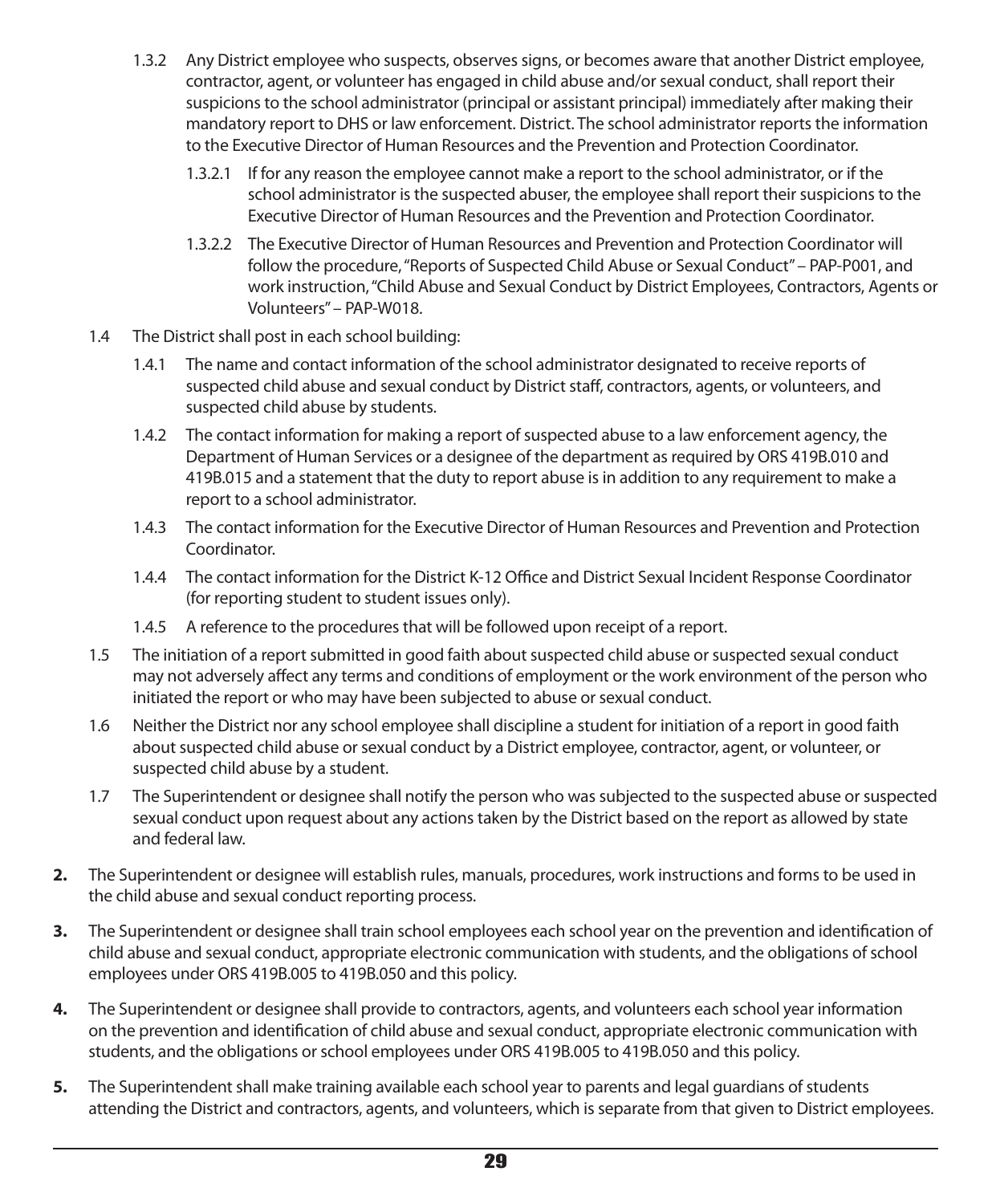- 1.3.2 Any District employee who suspects, observes signs, or becomes aware that another District employee, contractor, agent, or volunteer has engaged in child abuse and/or sexual conduct, shall report their suspicions to the school administrator (principal or assistant principal) immediately after making their mandatory report to DHS or law enforcement. District. The school administrator reports the information to the Executive Director of Human Resources and the Prevention and Protection Coordinator.
	- 1.3.2.1 If for any reason the employee cannot make a report to the school administrator, or if the school administrator is the suspected abuser, the employee shall report their suspicions to the Executive Director of Human Resources and the Prevention and Protection Coordinator.
	- 1.3.2.2 The Executive Director of Human Resources and Prevention and Protection Coordinator will follow the procedure, "Reports of Suspected Child Abuse or Sexual Conduct" – PAP-P001, and work instruction, "Child Abuse and Sexual Conduct by District Employees, Contractors, Agents or Volunteers" – PAP-W018.
- 1.4 The District shall post in each school building:
	- 1.4.1 The name and contact information of the school administrator designated to receive reports of suspected child abuse and sexual conduct by District staff, contractors, agents, or volunteers, and suspected child abuse by students.
	- 1.4.2 The contact information for making a report of suspected abuse to a law enforcement agency, the Department of Human Services or a designee of the department as required by ORS 419B.010 and 419B.015 and a statement that the duty to report abuse is in addition to any requirement to make a report to a school administrator.
	- 1.4.3 The contact information for the Executive Director of Human Resources and Prevention and Protection Coordinator.
	- 1.4.4 The contact information for the District K-12 Office and District Sexual Incident Response Coordinator (for reporting student to student issues only).
	- 1.4.5 A reference to the procedures that will be followed upon receipt of a report.
- 1.5 The initiation of a report submitted in good faith about suspected child abuse or suspected sexual conduct may not adversely affect any terms and conditions of employment or the work environment of the person who initiated the report or who may have been subjected to abuse or sexual conduct.
- 1.6 Neither the District nor any school employee shall discipline a student for initiation of a report in good faith about suspected child abuse or sexual conduct by a District employee, contractor, agent, or volunteer, or suspected child abuse by a student.
- 1.7 The Superintendent or designee shall notify the person who was subjected to the suspected abuse or suspected sexual conduct upon request about any actions taken by the District based on the report as allowed by state and federal law.
- **2.** The Superintendent or designee will establish rules, manuals, procedures, work instructions and forms to be used in the child abuse and sexual conduct reporting process.
- **3.** The Superintendent or designee shall train school employees each school year on the prevention and identification of child abuse and sexual conduct, appropriate electronic communication with students, and the obligations of school employees under ORS 419B.005 to 419B.050 and this policy.
- **4.** The Superintendent or designee shall provide to contractors, agents, and volunteers each school year information on the prevention and identification of child abuse and sexual conduct, appropriate electronic communication with students, and the obligations or school employees under ORS 419B.005 to 419B.050 and this policy.
- **5.** The Superintendent shall make training available each school year to parents and legal guardians of students attending the District and contractors, agents, and volunteers, which is separate from that given to District employees.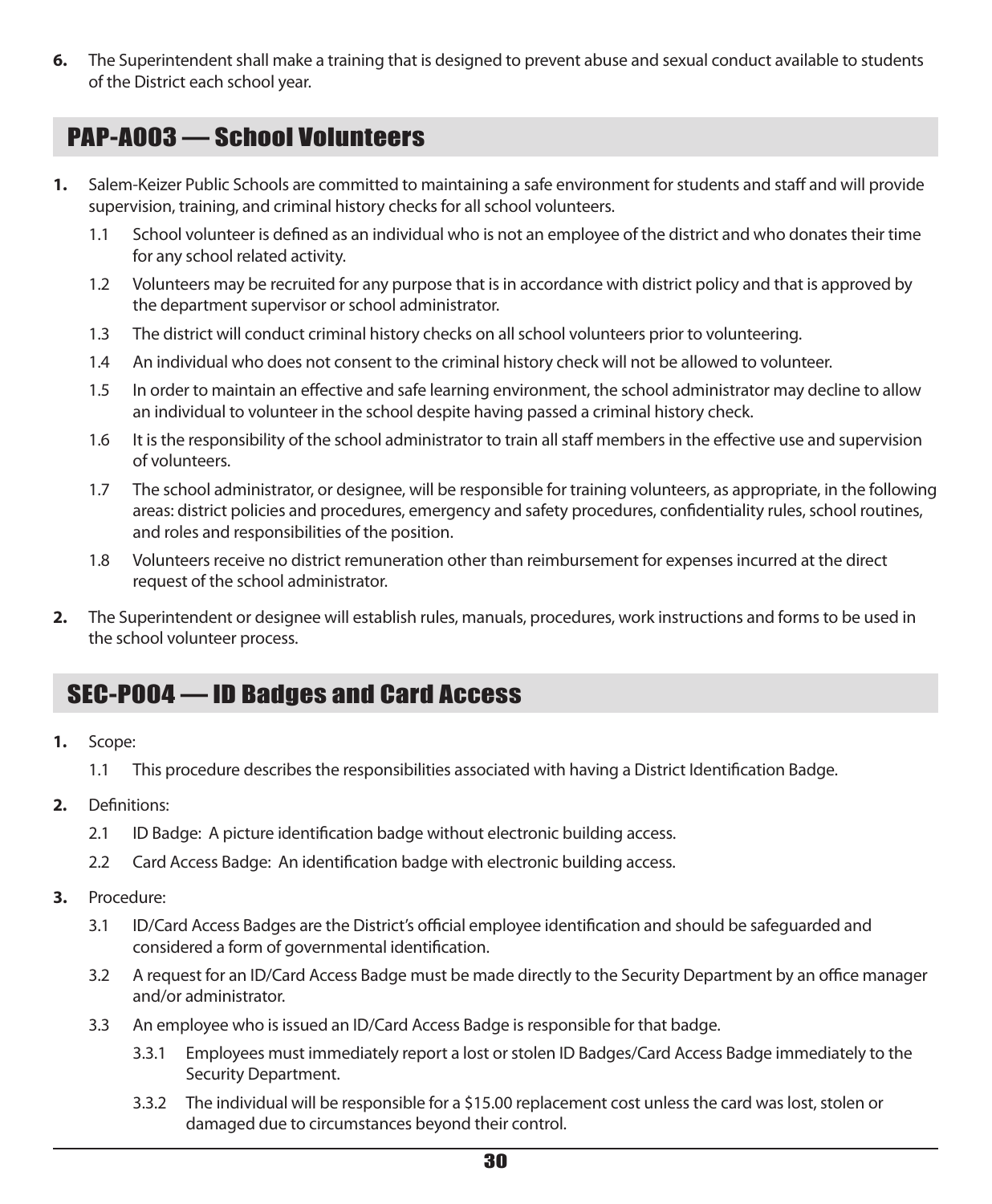**6.** The Superintendent shall make a training that is designed to prevent abuse and sexual conduct available to students of the District each school year.

## PAP-A003 — School Volunteers

- **1.** Salem-Keizer Public Schools are committed to maintaining a safe environment for students and staff and will provide supervision, training, and criminal history checks for all school volunteers.
	- 1.1 School volunteer is defined as an individual who is not an employee of the district and who donates their time for any school related activity.
	- 1.2 Volunteers may be recruited for any purpose that is in accordance with district policy and that is approved by the department supervisor or school administrator.
	- 1.3 The district will conduct criminal history checks on all school volunteers prior to volunteering.
	- 1.4 An individual who does not consent to the criminal history check will not be allowed to volunteer.
	- 1.5 In order to maintain an effective and safe learning environment, the school administrator may decline to allow an individual to volunteer in the school despite having passed a criminal history check.
	- 1.6 It is the responsibility of the school administrator to train all staff members in the effective use and supervision of volunteers.
	- 1.7 The school administrator, or designee, will be responsible for training volunteers, as appropriate, in the following areas: district policies and procedures, emergency and safety procedures, confidentiality rules, school routines, and roles and responsibilities of the position.
	- 1.8 Volunteers receive no district remuneration other than reimbursement for expenses incurred at the direct request of the school administrator.
- **2.** The Superintendent or designee will establish rules, manuals, procedures, work instructions and forms to be used in the school volunteer process.

## SEC-P004 — ID Badges and Card Access

- **1.** Scope:
	- 1.1 This procedure describes the responsibilities associated with having a District Identification Badge.
- **2.** Definitions:
	- 2.1 ID Badge: A picture identification badge without electronic building access.
	- 2.2 Card Access Badge: An identification badge with electronic building access.
- **3.** Procedure:
	- 3.1 ID/Card Access Badges are the District's official employee identification and should be safeguarded and considered a form of governmental identification.
	- 3.2 A request for an ID/Card Access Badge must be made directly to the Security Department by an office manager and/or administrator.
	- 3.3 An employee who is issued an ID/Card Access Badge is responsible for that badge.
		- 3.3.1 Employees must immediately report a lost or stolen ID Badges/Card Access Badge immediately to the Security Department.
		- 3.3.2 The individual will be responsible for a \$15.00 replacement cost unless the card was lost, stolen or damaged due to circumstances beyond their control.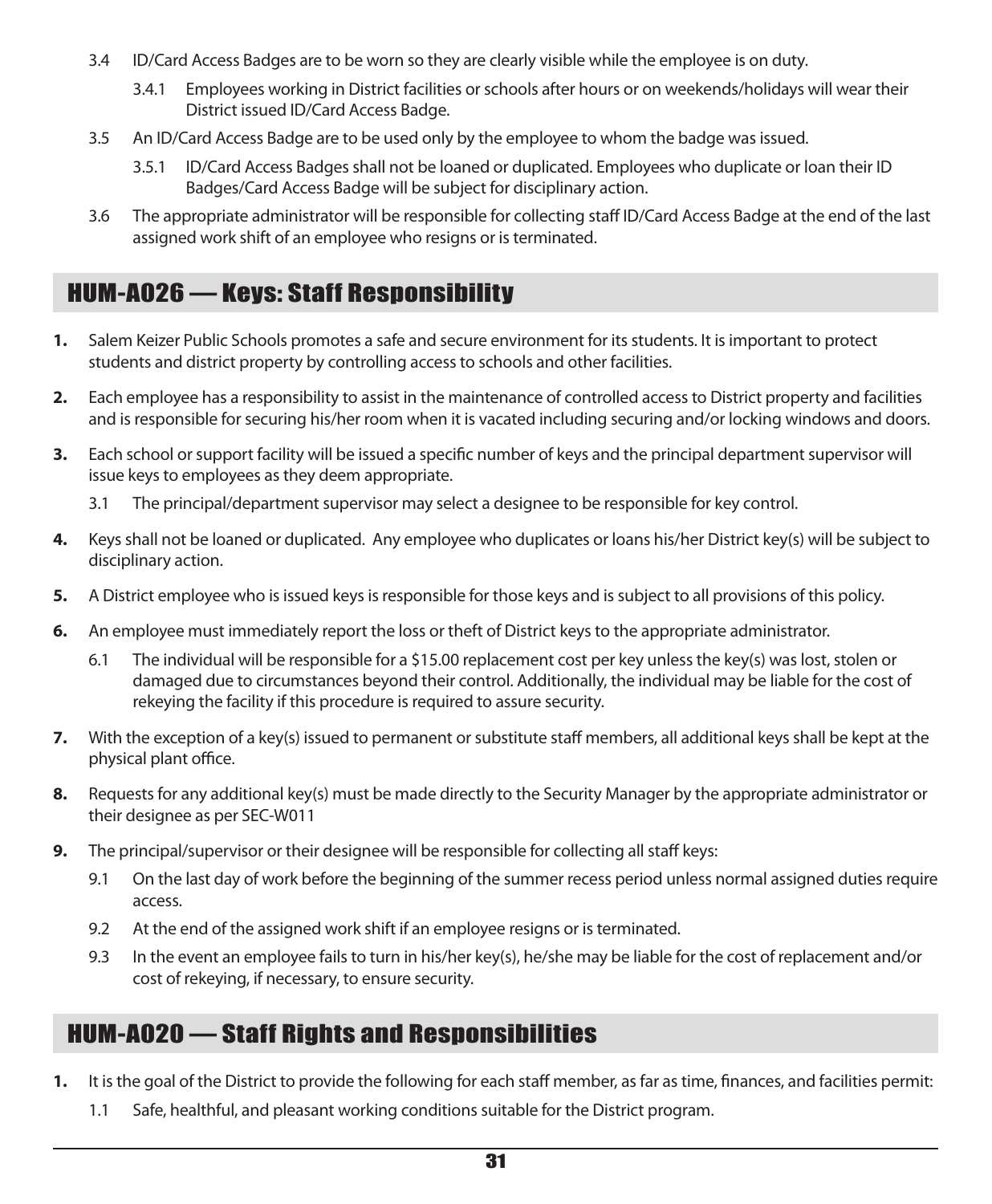- 3.4 ID/Card Access Badges are to be worn so they are clearly visible while the employee is on duty.
	- 3.4.1 Employees working in District facilities or schools after hours or on weekends/holidays will wear their District issued ID/Card Access Badge.
- 3.5 An ID/Card Access Badge are to be used only by the employee to whom the badge was issued.
	- 3.5.1 ID/Card Access Badges shall not be loaned or duplicated. Employees who duplicate or loan their ID Badges/Card Access Badge will be subject for disciplinary action.
- 3.6 The appropriate administrator will be responsible for collecting staff ID/Card Access Badge at the end of the last assigned work shift of an employee who resigns or is terminated.

## HUM-A026 — Keys: Staff Responsibility

- **1.** Salem Keizer Public Schools promotes a safe and secure environment for its students. It is important to protect students and district property by controlling access to schools and other facilities.
- **2.** Each employee has a responsibility to assist in the maintenance of controlled access to District property and facilities and is responsible for securing his/her room when it is vacated including securing and/or locking windows and doors.
- **3.** Each school or support facility will be issued a specific number of keys and the principal department supervisor will issue keys to employees as they deem appropriate.
	- 3.1 The principal/department supervisor may select a designee to be responsible for key control.
- **4.** Keys shall not be loaned or duplicated. Any employee who duplicates or loans his/her District key(s) will be subject to disciplinary action.
- **5.** A District employee who is issued keys is responsible for those keys and is subject to all provisions of this policy.
- **6.** An employee must immediately report the loss or theft of District keys to the appropriate administrator.
	- 6.1 The individual will be responsible for a \$15.00 replacement cost per key unless the key(s) was lost, stolen or damaged due to circumstances beyond their control. Additionally, the individual may be liable for the cost of rekeying the facility if this procedure is required to assure security.
- **7.** With the exception of a key(s) issued to permanent or substitute staff members, all additional keys shall be kept at the physical plant office.
- **8.** Requests for any additional key(s) must be made directly to the Security Manager by the appropriate administrator or their designee as per SEC-W011
- **9.** The principal/supervisor or their designee will be responsible for collecting all staff keys:
	- 9.1 On the last day of work before the beginning of the summer recess period unless normal assigned duties require access.
	- 9.2 At the end of the assigned work shift if an employee resigns or is terminated.
	- 9.3 In the event an employee fails to turn in his/her key(s), he/she may be liable for the cost of replacement and/or cost of rekeying, if necessary, to ensure security.

## HUM-A020 — Staff Rights and Responsibilities

- **1.** It is the goal of the District to provide the following for each staff member, as far as time, finances, and facilities permit:
	- 1.1 Safe, healthful, and pleasant working conditions suitable for the District program.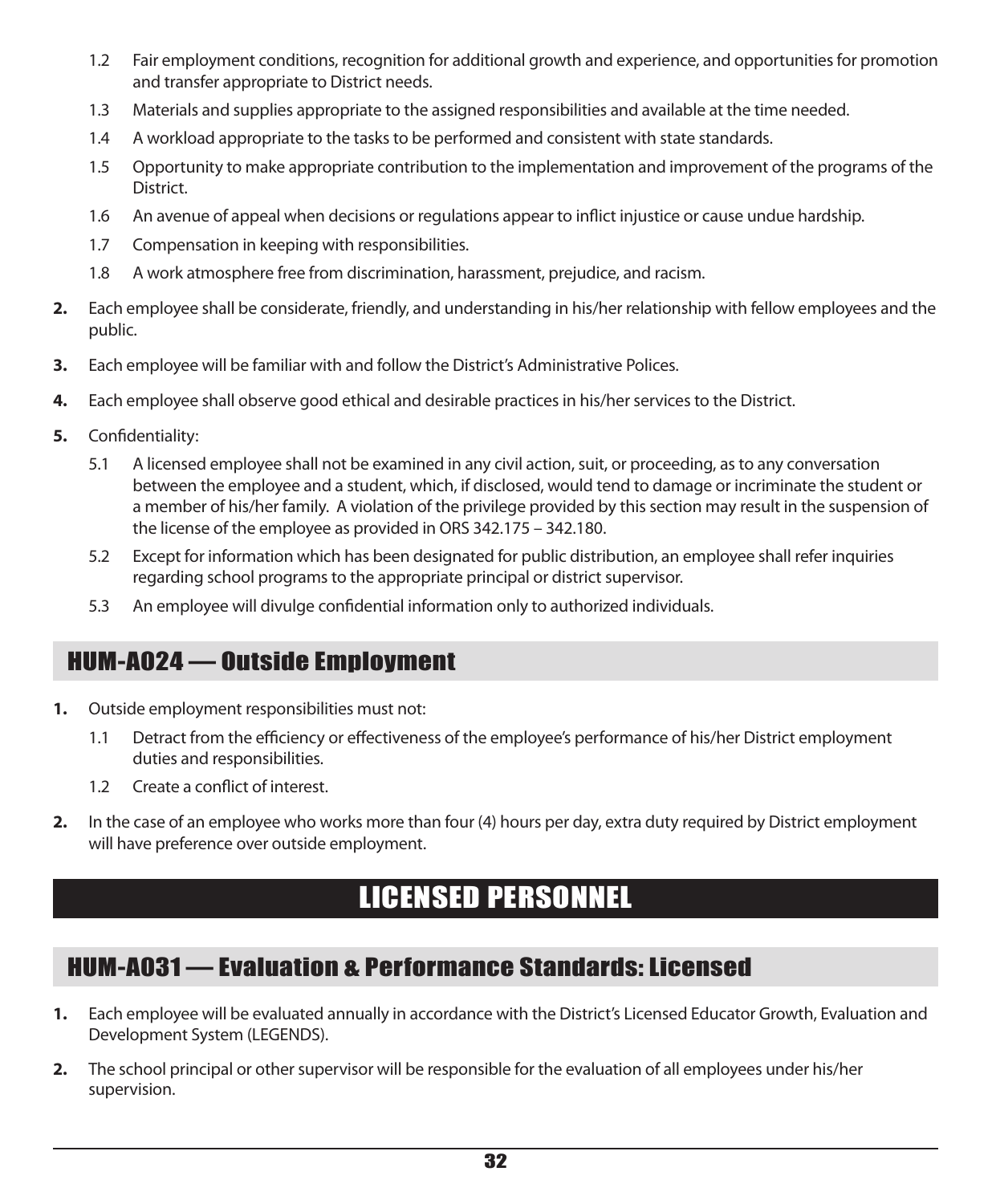- 1.2 Fair employment conditions, recognition for additional growth and experience, and opportunities for promotion and transfer appropriate to District needs.
- 1.3 Materials and supplies appropriate to the assigned responsibilities and available at the time needed.
- 1.4 A workload appropriate to the tasks to be performed and consistent with state standards.
- 1.5 Opportunity to make appropriate contribution to the implementation and improvement of the programs of the District.
- 1.6 An avenue of appeal when decisions or regulations appear to inflict injustice or cause undue hardship.
- 1.7 Compensation in keeping with responsibilities.
- 1.8 A work atmosphere free from discrimination, harassment, prejudice, and racism.
- **2.** Each employee shall be considerate, friendly, and understanding in his/her relationship with fellow employees and the public.
- **3.** Each employee will be familiar with and follow the District's Administrative Polices.
- **4.** Each employee shall observe good ethical and desirable practices in his/her services to the District.
- **5.** Confidentiality:
	- 5.1 A licensed employee shall not be examined in any civil action, suit, or proceeding, as to any conversation between the employee and a student, which, if disclosed, would tend to damage or incriminate the student or a member of his/her family. A violation of the privilege provided by this section may result in the suspension of the license of the employee as provided in ORS 342.175 – 342.180.
	- 5.2 Except for information which has been designated for public distribution, an employee shall refer inquiries regarding school programs to the appropriate principal or district supervisor.
	- 5.3 An employee will divulge confidential information only to authorized individuals.

## HUM-A024 — Outside Employment

- **1.** Outside employment responsibilities must not:
	- 1.1 Detract from the efficiency or effectiveness of the employee's performance of his/her District employment duties and responsibilities.
	- 1.2 Create a conflict of interest.
- **2.** In the case of an employee who works more than four (4) hours per day, extra duty required by District employment will have preference over outside employment.

# LICENSED PERSONNEL

## HUM-A031 — Evaluation & Performance Standards: Licensed

- **1.** Each employee will be evaluated annually in accordance with the District's Licensed Educator Growth, Evaluation and Development System (LEGENDS).
- **2.** The school principal or other supervisor will be responsible for the evaluation of all employees under his/her supervision.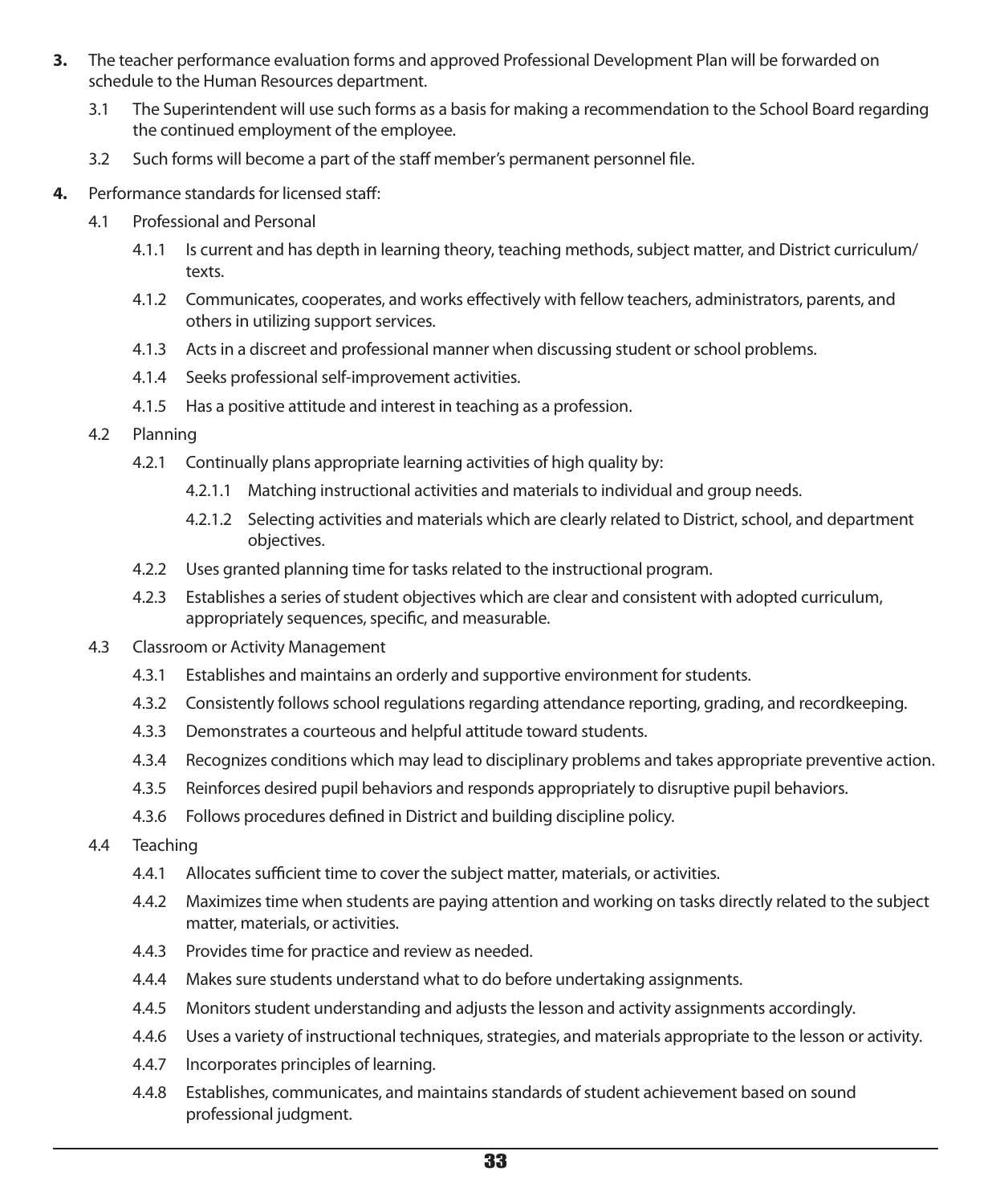- **3.** The teacher performance evaluation forms and approved Professional Development Plan will be forwarded on schedule to the Human Resources department.
	- 3.1 The Superintendent will use such forms as a basis for making a recommendation to the School Board regarding the continued employment of the employee.
	- 3.2 Such forms will become a part of the staff member's permanent personnel file.
- **4.** Performance standards for licensed staff:
	- 4.1 Professional and Personal
		- 4.1.1 Is current and has depth in learning theory, teaching methods, subject matter, and District curriculum/ texts.
		- 4.1.2 Communicates, cooperates, and works effectively with fellow teachers, administrators, parents, and others in utilizing support services.
		- 4.1.3 Acts in a discreet and professional manner when discussing student or school problems.
		- 4.1.4 Seeks professional self-improvement activities.
		- 4.1.5 Has a positive attitude and interest in teaching as a profession.
	- 4.2 Planning
		- 4.2.1 Continually plans appropriate learning activities of high quality by:
			- 4.2.1.1 Matching instructional activities and materials to individual and group needs.
			- 4.2.1.2 Selecting activities and materials which are clearly related to District, school, and department objectives.
		- 4.2.2 Uses granted planning time for tasks related to the instructional program.
		- 4.2.3 Establishes a series of student objectives which are clear and consistent with adopted curriculum, appropriately sequences, specific, and measurable.
	- 4.3 Classroom or Activity Management
		- 4.3.1 Establishes and maintains an orderly and supportive environment for students.
		- 4.3.2 Consistently follows school regulations regarding attendance reporting, grading, and recordkeeping.
		- 4.3.3 Demonstrates a courteous and helpful attitude toward students.
		- 4.3.4 Recognizes conditions which may lead to disciplinary problems and takes appropriate preventive action.
		- 4.3.5 Reinforces desired pupil behaviors and responds appropriately to disruptive pupil behaviors.
		- 4.3.6 Follows procedures defined in District and building discipline policy.
	- 4.4 Teaching
		- 4.4.1 Allocates sufficient time to cover the subject matter, materials, or activities.
		- 4.4.2 Maximizes time when students are paying attention and working on tasks directly related to the subject matter, materials, or activities.
		- 4.4.3 Provides time for practice and review as needed.
		- 4.4.4 Makes sure students understand what to do before undertaking assignments.
		- 4.4.5 Monitors student understanding and adjusts the lesson and activity assignments accordingly.
		- 4.4.6 Uses a variety of instructional techniques, strategies, and materials appropriate to the lesson or activity.
		- 4.4.7 Incorporates principles of learning.
		- 4.4.8 Establishes, communicates, and maintains standards of student achievement based on sound professional judgment.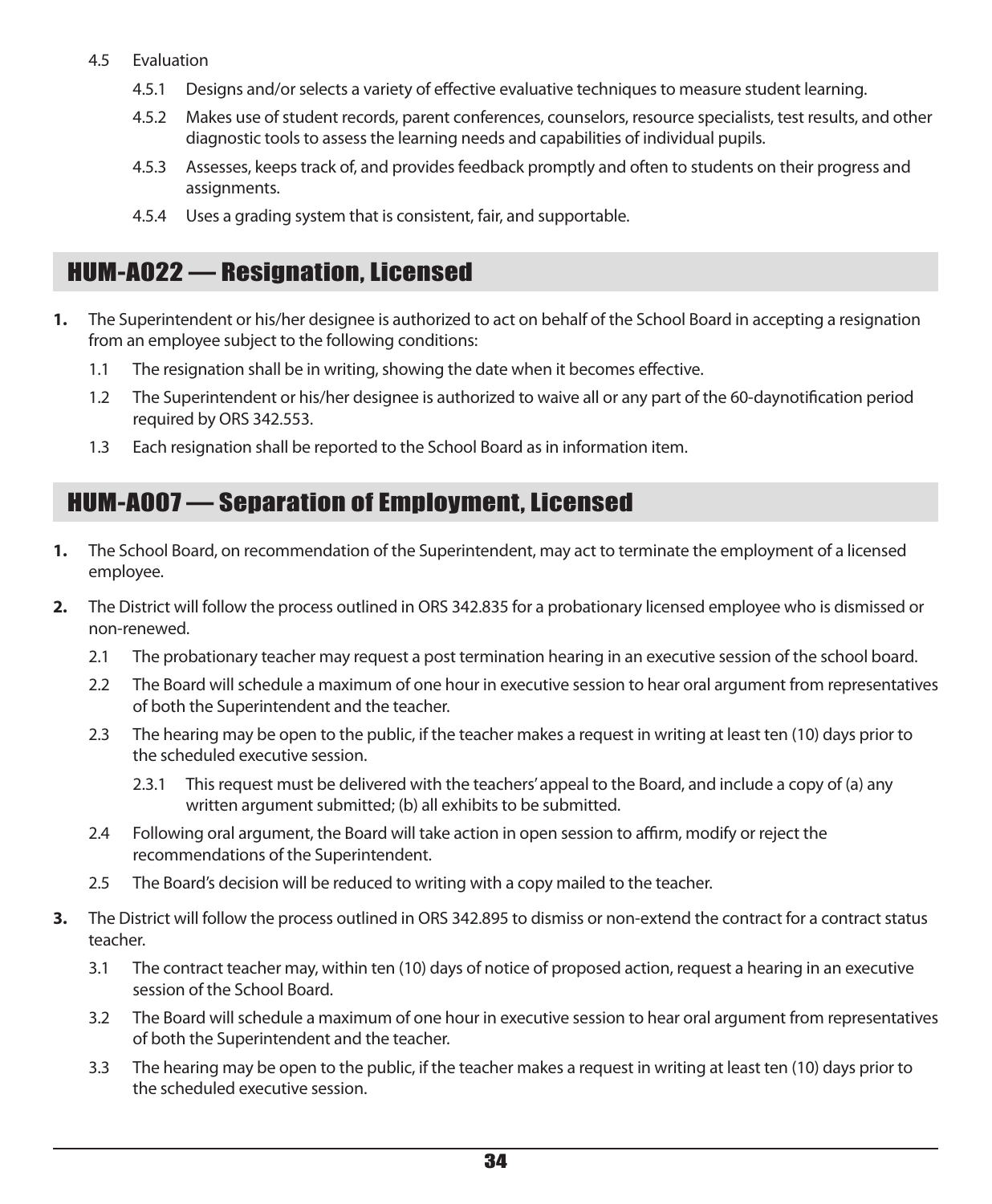#### 4.5 Evaluation

- 4.5.1 Designs and/or selects a variety of effective evaluative techniques to measure student learning.
- 4.5.2 Makes use of student records, parent conferences, counselors, resource specialists, test results, and other diagnostic tools to assess the learning needs and capabilities of individual pupils.
- 4.5.3 Assesses, keeps track of, and provides feedback promptly and often to students on their progress and assignments.
- 4.5.4 Uses a grading system that is consistent, fair, and supportable.

### HUM-A022 — Resignation, Licensed

- **1.** The Superintendent or his/her designee is authorized to act on behalf of the School Board in accepting a resignation from an employee subject to the following conditions:
	- 1.1 The resignation shall be in writing, showing the date when it becomes effective.
	- 1.2 The Superintendent or his/her designee is authorized to waive all or any part of the 60-daynotification period required by ORS 342.553.
	- 1.3 Each resignation shall be reported to the School Board as in information item.

## HUM-A007 — Separation of Employment, Licensed

- **1.** The School Board, on recommendation of the Superintendent, may act to terminate the employment of a licensed employee.
- **2.** The District will follow the process outlined in ORS 342.835 for a probationary licensed employee who is dismissed or non-renewed.
	- 2.1 The probationary teacher may request a post termination hearing in an executive session of the school board.
	- 2.2 The Board will schedule a maximum of one hour in executive session to hear oral argument from representatives of both the Superintendent and the teacher.
	- 2.3 The hearing may be open to the public, if the teacher makes a request in writing at least ten (10) days prior to the scheduled executive session.
		- 2.3.1 This request must be delivered with the teachers' appeal to the Board, and include a copy of (a) any written argument submitted; (b) all exhibits to be submitted.
	- 2.4 Following oral argument, the Board will take action in open session to affirm, modify or reject the recommendations of the Superintendent.
	- 2.5 The Board's decision will be reduced to writing with a copy mailed to the teacher.
- **3.** The District will follow the process outlined in ORS 342.895 to dismiss or non-extend the contract for a contract status teacher.
	- 3.1 The contract teacher may, within ten (10) days of notice of proposed action, request a hearing in an executive session of the School Board.
	- 3.2 The Board will schedule a maximum of one hour in executive session to hear oral argument from representatives of both the Superintendent and the teacher.
	- 3.3 The hearing may be open to the public, if the teacher makes a request in writing at least ten (10) days prior to the scheduled executive session.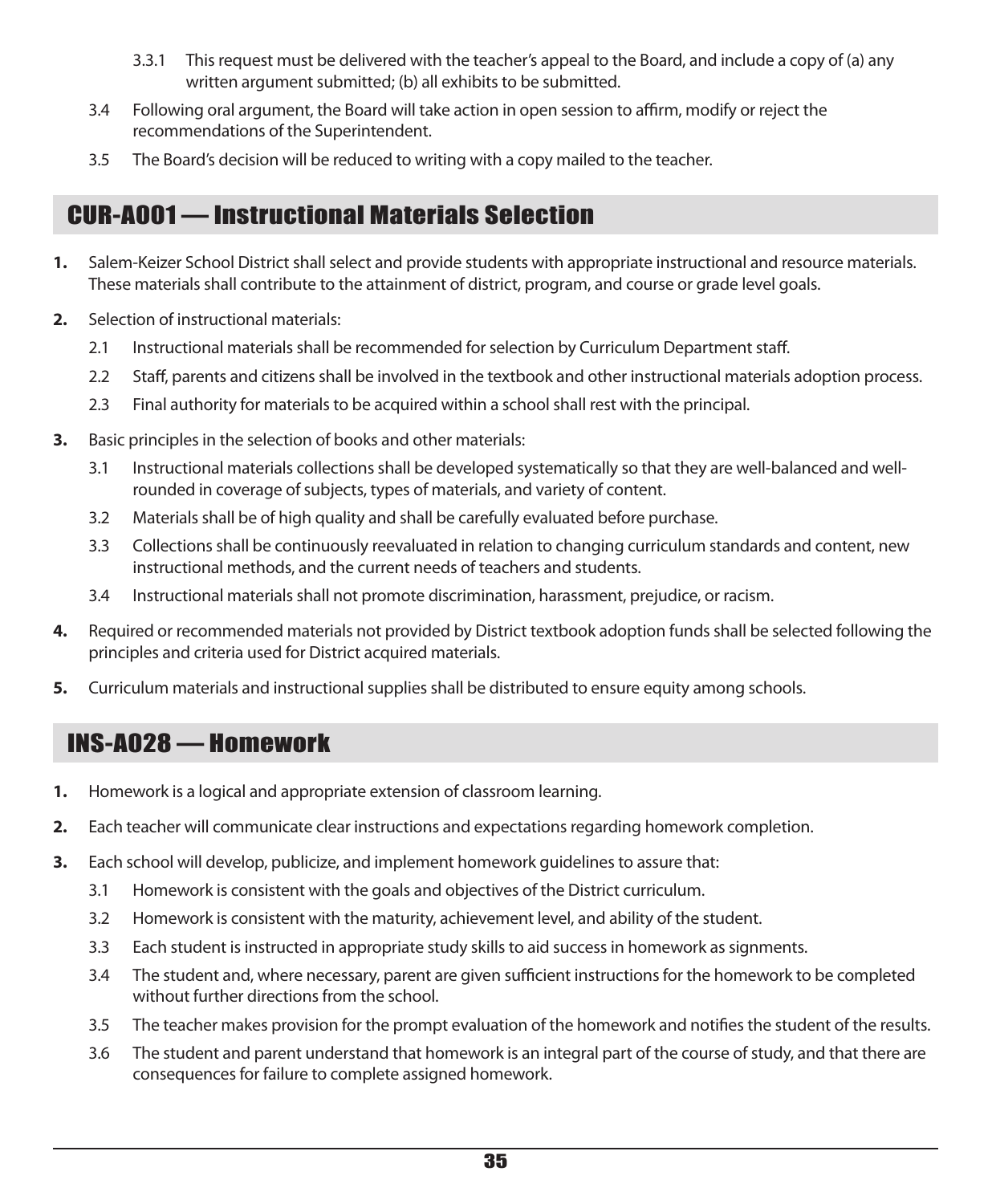- 3.3.1 This request must be delivered with the teacher's appeal to the Board, and include a copy of (a) any written argument submitted; (b) all exhibits to be submitted.
- 3.4 Following oral argument, the Board will take action in open session to affirm, modify or reject the recommendations of the Superintendent.
- 3.5 The Board's decision will be reduced to writing with a copy mailed to the teacher.

## CUR-A001 — Instructional Materials Selection

- **1.** Salem-Keizer School District shall select and provide students with appropriate instructional and resource materials. These materials shall contribute to the attainment of district, program, and course or grade level goals.
- **2.** Selection of instructional materials:
	- 2.1 Instructional materials shall be recommended for selection by Curriculum Department staff.
	- 2.2 Staff, parents and citizens shall be involved in the textbook and other instructional materials adoption process.
	- 2.3 Final authority for materials to be acquired within a school shall rest with the principal.
- **3.** Basic principles in the selection of books and other materials:
	- 3.1 Instructional materials collections shall be developed systematically so that they are well-balanced and wellrounded in coverage of subjects, types of materials, and variety of content.
	- 3.2 Materials shall be of high quality and shall be carefully evaluated before purchase.
	- 3.3 Collections shall be continuously reevaluated in relation to changing curriculum standards and content, new instructional methods, and the current needs of teachers and students.
	- 3.4 Instructional materials shall not promote discrimination, harassment, prejudice, or racism.
- **4.** Required or recommended materials not provided by District textbook adoption funds shall be selected following the principles and criteria used for District acquired materials.
- **5.** Curriculum materials and instructional supplies shall be distributed to ensure equity among schools.

## INS-A028 — Homework

- **1.** Homework is a logical and appropriate extension of classroom learning.
- **2.** Each teacher will communicate clear instructions and expectations regarding homework completion.
- **3.** Each school will develop, publicize, and implement homework guidelines to assure that:
	- 3.1 Homework is consistent with the goals and objectives of the District curriculum.
	- 3.2 Homework is consistent with the maturity, achievement level, and ability of the student.
	- 3.3 Each student is instructed in appropriate study skills to aid success in homework as signments.
	- 3.4 The student and, where necessary, parent are given sufficient instructions for the homework to be completed without further directions from the school.
	- 3.5 The teacher makes provision for the prompt evaluation of the homework and notifies the student of the results.
	- 3.6 The student and parent understand that homework is an integral part of the course of study, and that there are consequences for failure to complete assigned homework.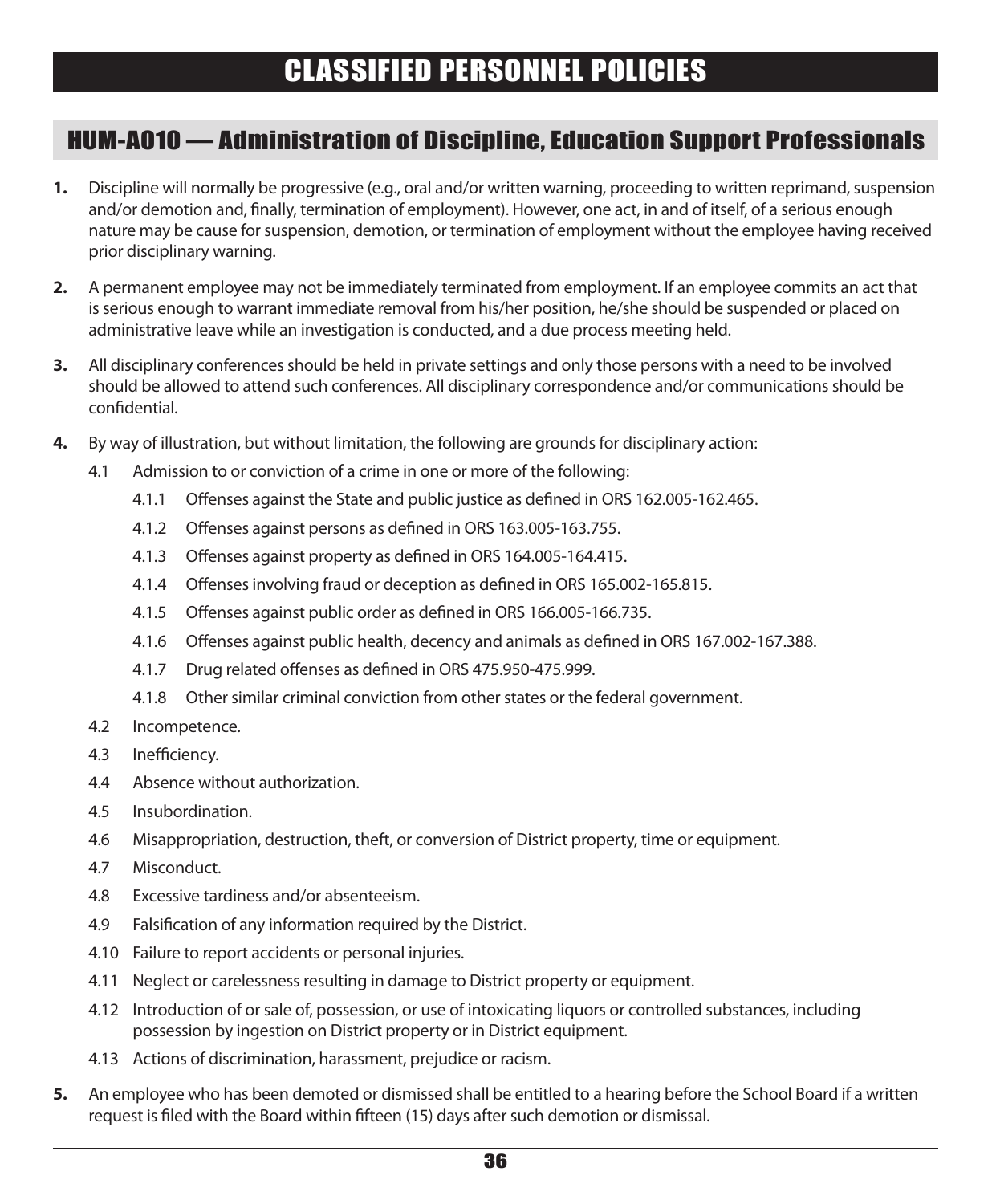### HUM-A010 — Administration of Discipline, Education Support Professionals

- **1.** Discipline will normally be progressive (e.g., oral and/or written warning, proceeding to written reprimand, suspension and/or demotion and, finally, termination of employment). However, one act, in and of itself, of a serious enough nature may be cause for suspension, demotion, or termination of employment without the employee having received prior disciplinary warning.
- **2.** A permanent employee may not be immediately terminated from employment. If an employee commits an act that is serious enough to warrant immediate removal from his/her position, he/she should be suspended or placed on administrative leave while an investigation is conducted, and a due process meeting held.
- **3.** All disciplinary conferences should be held in private settings and only those persons with a need to be involved should be allowed to attend such conferences. All disciplinary correspondence and/or communications should be confidential.
- **4.** By way of illustration, but without limitation, the following are grounds for disciplinary action:
	- 4.1 Admission to or conviction of a crime in one or more of the following:
		- 4.1.1 Offenses against the State and public justice as defined in ORS 162.005-162.465.
		- 4.1.2 Offenses against persons as defined in ORS 163.005-163.755.
		- 4.1.3 Offenses against property as defined in ORS 164.005-164.415.
		- 4.1.4 Offenses involving fraud or deception as defined in ORS 165.002-165.815.
		- 4.1.5 Offenses against public order as defined in ORS 166.005-166.735.
		- 4.1.6 Offenses against public health, decency and animals as defined in ORS 167.002-167.388.
		- 4.1.7 Drug related offenses as defined in ORS 475.950-475.999.
		- 4.1.8 Other similar criminal conviction from other states or the federal government.
	- 4.2 Incompetence.
	- 4.3 Inefficiency.
	- 4.4 Absence without authorization.
	- 4.5 Insubordination.
	- 4.6 Misappropriation, destruction, theft, or conversion of District property, time or equipment.
	- 4.7 Misconduct.
	- 4.8 Excessive tardiness and/or absenteeism.
	- 4.9 Falsification of any information required by the District.
	- 4.10 Failure to report accidents or personal injuries.
	- 4.11 Neglect or carelessness resulting in damage to District property or equipment.
	- 4.12 Introduction of or sale of, possession, or use of intoxicating liquors or controlled substances, including possession by ingestion on District property or in District equipment.
	- 4.13 Actions of discrimination, harassment, prejudice or racism.
- **5.** An employee who has been demoted or dismissed shall be entitled to a hearing before the School Board if a written request is filed with the Board within fifteen (15) days after such demotion or dismissal.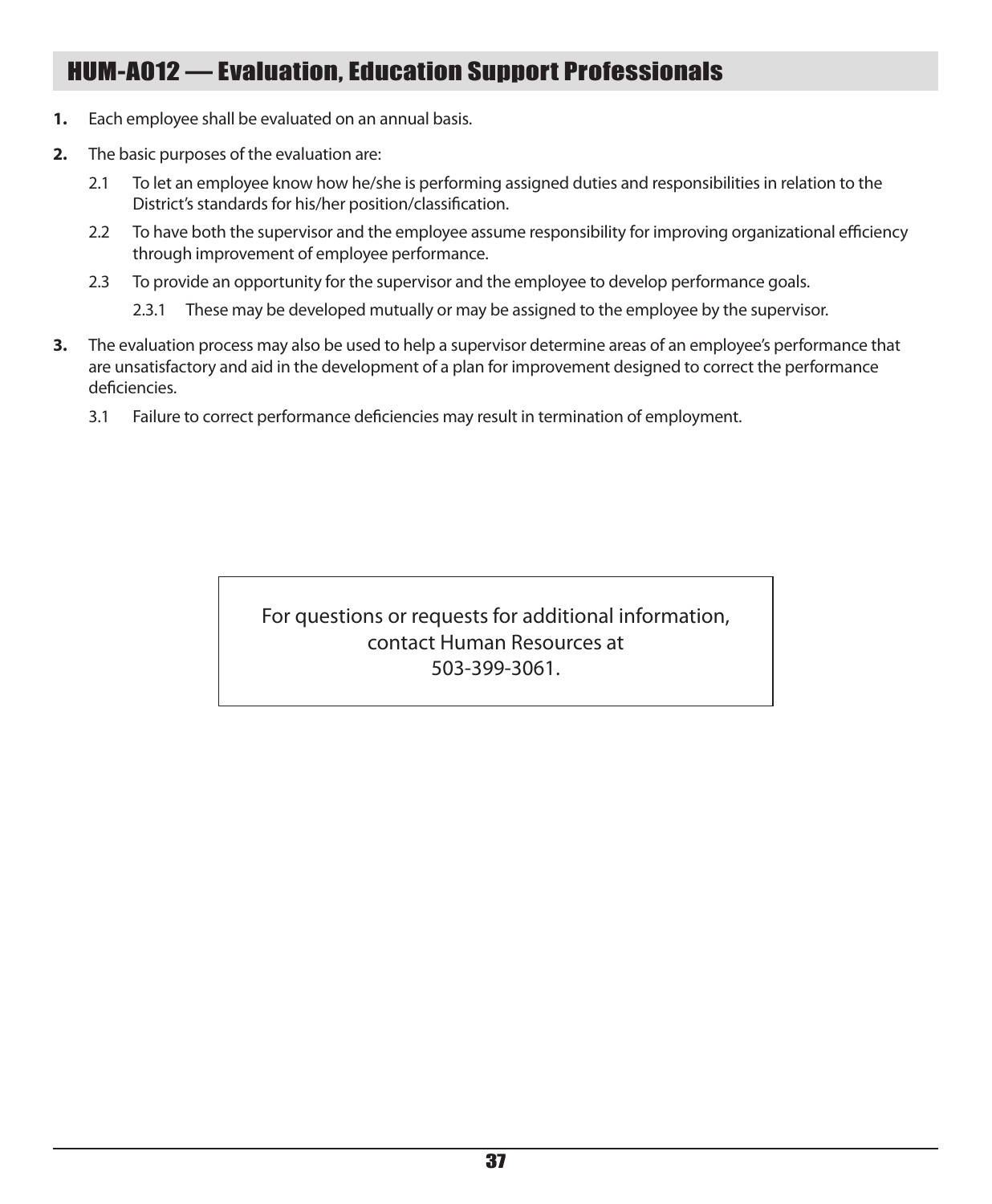## HUM-A012 — Evaluation, Education Support Professionals

- **1.** Each employee shall be evaluated on an annual basis.
- **2.** The basic purposes of the evaluation are:
	- 2.1 To let an employee know how he/she is performing assigned duties and responsibilities in relation to the District's standards for his/her position/classification.
	- 2.2 To have both the supervisor and the employee assume responsibility for improving organizational efficiency through improvement of employee performance.
	- 2.3 To provide an opportunity for the supervisor and the employee to develop performance goals.
		- 2.3.1 These may be developed mutually or may be assigned to the employee by the supervisor.
- **3.** The evaluation process may also be used to help a supervisor determine areas of an employee's performance that are unsatisfactory and aid in the development of a plan for improvement designed to correct the performance deficiencies.
	- 3.1 Failure to correct performance deficiencies may result in termination of employment.

### For questions or requests for additional information, contact Human Resources at 503-399-3061.